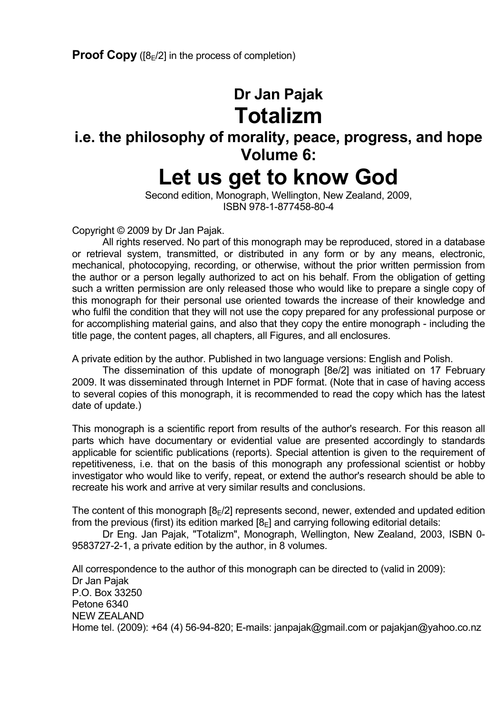# **Dr Jan Pajak Totalizm**

# **i.e. the philosophy of morality, peace, progress, and hope Volume 6:**

# **Let us get to know God**

 Second edition, Monograph, Wellington, New Zealand, 2009, ISBN 978-1-877458-80-4

Copyright © 2009 by Dr Jan Pajak.

 All rights reserved. No part of this monograph may be reproduced, stored in a database or retrieval system, transmitted, or distributed in any form or by any means, electronic, mechanical, photocopying, recording, or otherwise, without the prior written permission from the author or a person legally authorized to act on his behalf. From the obligation of getting such a written permission are only released those who would like to prepare a single copy of this monograph for their personal use oriented towards the increase of their knowledge and who fulfil the condition that they will not use the copy prepared for any professional purpose or for accomplishing material gains, and also that they copy the entire monograph - including the title page, the content pages, all chapters, all Figures, and all enclosures.

A private edition by the author. Published in two language versions: English and Polish.

 The dissemination of this update of monograph [8e/2] was initiated on 17 February 2009. It was disseminated through Internet in PDF format. (Note that in case of having access to several copies of this monograph, it is recommended to read the copy which has the latest date of update.)

This monograph is a scientific report from results of the author's research. For this reason all parts which have documentary or evidential value are presented accordingly to standards applicable for scientific publications (reports). Special attention is given to the requirement of repetitiveness, i.e. that on the basis of this monograph any professional scientist or hobby investigator who would like to verify, repeat, or extend the author's research should be able to recreate his work and arrive at very similar results and conclusions.

The content of this monograph  $[8E/2]$  represents second, newer, extended and updated edition from the previous (first) its edition marked  $[8<sub>E</sub>]$  and carrying following editorial details:

 Dr Eng. Jan Pajak, "Totalizm", Monograph, Wellington, New Zealand, 2003, ISBN 0- 9583727-2-1, a private edition by the author, in 8 volumes.

All correspondence to the author of this monograph can be directed to (valid in 2009): Dr Jan Pajak P.O. Box 33250 Petone 6340 NEW ZEALAND Home tel. (2009): +64 (4) 56-94-820; E-mails: janpajak@gmail.com or pajakjan@yahoo.co.nz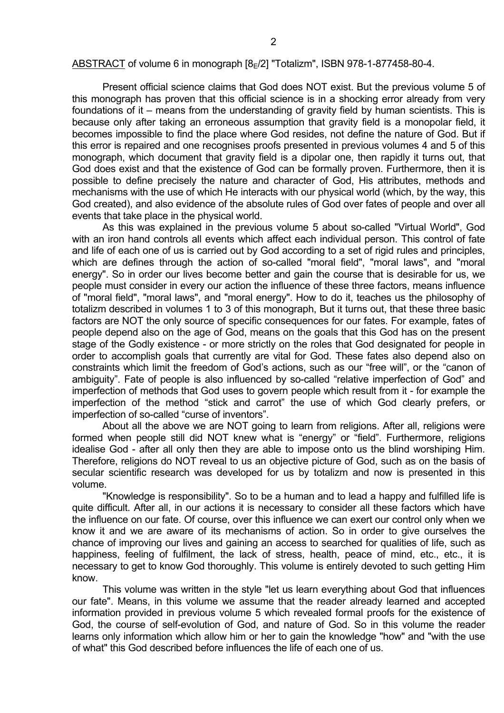#### ABSTRACT of volume 6 in monograph  $[8_F/2]$  "Totalizm", ISBN 978-1-877458-80-4.

 Present official science claims that God does NOT exist. But the previous volume 5 of this monograph has proven that this official science is in a shocking error already from very foundations of it – means from the understanding of gravity field by human scientists. This is because only after taking an erroneous assumption that gravity field is a monopolar field, it becomes impossible to find the place where God resides, not define the nature of God. But if this error is repaired and one recognises proofs presented in previous volumes 4 and 5 of this monograph, which document that gravity field is a dipolar one, then rapidly it turns out, that God does exist and that the existence of God can be formally proven. Furthermore, then it is possible to define precisely the nature and character of God, His attributes, methods and mechanisms with the use of which He interacts with our physical world (which, by the way, this God created), and also evidence of the absolute rules of God over fates of people and over all events that take place in the physical world.

 As this was explained in the previous volume 5 about so-called "Virtual World", God with an iron hand controls all events which affect each individual person. This control of fate and life of each one of us is carried out by God according to a set of rigid rules and principles, which are defines through the action of so-called "moral field", "moral laws", and "moral energy". So in order our lives become better and gain the course that is desirable for us, we people must consider in every our action the influence of these three factors, means influence of "moral field", "moral laws", and "moral energy". How to do it, teaches us the philosophy of totalizm described in volumes 1 to 3 of this monograph, But it turns out, that these three basic factors are NOT the only source of specific consequences for our fates. For example, fates of people depend also on the age of God, means on the goals that this God has on the present stage of the Godly existence - or more strictly on the roles that God designated for people in order to accomplish goals that currently are vital for God. These fates also depend also on constraints which limit the freedom of God's actions, such as our "free will", or the "canon of ambiguity". Fate of people is also influenced by so-called "relative imperfection of God" and imperfection of methods that God uses to govern people which result from it - for example the imperfection of the method "stick and carrot" the use of which God clearly prefers, or imperfection of so-called "curse of inventors".

 About all the above we are NOT going to learn from religions. After all, religions were formed when people still did NOT knew what is "energy" or "field". Furthermore, religions idealise God - after all only then they are able to impose onto us the blind worshiping Him. Therefore, religions do NOT reveal to us an objective picture of God, such as on the basis of secular scientific research was developed for us by totalizm and now is presented in this volume.

 "Knowledge is responsibility". So to be a human and to lead a happy and fulfilled life is quite difficult. After all, in our actions it is necessary to consider all these factors which have the influence on our fate. Of course, over this influence we can exert our control only when we know it and we are aware of its mechanisms of action. So in order to give ourselves the chance of improving our lives and gaining an access to searched for qualities of life, such as happiness, feeling of fulfilment, the lack of stress, health, peace of mind, etc., etc., it is necessary to get to know God thoroughly. This volume is entirely devoted to such getting Him know.

 This volume was written in the style "let us learn everything about God that influences our fate". Means, in this volume we assume that the reader already learned and accepted information provided in previous volume 5 which revealed formal proofs for the existence of God, the course of self-evolution of God, and nature of God. So in this volume the reader learns only information which allow him or her to gain the knowledge "how" and "with the use of what" this God described before influences the life of each one of us.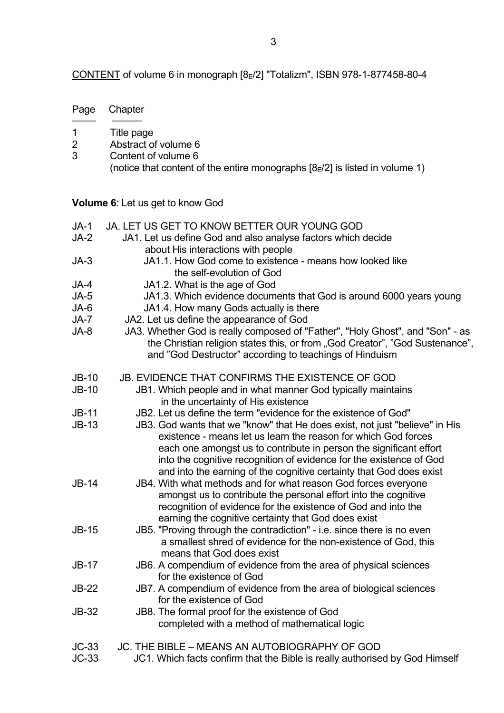CONTENT of volume 6 in monograph [8E/2] "Totalizm", ISBN 978-1-877458-80-4

Page Chapter ──── ─────

1 Title page<br>2 Abstract of

Abstract of volume 6

| 3                  | Content of volume 6<br>(notice that content of the entire monographs $[8E/2]$ is listed in volume 1)                                                                                                                                                                                                                                                                                                                                 |
|--------------------|--------------------------------------------------------------------------------------------------------------------------------------------------------------------------------------------------------------------------------------------------------------------------------------------------------------------------------------------------------------------------------------------------------------------------------------|
|                    | <b>Volume 6:</b> Let us get to know God                                                                                                                                                                                                                                                                                                                                                                                              |
| $JA-1$             | JA. LET US GET TO KNOW BETTER OUR YOUNG GOD                                                                                                                                                                                                                                                                                                                                                                                          |
| JA-2               | JA1. Let us define God and also analyse factors which decide<br>about His interactions with people                                                                                                                                                                                                                                                                                                                                   |
| $JA-3$             | JA1.1. How God come to existence - means how looked like<br>the self-evolution of God                                                                                                                                                                                                                                                                                                                                                |
| JA-4               | JA1.2. What is the age of God                                                                                                                                                                                                                                                                                                                                                                                                        |
| $JA-5$             | JA1.3. Which evidence documents that God is around 6000 years young                                                                                                                                                                                                                                                                                                                                                                  |
| JA-6               | JA1.4. How many Gods actually is there                                                                                                                                                                                                                                                                                                                                                                                               |
| JA-7               | JA2. Let us define the appearance of God                                                                                                                                                                                                                                                                                                                                                                                             |
| JA-8               | JA3. Whether God is really composed of "Father", "Holy Ghost", and "Son" - as<br>the Christian religion states this, or from "God Creator", "God Sustenance",<br>and "God Destructor" according to teachings of Hinduism                                                                                                                                                                                                             |
| $JB-10$            | <b>JB. EVIDENCE THAT CONFIRMS THE EXISTENCE OF GOD</b>                                                                                                                                                                                                                                                                                                                                                                               |
| $JB-10$            | JB1. Which people and in what manner God typically maintains<br>in the uncertainty of His existence                                                                                                                                                                                                                                                                                                                                  |
| $JB-11$<br>$JB-13$ | JB2. Let us define the term "evidence for the existence of God"<br>JB3. God wants that we "know" that He does exist, not just "believe" in His<br>existence - means let us learn the reason for which God forces<br>each one amongst us to contribute in person the significant effort<br>into the cognitive recognition of evidence for the existence of God<br>and into the earning of the cognitive certainty that God does exist |
| <b>JB-14</b>       | JB4. With what methods and for what reason God forces everyone<br>amongst us to contribute the personal effort into the cognitive<br>recognition of evidence for the existence of God and into the<br>earning the cognitive certainty that God does exist                                                                                                                                                                            |
| JB-15              | JB5. "Proving through the contradiction" - i.e. since there is no even<br>a smallest shred of evidence for the non-existence of God, this<br>means that God does exist                                                                                                                                                                                                                                                               |
| $JB-17$            | JB6. A compendium of evidence from the area of physical sciences<br>for the existence of God                                                                                                                                                                                                                                                                                                                                         |
| <b>JB-22</b>       | JB7. A compendium of evidence from the area of biological sciences<br>for the existence of God                                                                                                                                                                                                                                                                                                                                       |
| <b>JB-32</b>       | JB8. The formal proof for the existence of God<br>completed with a method of mathematical logic                                                                                                                                                                                                                                                                                                                                      |
| $JC-33$            | JC. THE BIBLE - MEANS AN AUTOBIOGRAPHY OF GOD                                                                                                                                                                                                                                                                                                                                                                                        |
| $JC-33$            | JC1. Which facts confirm that the Bible is really authorised by God Himself                                                                                                                                                                                                                                                                                                                                                          |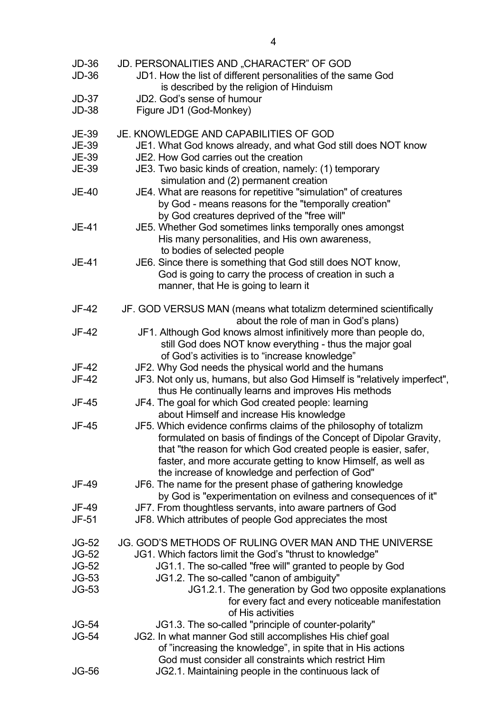| <b>JD-36</b><br>$JD-36$ | JD. PERSONALITIES AND "CHARACTER" OF GOD<br>JD1. How the list of different personalities of the same God<br>is described by the religion of Hinduism                                                                                                                        |
|-------------------------|-----------------------------------------------------------------------------------------------------------------------------------------------------------------------------------------------------------------------------------------------------------------------------|
| $JD-37$                 | JD2. God's sense of humour                                                                                                                                                                                                                                                  |
| <b>JD-38</b>            | Figure JD1 (God-Monkey)                                                                                                                                                                                                                                                     |
|                         |                                                                                                                                                                                                                                                                             |
| <b>JE-39</b>            | JE. KNOWLEDGE AND CAPABILITIES OF GOD                                                                                                                                                                                                                                       |
| <b>JE-39</b>            | JE1. What God knows already, and what God still does NOT know                                                                                                                                                                                                               |
| JE-39                   | JE2. How God carries out the creation                                                                                                                                                                                                                                       |
|                         |                                                                                                                                                                                                                                                                             |
| <b>JE-39</b>            | JE3. Two basic kinds of creation, namely: (1) temporary<br>simulation and (2) permanent creation                                                                                                                                                                            |
| <b>JE-40</b>            | JE4. What are reasons for repetitive "simulation" of creatures                                                                                                                                                                                                              |
|                         | by God - means reasons for the "temporally creation"                                                                                                                                                                                                                        |
|                         | by God creatures deprived of the "free will"                                                                                                                                                                                                                                |
| JE-41                   | JE5. Whether God sometimes links temporally ones amongst                                                                                                                                                                                                                    |
|                         | His many personalities, and His own awareness,                                                                                                                                                                                                                              |
|                         | to bodies of selected people                                                                                                                                                                                                                                                |
| JE-41                   | JE6. Since there is something that God still does NOT know,                                                                                                                                                                                                                 |
|                         | God is going to carry the process of creation in such a                                                                                                                                                                                                                     |
|                         |                                                                                                                                                                                                                                                                             |
|                         | manner, that He is going to learn it                                                                                                                                                                                                                                        |
| JF-42                   | JF. GOD VERSUS MAN (means what totalizm determined scientifically                                                                                                                                                                                                           |
|                         | about the role of man in God's plans)                                                                                                                                                                                                                                       |
|                         |                                                                                                                                                                                                                                                                             |
| JF-42                   | JF1. Although God knows almost infinitively more than people do,                                                                                                                                                                                                            |
|                         | still God does NOT know everything - thus the major goal                                                                                                                                                                                                                    |
|                         | of God's activities is to "increase knowledge"                                                                                                                                                                                                                              |
| JF-42                   | JF2. Why God needs the physical world and the humans                                                                                                                                                                                                                        |
| JF-42                   | JF3. Not only us, humans, but also God Himself is "relatively imperfect",                                                                                                                                                                                                   |
|                         | thus He continually learns and improves His methods                                                                                                                                                                                                                         |
| JF-45                   | JF4. The goal for which God created people: learning                                                                                                                                                                                                                        |
|                         | about Himself and increase His knowledge                                                                                                                                                                                                                                    |
| JF-45                   | JF5. Which evidence confirms claims of the philosophy of totalizm<br>formulated on basis of findings of the Concept of Dipolar Gravity,<br>that "the reason for which God created people is easier, safer,<br>faster, and more accurate getting to know Himself, as well as |
|                         | the increase of knowledge and perfection of God"                                                                                                                                                                                                                            |
| JF-49                   | JF6. The name for the present phase of gathering knowledge                                                                                                                                                                                                                  |
|                         | by God is "experimentation on evilness and consequences of it"                                                                                                                                                                                                              |
| JF-49                   | JF7. From thoughtless servants, into aware partners of God                                                                                                                                                                                                                  |
| JF-51                   | JF8. Which attributes of people God appreciates the most                                                                                                                                                                                                                    |
|                         |                                                                                                                                                                                                                                                                             |
| <b>JG-52</b>            | JG. GOD'S METHODS OF RULING OVER MAN AND THE UNIVERSE                                                                                                                                                                                                                       |
| <b>JG-52</b>            | JG1. Which factors limit the God's "thrust to knowledge"                                                                                                                                                                                                                    |
| <b>JG-52</b>            | JG1.1. The so-called "free will" granted to people by God                                                                                                                                                                                                                   |
| $JG-53$                 | JG1.2. The so-called "canon of ambiguity"                                                                                                                                                                                                                                   |
| <b>JG-53</b>            | JG1.2.1. The generation by God two opposite explanations                                                                                                                                                                                                                    |
|                         | for every fact and every noticeable manifestation                                                                                                                                                                                                                           |
|                         | of His activities                                                                                                                                                                                                                                                           |
| <b>JG-54</b>            | JG1.3. The so-called "principle of counter-polarity"                                                                                                                                                                                                                        |
| <b>JG-54</b>            | JG2. In what manner God still accomplishes His chief goal                                                                                                                                                                                                                   |
|                         | of "increasing the knowledge", in spite that in His actions                                                                                                                                                                                                                 |
|                         | God must consider all constraints which restrict Him                                                                                                                                                                                                                        |
| <b>JG-56</b>            |                                                                                                                                                                                                                                                                             |
|                         | JG2.1. Maintaining people in the continuous lack of                                                                                                                                                                                                                         |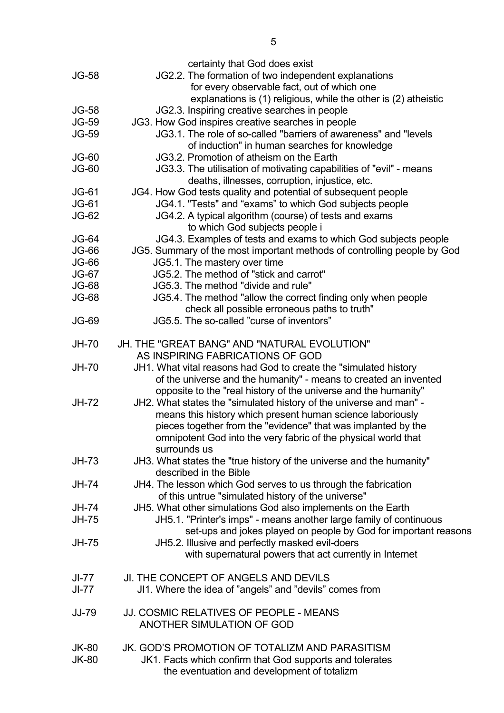|              | certainty that God does exist                                           |
|--------------|-------------------------------------------------------------------------|
| <b>JG-58</b> | JG2.2. The formation of two independent explanations                    |
|              | for every observable fact, out of which one                             |
|              | explanations is (1) religious, while the other is (2) atheistic         |
| <b>JG-58</b> | JG2.3. Inspiring creative searches in people                            |
| <b>JG-59</b> | JG3. How God inspires creative searches in people                       |
| <b>JG-59</b> | JG3.1. The role of so-called "barriers of awareness" and "levels        |
|              |                                                                         |
|              | of induction" in human searches for knowledge                           |
| $JG-60$      | JG3.2. Promotion of atheism on the Earth                                |
| $JG-60$      | JG3.3. The utilisation of motivating capabilities of "evil" - means     |
|              | deaths, illnesses, corruption, injustice, etc.                          |
| <b>JG-61</b> | JG4. How God tests quality and potential of subsequent people           |
| <b>JG-61</b> | JG4.1. "Tests" and "exams" to which God subjects people                 |
| <b>JG-62</b> | JG4.2. A typical algorithm (course) of tests and exams                  |
|              | to which God subjects people i                                          |
|              |                                                                         |
| <b>JG-64</b> | JG4.3. Examples of tests and exams to which God subjects people         |
| <b>JG-66</b> | JG5. Summary of the most important methods of controlling people by God |
| <b>JG-66</b> | JG5.1. The mastery over time                                            |
| <b>JG-67</b> | JG5.2. The method of "stick and carrot"                                 |
| <b>JG-68</b> | JG5.3. The method "divide and rule"                                     |
| <b>JG-68</b> | JG5.4. The method "allow the correct finding only when people           |
|              | check all possible erroneous paths to truth"                            |
| <b>JG-69</b> | JG5.5. The so-called "curse of inventors"                               |
|              |                                                                         |
| <b>JH-70</b> | <b>JH. THE "GREAT BANG" AND "NATURAL EVOLUTION"</b>                     |
|              | AS INSPIRING FABRICATIONS OF GOD                                        |
|              |                                                                         |
| <b>JH-70</b> | JH1. What vital reasons had God to create the "simulated history        |
|              | of the universe and the humanity" - means to created an invented        |
|              | opposite to the "real history of the universe and the humanity"         |
| <b>JH-72</b> | JH2. What states the "simulated history of the universe and man" -      |
|              | means this history which present human science laboriously              |
|              | pieces together from the "evidence" that was implanted by the           |
|              | omnipotent God into the very fabric of the physical world that          |
|              | surrounds us                                                            |
| JH-73        | JH3. What states the "true history of the universe and the humanity"    |
|              | described in the Bible                                                  |
|              |                                                                         |
| JH-74        | JH4. The lesson which God serves to us through the fabrication          |
|              | of this untrue "simulated history of the universe"                      |
| <b>JH-74</b> | JH5. What other simulations God also implements on the Earth            |
| <b>JH-75</b> | JH5.1. "Printer's imps" - means another large family of continuous      |
|              | set-ups and jokes played on people by God for important reasons         |
| <b>JH-75</b> | JH5.2. Illusive and perfectly masked evil-doers                         |
|              | with supernatural powers that act currently in Internet                 |
|              |                                                                         |
| JI-77        | JI. THE CONCEPT OF ANGELS AND DEVILS                                    |
| JI-77        | JI1. Where the idea of "angels" and "devils" comes from                 |
|              |                                                                         |
| <b>JJ-79</b> | <b>JJ. COSMIC RELATIVES OF PEOPLE - MEANS</b>                           |
|              |                                                                         |
|              | ANOTHER SIMULATION OF GOD                                               |
|              |                                                                         |
| <b>JK-80</b> | JK. GOD'S PROMOTION OF TOTALIZM AND PARASITISM                          |
| <b>JK-80</b> | JK1. Facts which confirm that God supports and tolerates                |
|              | the eventuation and development of totalizm                             |
|              |                                                                         |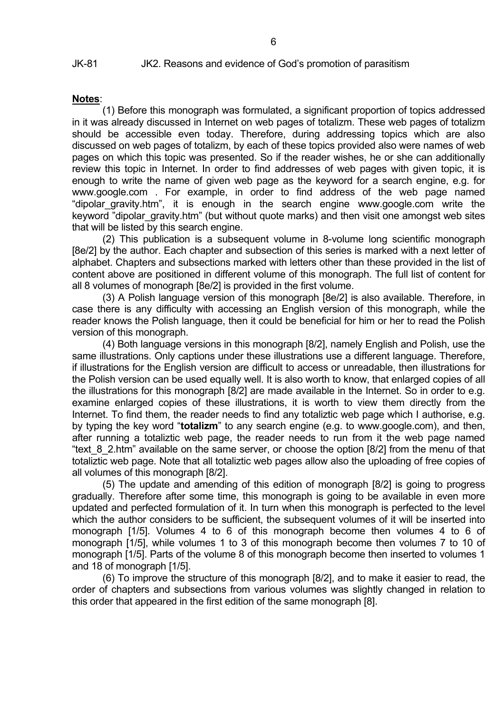#### **Notes**:

 (1) Before this monograph was formulated, a significant proportion of topics addressed in it was already discussed in Internet on web pages of totalizm. These web pages of totalizm should be accessible even today. Therefore, during addressing topics which are also discussed on web pages of totalizm, by each of these topics provided also were names of web pages on which this topic was presented. So if the reader wishes, he or she can additionally review this topic in Internet. In order to find addresses of web pages with given topic, it is enough to write the name of given web page as the keyword for a search engine, e.g. for www.google.com . For example, in order to find address of the web page named "dipolar\_gravity.htm", it is enough in the search engine www.google.com write the keyword "dipolar\_gravity.htm" (but without quote marks) and then visit one amongst web sites that will be listed by this search engine.

 (2) This publication is a subsequent volume in 8-volume long scientific monograph [8e/2] by the author. Each chapter and subsection of this series is marked with a next letter of alphabet. Chapters and subsections marked with letters other than these provided in the list of content above are positioned in different volume of this monograph. The full list of content for all 8 volumes of monograph [8e/2] is provided in the first volume.

 (3) A Polish language version of this monograph [8e/2] is also available. Therefore, in case there is any difficulty with accessing an English version of this monograph, while the reader knows the Polish language, then it could be beneficial for him or her to read the Polish version of this monograph.

 (4) Both language versions in this monograph [8/2], namely English and Polish, use the same illustrations. Only captions under these illustrations use a different language. Therefore, if illustrations for the English version are difficult to access or unreadable, then illustrations for the Polish version can be used equally well. It is also worth to know, that enlarged copies of all the illustrations for this monograph [8/2] are made available in the Internet. So in order to e.g. examine enlarged copies of these illustrations, it is worth to view them directly from the Internet. To find them, the reader needs to find any totaliztic web page which I authorise, e.g. by typing the key word "**totalizm**" to any search engine (e.g. to www.google.com), and then, after running a totaliztic web page, the reader needs to run from it the web page named "text 8 2.htm" available on the same server, or choose the option [8/2] from the menu of that totaliztic web page. Note that all totaliztic web pages allow also the uploading of free copies of all volumes of this monograph [8/2].

 (5) The update and amending of this edition of monograph [8/2] is going to progress gradually. Therefore after some time, this monograph is going to be available in even more updated and perfected formulation of it. In turn when this monograph is perfected to the level which the author considers to be sufficient, the subsequent volumes of it will be inserted into monograph [1/5]. Volumes 4 to 6 of this monograph become then volumes 4 to 6 of monograph [1/5], while volumes 1 to 3 of this monograph become then volumes 7 to 10 of monograph [1/5]. Parts of the volume 8 of this monograph become then inserted to volumes 1 and 18 of monograph [1/5].

 (6) To improve the structure of this monograph [8/2], and to make it easier to read, the order of chapters and subsections from various volumes was slightly changed in relation to this order that appeared in the first edition of the same monograph [8].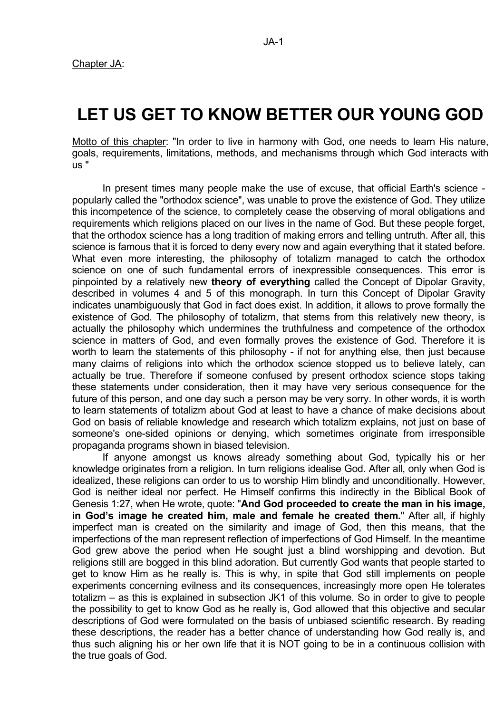# **LET US GET TO KNOW BETTER OUR YOUNG GOD**

Motto of this chapter: "In order to live in harmony with God, one needs to learn His nature, goals, requirements, limitations, methods, and mechanisms through which God interacts with us "

 In present times many people make the use of excuse, that official Earth's science popularly called the "orthodox science", was unable to prove the existence of God. They utilize this incompetence of the science, to completely cease the observing of moral obligations and requirements which religions placed on our lives in the name of God. But these people forget, that the orthodox science has a long tradition of making errors and telling untruth. After all, this science is famous that it is forced to deny every now and again everything that it stated before. What even more interesting, the philosophy of totalizm managed to catch the orthodox science on one of such fundamental errors of inexpressible consequences. This error is pinpointed by a relatively new **theory of everything** called the Concept of Dipolar Gravity, described in volumes 4 and 5 of this monograph. In turn this Concept of Dipolar Gravity indicates unambiguously that God in fact does exist. In addition, it allows to prove formally the existence of God. The philosophy of totalizm, that stems from this relatively new theory, is actually the philosophy which undermines the truthfulness and competence of the orthodox science in matters of God, and even formally proves the existence of God. Therefore it is worth to learn the statements of this philosophy - if not for anything else, then just because many claims of religions into which the orthodox science stopped us to believe lately, can actually be true. Therefore if someone confused by present orthodox science stops taking these statements under consideration, then it may have very serious consequence for the future of this person, and one day such a person may be very sorry. In other words, it is worth to learn statements of totalizm about God at least to have a chance of make decisions about God on basis of reliable knowledge and research which totalizm explains, not just on base of someone's one-sided opinions or denying, which sometimes originate from irresponsible propaganda programs shown in biased television.

 If anyone amongst us knows already something about God, typically his or her knowledge originates from a religion. In turn religions idealise God. After all, only when God is idealized, these religions can order to us to worship Him blindly and unconditionally. However, God is neither ideal nor perfect. He Himself confirms this indirectly in the Biblical Book of Genesis 1:27, when He wrote, quote: "**And God proceeded to create the man in his image, in God's image he created him, male and female he created them.**" After all, if highly imperfect man is created on the similarity and image of God, then this means, that the imperfections of the man represent reflection of imperfections of God Himself. In the meantime God grew above the period when He sought just a blind worshipping and devotion. But religions still are bogged in this blind adoration. But currently God wants that people started to get to know Him as he really is. This is why, in spite that God still implements on people experiments concerning evilness and its consequences, increasingly more open He tolerates totalizm – as this is explained in subsection JK1 of this volume. So in order to give to people the possibility to get to know God as he really is, God allowed that this objective and secular descriptions of God were formulated on the basis of unbiased scientific research. By reading these descriptions, the reader has a better chance of understanding how God really is, and thus such aligning his or her own life that it is NOT going to be in a continuous collision with the true goals of God.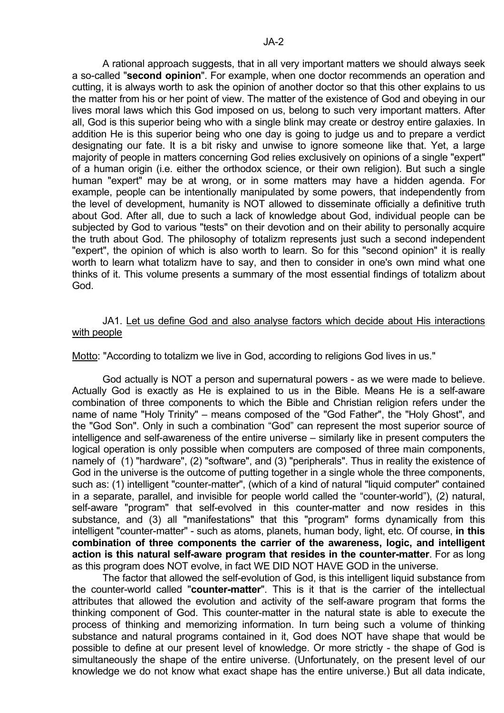A rational approach suggests, that in all very important matters we should always seek a so-called "**second opinion**". For example, when one doctor recommends an operation and cutting, it is always worth to ask the opinion of another doctor so that this other explains to us the matter from his or her point of view. The matter of the existence of God and obeying in our lives moral laws which this God imposed on us, belong to such very important matters. After all, God is this superior being who with a single blink may create or destroy entire galaxies. In addition He is this superior being who one day is going to judge us and to prepare a verdict designating our fate. It is a bit risky and unwise to ignore someone like that. Yet, a large majority of people in matters concerning God relies exclusively on opinions of a single "expert" of a human origin (i.e. either the orthodox science, or their own religion). But such a single human "expert" may be at wrong, or in some matters may have a hidden agenda. For example, people can be intentionally manipulated by some powers, that independently from the level of development, humanity is NOT allowed to disseminate officially a definitive truth about God. After all, due to such a lack of knowledge about God, individual people can be subjected by God to various "tests" on their devotion and on their ability to personally acquire the truth about God. The philosophy of totalizm represents just such a second independent "expert", the opinion of which is also worth to learn. So for this "second opinion" it is really worth to learn what totalizm have to say, and then to consider in one's own mind what one thinks of it. This volume presents a summary of the most essential findings of totalizm about God.

# JA1. Let us define God and also analyse factors which decide about His interactions with people

Motto: "According to totalizm we live in God, according to religions God lives in us."

 God actually is NOT a person and supernatural powers - as we were made to believe. Actually God is exactly as He is explained to us in the Bible. Means He is a self-aware combination of three components to which the Bible and Christian religion refers under the name of name "Holy Trinity" – means composed of the "God Father", the "Holy Ghost", and the "God Son". Only in such a combination "God" can represent the most superior source of intelligence and self-awareness of the entire universe – similarly like in present computers the logical operation is only possible when computers are composed of three main components, namely of (1) "hardware", (2) "software", and (3) "peripherals". Thus in reality the existence of God in the universe is the outcome of putting together in a single whole the three components, such as: (1) intelligent "counter-matter", (which of a kind of natural "liquid computer" contained in a separate, parallel, and invisible for people world called the "counter-world"), (2) natural, self-aware "program" that self-evolved in this counter-matter and now resides in this substance, and (3) all "manifestations" that this "program" forms dynamically from this intelligent "counter-matter" - such as atoms, planets, human body, light, etc. Of course, **in this combination of three components the carrier of the awareness, logic, and intelligent action is this natural self-aware program that resides in the counter-matter**. For as long as this program does NOT evolve, in fact WE DID NOT HAVE GOD in the universe.

 The factor that allowed the self-evolution of God, is this intelligent liquid substance from the counter-world called "**counter-matter**". This is it that is the carrier of the intellectual attributes that allowed the evolution and activity of the self-aware program that forms the thinking component of God. This counter-matter in the natural state is able to execute the process of thinking and memorizing information. In turn being such a volume of thinking substance and natural programs contained in it, God does NOT have shape that would be possible to define at our present level of knowledge. Or more strictly - the shape of God is simultaneously the shape of the entire universe. (Unfortunately, on the present level of our knowledge we do not know what exact shape has the entire universe.) But all data indicate,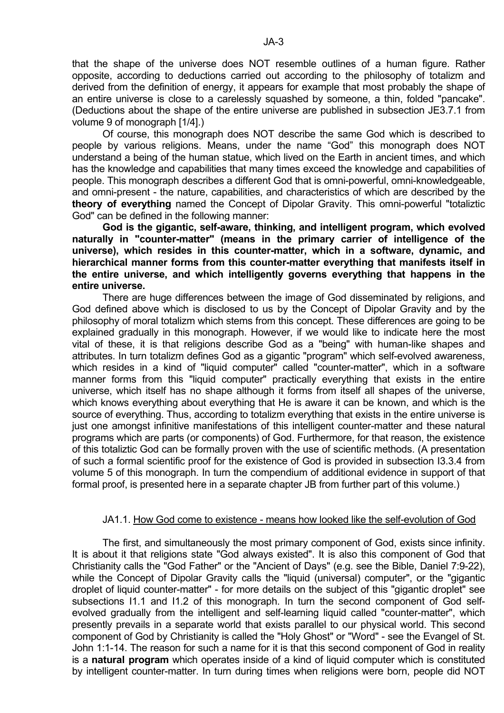that the shape of the universe does NOT resemble outlines of a human figure. Rather opposite, according to deductions carried out according to the philosophy of totalizm and derived from the definition of energy, it appears for example that most probably the shape of an entire universe is close to a carelessly squashed by someone, a thin, folded "pancake". (Deductions about the shape of the entire universe are published in subsection JE3.7.1 from volume 9 of monograph [1/4].)

 Of course, this monograph does NOT describe the same God which is described to people by various religions. Means, under the name "God" this monograph does NOT understand a being of the human statue, which lived on the Earth in ancient times, and which has the knowledge and capabilities that many times exceed the knowledge and capabilities of people. This monograph describes a different God that is omni-powerful, omni-knowledgeable, and omni-present - the nature, capabilities, and characteristics of which are described by the **theory of everything** named the Concept of Dipolar Gravity. This omni-powerful "totaliztic God" can be defined in the following manner:

**God is the gigantic, self-aware, thinking, and intelligent program, which evolved naturally in "counter-matter" (means in the primary carrier of intelligence of the universe), which resides in this counter-matter, which in a software, dynamic, and hierarchical manner forms from this counter-matter everything that manifests itself in the entire universe, and which intelligently governs everything that happens in the entire universe.** 

There are huge differences between the image of God disseminated by religions, and God defined above which is disclosed to us by the Concept of Dipolar Gravity and by the philosophy of moral totalizm which stems from this concept. These differences are going to be explained gradually in this monograph. However, if we would like to indicate here the most vital of these, it is that religions describe God as a "being" with human-like shapes and attributes. In turn totalizm defines God as a gigantic "program" which self-evolved awareness, which resides in a kind of "liquid computer" called "counter-matter", which in a software manner forms from this "liquid computer" practically everything that exists in the entire universe, which itself has no shape although it forms from itself all shapes of the universe, which knows everything about everything that He is aware it can be known, and which is the source of everything. Thus, according to totalizm everything that exists in the entire universe is just one amongst infinitive manifestations of this intelligent counter-matter and these natural programs which are parts (or components) of God. Furthermore, for that reason, the existence of this totaliztic God can be formally proven with the use of scientific methods. (A presentation of such a formal scientific proof for the existence of God is provided in subsection I3.3.4 from volume 5 of this monograph. In turn the compendium of additional evidence in support of that formal proof, is presented here in a separate chapter JB from further part of this volume.)

## JA1.1. How God come to existence - means how looked like the self-evolution of God

 The first, and simultaneously the most primary component of God, exists since infinity. It is about it that religions state "God always existed". It is also this component of God that Christianity calls the "God Father" or the "Ancient of Days" (e.g. see the Bible, Daniel 7:9-22), while the Concept of Dipolar Gravity calls the "liquid (universal) computer", or the "gigantic droplet of liquid counter-matter" - for more details on the subject of this "gigantic droplet" see subsections I1.1 and I1.2 of this monograph. In turn the second component of God selfevolved gradually from the intelligent and self-learning liquid called "counter-matter", which presently prevails in a separate world that exists parallel to our physical world. This second component of God by Christianity is called the "Holy Ghost" or "Word" - see the Evangel of St. John 1:1-14. The reason for such a name for it is that this second component of God in reality is a **natural program** which operates inside of a kind of liquid computer which is constituted by intelligent counter-matter. In turn during times when religions were born, people did NOT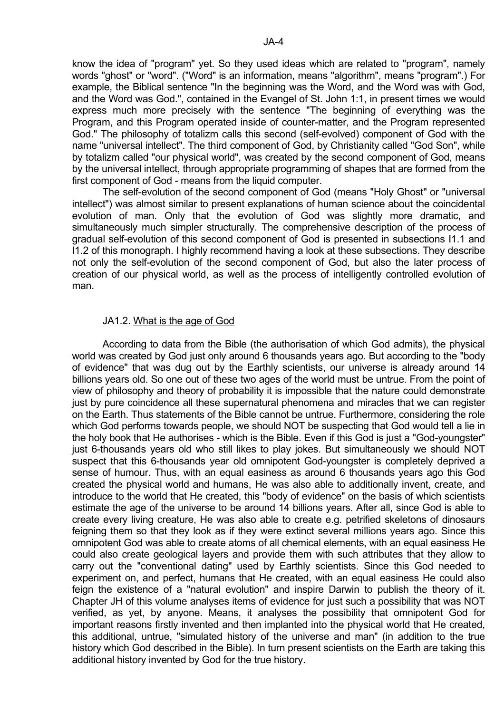know the idea of "program" yet. So they used ideas which are related to "program", namely words "ghost" or "word". ("Word" is an information, means "algorithm", means "program".) For example, the Biblical sentence "In the beginning was the Word, and the Word was with God, and the Word was God.", contained in the Evangel of St. John 1:1, in present times we would express much more precisely with the sentence "The beginning of everything was the Program, and this Program operated inside of counter-matter, and the Program represented God." The philosophy of totalizm calls this second (self-evolved) component of God with the name "universal intellect". The third component of God, by Christianity called "God Son", while by totalizm called "our physical world", was created by the second component of God, means by the universal intellect, through appropriate programming of shapes that are formed from the first component of God - means from the liquid computer.

 The self-evolution of the second component of God (means "Holy Ghost" or "universal intellect") was almost similar to present explanations of human science about the coincidental evolution of man. Only that the evolution of God was slightly more dramatic, and simultaneously much simpler structurally. The comprehensive description of the process of gradual self-evolution of this second component of God is presented in subsections I1.1 and I1.2 of this monograph. I highly recommend having a look at these subsections. They describe not only the self-evolution of the second component of God, but also the later process of creation of our physical world, as well as the process of intelligently controlled evolution of man.

#### JA1.2. What is the age of God

 According to data from the Bible (the authorisation of which God admits), the physical world was created by God just only around 6 thousands years ago. But according to the "body of evidence" that was dug out by the Earthly scientists, our universe is already around 14 billions years old. So one out of these two ages of the world must be untrue. From the point of view of philosophy and theory of probability it is impossible that the nature could demonstrate just by pure coincidence all these supernatural phenomena and miracles that we can register on the Earth. Thus statements of the Bible cannot be untrue. Furthermore, considering the role which God performs towards people, we should NOT be suspecting that God would tell a lie in the holy book that He authorises - which is the Bible. Even if this God is just a "God-youngster" just 6-thousands years old who still likes to play jokes. But simultaneously we should NOT suspect that this 6-thousands year old omnipotent God-youngster is completely deprived a sense of humour. Thus, with an equal easiness as around 6 thousands years ago this God created the physical world and humans, He was also able to additionally invent, create, and introduce to the world that He created, this "body of evidence" on the basis of which scientists estimate the age of the universe to be around 14 billions years. After all, since God is able to create every living creature, He was also able to create e.g. petrified skeletons of dinosaurs feigning them so that they look as if they were extinct several millions years ago. Since this omnipotent God was able to create atoms of all chemical elements, with an equal easiness He could also create geological layers and provide them with such attributes that they allow to carry out the "conventional dating" used by Earthly scientists. Since this God needed to experiment on, and perfect, humans that He created, with an equal easiness He could also feign the existence of a "natural evolution" and inspire Darwin to publish the theory of it. Chapter JH of this volume analyses items of evidence for just such a possibility that was NOT verified, as yet, by anyone. Means, it analyses the possibility that omnipotent God for important reasons firstly invented and then implanted into the physical world that He created, this additional, untrue, "simulated history of the universe and man" (in addition to the true history which God described in the Bible). In turn present scientists on the Earth are taking this additional history invented by God for the true history.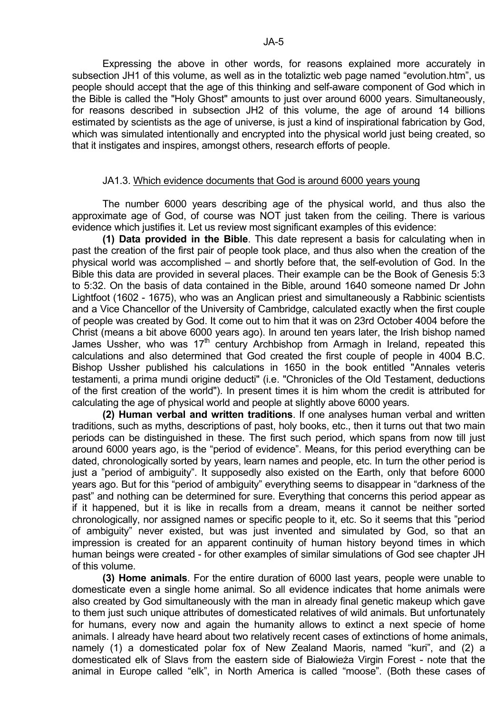Expressing the above in other words, for reasons explained more accurately in subsection JH1 of this volume, as well as in the totaliztic web page named "evolution.htm", us people should accept that the age of this thinking and self-aware component of God which in the Bible is called the "Holy Ghost" amounts to just over around 6000 years. Simultaneously, for reasons described in subsection JH2 of this volume, the age of around 14 billions estimated by scientists as the age of universe, is just a kind of inspirational fabrication by God, which was simulated intentionally and encrypted into the physical world just being created, so that it instigates and inspires, amongst others, research efforts of people.

#### JA1.3. Which evidence documents that God is around 6000 years young

 The number 6000 years describing age of the physical world, and thus also the approximate age of God, of course was NOT just taken from the ceiling. There is various evidence which justifies it. Let us review most significant examples of this evidence:

**(1) Data provided in the Bible**. This date represent a basis for calculating when in past the creation of the first pair of people took place, and thus also when the creation of the physical world was accomplished – and shortly before that, the self-evolution of God. In the Bible this data are provided in several places. Their example can be the Book of Genesis 5:3 to 5:32. On the basis of data contained in the Bible, around 1640 someone named Dr John Lightfoot (1602 - 1675), who was an Anglican priest and simultaneously a Rabbinic scientists and a Vice Chancellor of the University of Cambridge, calculated exactly when the first couple of people was created by God. It come out to him that it was on 23rd October 4004 before the Christ (means a bit above 6000 years ago). In around ten years later, the Irish bishop named James Ussher, who was 17<sup>th</sup> century Archbishop from Armagh in Ireland, repeated this calculations and also determined that God created the first couple of people in 4004 B.C. Bishop Ussher published his calculations in 1650 in the book entitled "Annales veteris testamenti, a prima mundi origine deducti" (i.e. "Chronicles of the Old Testament, deductions of the first creation of the world"). In present times it is him whom the credit is attributed for calculating the age of physical world and people at slightly above 6000 years.

**(2) Human verbal and written traditions**. If one analyses human verbal and written traditions, such as myths, descriptions of past, holy books, etc., then it turns out that two main periods can be distinguished in these. The first such period, which spans from now till just around 6000 years ago, is the "period of evidence". Means, for this period everything can be dated, chronologically sorted by years, learn names and people, etc. In turn the other period is just a "period of ambiguity". It supposedly also existed on the Earth, only that before 6000 years ago. But for this "period of ambiguity" everything seems to disappear in "darkness of the past" and nothing can be determined for sure. Everything that concerns this period appear as if it happened, but it is like in recalls from a dream, means it cannot be neither sorted chronologically, nor assigned names or specific people to it, etc. So it seems that this "period of ambiguity" never existed, but was just invented and simulated by God, so that an impression is created for an apparent continuity of human history beyond times in which human beings were created - for other examples of similar simulations of God see chapter JH of this volume.

**(3) Home animals**. For the entire duration of 6000 last years, people were unable to domesticate even a single home animal. So all evidence indicates that home animals were also created by God simultaneously with the man in already final genetic makeup which gave to them just such unique attributes of domesticated relatives of wild animals. But unfortunately for humans, every now and again the humanity allows to extinct a next specie of home animals. I already have heard about two relatively recent cases of extinctions of home animals, namely (1) a domesticated polar fox of New Zealand Maoris, named "kuri", and (2) a domesticated elk of Slavs from the eastern side of Białowieża Virgin Forest - note that the animal in Europe called "elk", in North America is called "moose". (Both these cases of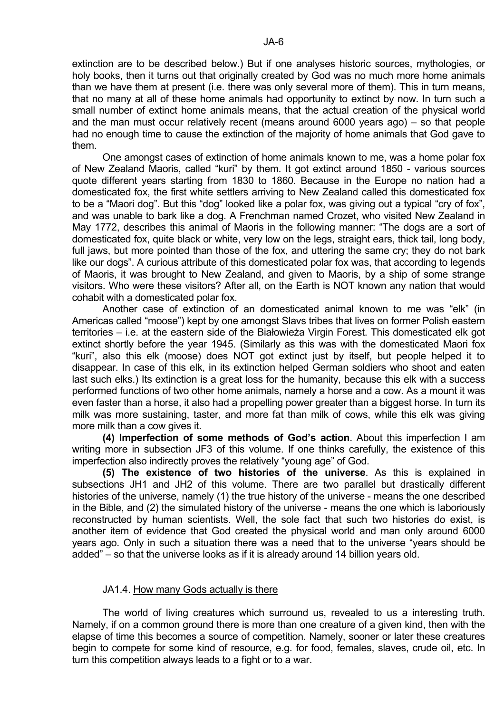extinction are to be described below.) But if one analyses historic sources, mythologies, or holy books, then it turns out that originally created by God was no much more home animals than we have them at present (i.e. there was only several more of them). This in turn means, that no many at all of these home animals had opportunity to extinct by now. In turn such a small number of extinct home animals means, that the actual creation of the physical world and the man must occur relatively recent (means around 6000 years ago) – so that people had no enough time to cause the extinction of the majority of home animals that God gave to them.

 One amongst cases of extinction of home animals known to me, was a home polar fox of New Zealand Maoris, called "kuri" by them. It got extinct around 1850 - various sources quote different years starting from 1830 to 1860. Because in the Europe no nation had a domesticated fox, the first white settlers arriving to New Zealand called this domesticated fox to be a "Maori dog". But this "dog" looked like a polar fox, was giving out a typical "cry of fox", and was unable to bark like a dog. A Frenchman named Crozet, who visited New Zealand in May 1772, describes this animal of Maoris in the following manner: "The dogs are a sort of domesticated fox, quite black or white, very low on the legs, straight ears, thick tail, long body, full jaws, but more pointed than those of the fox, and uttering the same cry; they do not bark like our dogs". A curious attribute of this domesticated polar fox was, that according to legends of Maoris, it was brought to New Zealand, and given to Maoris, by a ship of some strange visitors. Who were these visitors? After all, on the Earth is NOT known any nation that would cohabit with a domesticated polar fox.

 Another case of extinction of an domesticated animal known to me was "elk" (in Americas called "moose") kept by one amongst Slavs tribes that lives on former Polish eastern territories – i.e. at the eastern side of the Białowieża Virgin Forest. This domesticated elk got extinct shortly before the year 1945. (Similarly as this was with the domesticated Maori fox "kuri", also this elk (moose) does NOT got extinct just by itself, but people helped it to disappear. In case of this elk, in its extinction helped German soldiers who shoot and eaten last such elks.) Its extinction is a great loss for the humanity, because this elk with a success performed functions of two other home animals, namely a horse and a cow. As a mount it was even faster than a horse, it also had a propelling power greater than a biggest horse. In turn its milk was more sustaining, taster, and more fat than milk of cows, while this elk was giving more milk than a cow gives it.

**(4) Imperfection of some methods of God's action**. About this imperfection I am writing more in subsection JF3 of this volume. If one thinks carefully, the existence of this imperfection also indirectly proves the relatively "young age" of God.

**(5) The existence of two histories of the universe**. As this is explained in subsections JH1 and JH2 of this volume. There are two parallel but drastically different histories of the universe, namely (1) the true history of the universe - means the one described in the Bible, and (2) the simulated history of the universe - means the one which is laboriously reconstructed by human scientists. Well, the sole fact that such two histories do exist, is another item of evidence that God created the physical world and man only around 6000 years ago. Only in such a situation there was a need that to the universe "years should be added" – so that the universe looks as if it is already around 14 billion years old.

#### JA1.4. How many Gods actually is there

 The world of living creatures which surround us, revealed to us a interesting truth. Namely, if on a common ground there is more than one creature of a given kind, then with the elapse of time this becomes a source of competition. Namely, sooner or later these creatures begin to compete for some kind of resource, e.g. for food, females, slaves, crude oil, etc. In turn this competition always leads to a fight or to a war.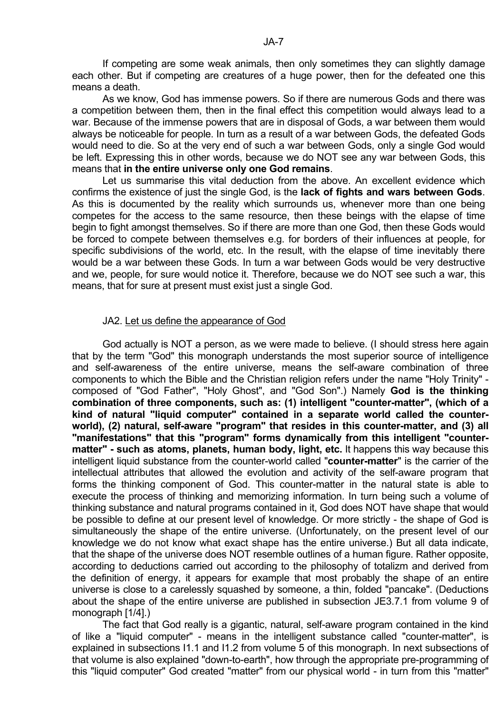If competing are some weak animals, then only sometimes they can slightly damage each other. But if competing are creatures of a huge power, then for the defeated one this means a death.

 As we know, God has immense powers. So if there are numerous Gods and there was a competition between them, then in the final effect this competition would always lead to a war. Because of the immense powers that are in disposal of Gods, a war between them would always be noticeable for people. In turn as a result of a war between Gods, the defeated Gods would need to die. So at the very end of such a war between Gods, only a single God would be left. Expressing this in other words, because we do NOT see any war between Gods, this means that **in the entire universe only one God remains**.

 Let us summarise this vital deduction from the above. An excellent evidence which confirms the existence of just the single God, is the **lack of fights and wars between Gods**. As this is documented by the reality which surrounds us, whenever more than one being competes for the access to the same resource, then these beings with the elapse of time begin to fight amongst themselves. So if there are more than one God, then these Gods would be forced to compete between themselves e.g. for borders of their influences at people, for specific subdivisions of the world, etc. In the result, with the elapse of time inevitably there would be a war between these Gods. In turn a war between Gods would be very destructive and we, people, for sure would notice it. Therefore, because we do NOT see such a war, this means, that for sure at present must exist just a single God.

#### JA2. Let us define the appearance of God

 God actually is NOT a person, as we were made to believe. (I should stress here again that by the term "God" this monograph understands the most superior source of intelligence and self-awareness of the entire universe, means the self-aware combination of three components to which the Bible and the Christian religion refers under the name "Holy Trinity" composed of "God Father", "Holy Ghost", and "God Son".) Namely **God is the thinking combination of three components, such as: (1) intelligent "counter-matter", (which of a kind of natural "liquid computer" contained in a separate world called the counterworld), (2) natural, self-aware "program" that resides in this counter-matter, and (3) all "manifestations" that this "program" forms dynamically from this intelligent "countermatter" - such as atoms, planets, human body, light, etc.** It happens this way because this intelligent liquid substance from the counter-world called "**counter-matter**" is the carrier of the intellectual attributes that allowed the evolution and activity of the self-aware program that forms the thinking component of God. This counter-matter in the natural state is able to execute the process of thinking and memorizing information. In turn being such a volume of thinking substance and natural programs contained in it, God does NOT have shape that would be possible to define at our present level of knowledge. Or more strictly - the shape of God is simultaneously the shape of the entire universe. (Unfortunately, on the present level of our knowledge we do not know what exact shape has the entire universe.) But all data indicate, that the shape of the universe does NOT resemble outlines of a human figure. Rather opposite, according to deductions carried out according to the philosophy of totalizm and derived from the definition of energy, it appears for example that most probably the shape of an entire universe is close to a carelessly squashed by someone, a thin, folded "pancake". (Deductions about the shape of the entire universe are published in subsection JE3.7.1 from volume 9 of monograph [1/4].)

 The fact that God really is a gigantic, natural, self-aware program contained in the kind of like a "liquid computer" - means in the intelligent substance called "counter-matter", is explained in subsections I1.1 and I1.2 from volume 5 of this monograph. In next subsections of that volume is also explained "down-to-earth", how through the appropriate pre-programming of this "liquid computer" God created "matter" from our physical world - in turn from this "matter"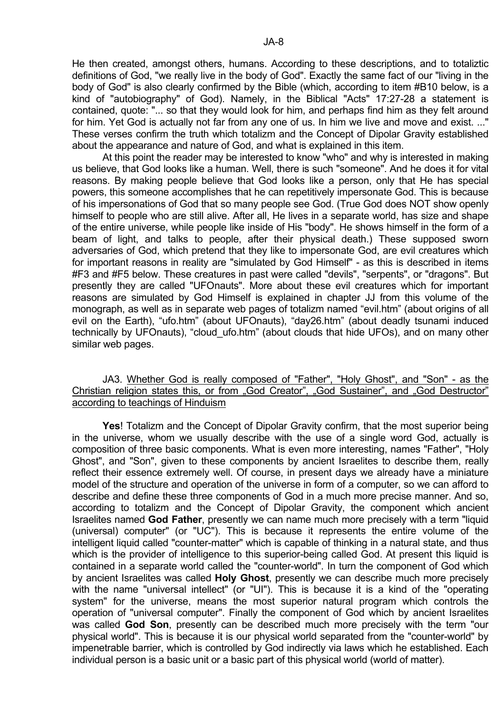He then created, amongst others, humans. According to these descriptions, and to totaliztic definitions of God, "we really live in the body of God". Exactly the same fact of our "living in the body of God" is also clearly confirmed by the Bible (which, according to item #B10 below, is a kind of "autobiography" of God). Namely, in the Biblical "Acts" 17:27-28 a statement is contained, quote: "... so that they would look for him, and perhaps find him as they felt around for him. Yet God is actually not far from any one of us. In him we live and move and exist. ..." These verses confirm the truth which totalizm and the Concept of Dipolar Gravity established about the appearance and nature of God, and what is explained in this item.

 At this point the reader may be interested to know "who" and why is interested in making us believe, that God looks like a human. Well, there is such "someone". And he does it for vital reasons. By making people believe that God looks like a person, only that He has special powers, this someone accomplishes that he can repetitively impersonate God. This is because of his impersonations of God that so many people see God. (True God does NOT show openly himself to people who are still alive. After all, He lives in a separate world, has size and shape of the entire universe, while people like inside of His "body". He shows himself in the form of a beam of light, and talks to people, after their physical death.) These supposed sworn adversaries of God, which pretend that they like to impersonate God, are evil creatures which for important reasons in reality are "simulated by God Himself" - as this is described in items #F3 and #F5 below. These creatures in past were called "devils", "serpents", or "dragons". But presently they are called "UFOnauts". More about these evil creatures which for important reasons are simulated by God Himself is explained in chapter JJ from this volume of the monograph, as well as in separate web pages of totalizm named "evil.htm" (about origins of all evil on the Earth), "ufo.htm" (about UFOnauts), "day26.htm" (about deadly tsunami induced technically by UFOnauts), "cloud\_ufo.htm" (about clouds that hide UFOs), and on many other similar web pages.

# JA3. Whether God is really composed of "Father", "Holy Ghost", and "Son" - as the Christian religion states this, or from "God Creator", "God Sustainer", and "God Destructor" according to teachings of Hinduism

**Yes**! Totalizm and the Concept of Dipolar Gravity confirm, that the most superior being in the universe, whom we usually describe with the use of a single word God, actually is composition of three basic components. What is even more interesting, names "Father", "Holy Ghost", and "Son", given to these components by ancient Israelites to describe them, really reflect their essence extremely well. Of course, in present days we already have a miniature model of the structure and operation of the universe in form of a computer, so we can afford to describe and define these three components of God in a much more precise manner. And so, according to totalizm and the Concept of Dipolar Gravity, the component which ancient Israelites named **God Father**, presently we can name much more precisely with a term "liquid (universal) computer" (or "UC"). This is because it represents the entire volume of the intelligent liquid called "counter-matter" which is capable of thinking in a natural state, and thus which is the provider of intelligence to this superior-being called God. At present this liquid is contained in a separate world called the "counter-world". In turn the component of God which by ancient Israelites was called **Holy Ghost**, presently we can describe much more precisely with the name "universal intellect" (or "UI"). This is because it is a kind of the "operating system" for the universe, means the most superior natural program which controls the operation of "universal computer". Finally the component of God which by ancient Israelites was called **God Son**, presently can be described much more precisely with the term "our physical world". This is because it is our physical world separated from the "counter-world" by impenetrable barrier, which is controlled by God indirectly via laws which he established. Each individual person is a basic unit or a basic part of this physical world (world of matter).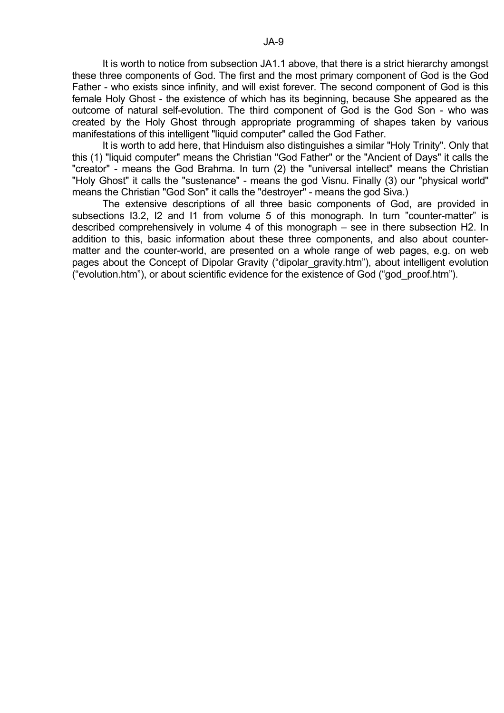It is worth to notice from subsection JA1.1 above, that there is a strict hierarchy amongst these three components of God. The first and the most primary component of God is the God Father - who exists since infinity, and will exist forever. The second component of God is this female Holy Ghost - the existence of which has its beginning, because She appeared as the outcome of natural self-evolution. The third component of God is the God Son - who was created by the Holy Ghost through appropriate programming of shapes taken by various manifestations of this intelligent "liquid computer" called the God Father.

 It is worth to add here, that Hinduism also distinguishes a similar "Holy Trinity". Only that this (1) "liquid computer" means the Christian "God Father" or the "Ancient of Days" it calls the "creator" - means the God Brahma. In turn (2) the "universal intellect" means the Christian "Holy Ghost" it calls the "sustenance" - means the god Visnu. Finally (3) our "physical world" means the Christian "God Son" it calls the "destroyer" - means the god Siva.)

 The extensive descriptions of all three basic components of God, are provided in subsections I3.2, I2 and I1 from volume 5 of this monograph. In turn "counter-matter" is described comprehensively in volume 4 of this monograph – see in there subsection H2. In addition to this, basic information about these three components, and also about countermatter and the counter-world, are presented on a whole range of web pages, e.g. on web pages about the Concept of Dipolar Gravity ("dipolar gravity.htm"), about intelligent evolution ("evolution.htm"), or about scientific evidence for the existence of God ("god\_proof.htm").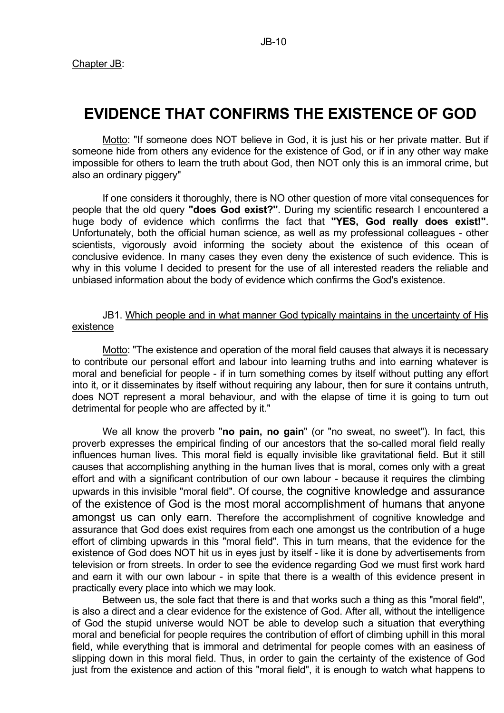# **EVIDENCE THAT CONFIRMS THE EXISTENCE OF GOD**

 Motto: "If someone does NOT believe in God, it is just his or her private matter. But if someone hide from others any evidence for the existence of God, or if in any other way make impossible for others to learn the truth about God, then NOT only this is an immoral crime, but also an ordinary piggery"

 If one considers it thoroughly, there is NO other question of more vital consequences for people that the old query **"does God exist?"**. During my scientific research I encountered a huge body of evidence which confirms the fact that **"YES, God really does exist!"**. Unfortunately, both the official human science, as well as my professional colleagues - other scientists, vigorously avoid informing the society about the existence of this ocean of conclusive evidence. In many cases they even deny the existence of such evidence. This is why in this volume I decided to present for the use of all interested readers the reliable and unbiased information about the body of evidence which confirms the God's existence.

## JB1. Which people and in what manner God typically maintains in the uncertainty of His existence

 Motto: "The existence and operation of the moral field causes that always it is necessary to contribute our personal effort and labour into learning truths and into earning whatever is moral and beneficial for people - if in turn something comes by itself without putting any effort into it, or it disseminates by itself without requiring any labour, then for sure it contains untruth, does NOT represent a moral behaviour, and with the elapse of time it is going to turn out detrimental for people who are affected by it."

 We all know the proverb "**no pain, no gain**" (or "no sweat, no sweet"). In fact, this proverb expresses the empirical finding of our ancestors that the so-called moral field really influences human lives. This moral field is equally invisible like gravitational field. But it still causes that accomplishing anything in the human lives that is moral, comes only with a great effort and with a significant contribution of our own labour - because it requires the climbing upwards in this invisible "moral field". Of course, the cognitive knowledge and assurance of the existence of God is the most moral accomplishment of humans that anyone amongst us can only earn. Therefore the accomplishment of cognitive knowledge and assurance that God does exist requires from each one amongst us the contribution of a huge effort of climbing upwards in this "moral field". This in turn means, that the evidence for the existence of God does NOT hit us in eyes just by itself - like it is done by advertisements from television or from streets. In order to see the evidence regarding God we must first work hard and earn it with our own labour - in spite that there is a wealth of this evidence present in practically every place into which we may look.

 Between us, the sole fact that there is and that works such a thing as this "moral field", is also a direct and a clear evidence for the existence of God. After all, without the intelligence of God the stupid universe would NOT be able to develop such a situation that everything moral and beneficial for people requires the contribution of effort of climbing uphill in this moral field, while everything that is immoral and detrimental for people comes with an easiness of slipping down in this moral field. Thus, in order to gain the certainty of the existence of God just from the existence and action of this "moral field", it is enough to watch what happens to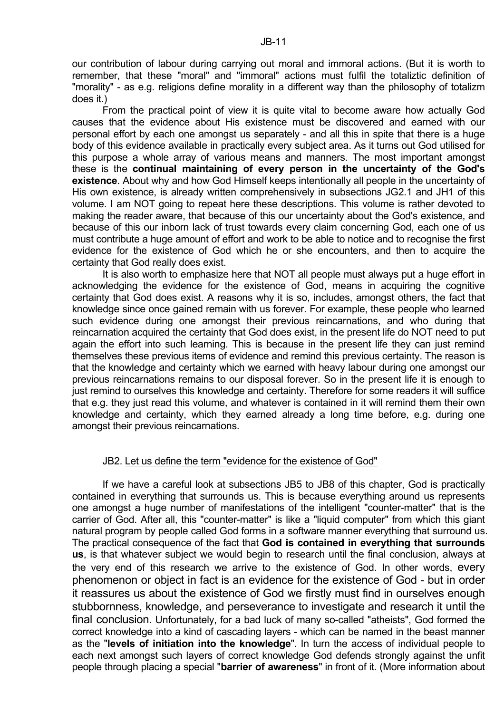our contribution of labour during carrying out moral and immoral actions. (But it is worth to remember, that these "moral" and "immoral" actions must fulfil the totaliztic definition of "morality" - as e.g. religions define morality in a different way than the philosophy of totalizm does it.)

 From the practical point of view it is quite vital to become aware how actually God causes that the evidence about His existence must be discovered and earned with our personal effort by each one amongst us separately - and all this in spite that there is a huge body of this evidence available in practically every subject area. As it turns out God utilised for this purpose a whole array of various means and manners. The most important amongst these is the **continual maintaining of every person in the uncertainty of the God's existence**. About why and how God Himself keeps intentionally all people in the uncertainty of His own existence, is already written comprehensively in subsections JG2.1 and JH1 of this volume. I am NOT going to repeat here these descriptions. This volume is rather devoted to making the reader aware, that because of this our uncertainty about the God's existence, and because of this our inborn lack of trust towards every claim concerning God, each one of us must contribute a huge amount of effort and work to be able to notice and to recognise the first evidence for the existence of God which he or she encounters, and then to acquire the certainty that God really does exist.

 It is also worth to emphasize here that NOT all people must always put a huge effort in acknowledging the evidence for the existence of God, means in acquiring the cognitive certainty that God does exist. A reasons why it is so, includes, amongst others, the fact that knowledge since once gained remain with us forever. For example, these people who learned such evidence during one amongst their previous reincarnations, and who during that reincarnation acquired the certainty that God does exist, in the present life do NOT need to put again the effort into such learning. This is because in the present life they can just remind themselves these previous items of evidence and remind this previous certainty. The reason is that the knowledge and certainty which we earned with heavy labour during one amongst our previous reincarnations remains to our disposal forever. So in the present life it is enough to just remind to ourselves this knowledge and certainty. Therefore for some readers it will suffice that e.g. they just read this volume, and whatever is contained in it will remind them their own knowledge and certainty, which they earned already a long time before, e.g. during one amongst their previous reincarnations.

## JB2. Let us define the term "evidence for the existence of God"

 If we have a careful look at subsections JB5 to JB8 of this chapter, God is practically contained in everything that surrounds us. This is because everything around us represents one amongst a huge number of manifestations of the intelligent "counter-matter" that is the carrier of God. After all, this "counter-matter" is like a "liquid computer" from which this giant natural program by people called God forms in a software manner everything that surround us. The practical consequence of the fact that **God is contained in everything that surrounds us**, is that whatever subject we would begin to research until the final conclusion, always at the very end of this research we arrive to the existence of God. In other words, every phenomenon or object in fact is an evidence for the existence of God - but in order it reassures us about the existence of God we firstly must find in ourselves enough stubbornness, knowledge, and perseverance to investigate and research it until the final conclusion. Unfortunately, for a bad luck of many so-called "atheists", God formed the correct knowledge into a kind of cascading layers - which can be named in the beast manner as the "**levels of initiation into the knowledge**". In turn the access of individual people to each next amongst such layers of correct knowledge God defends strongly against the unfit people through placing a special "**barrier of awareness**" in front of it. (More information about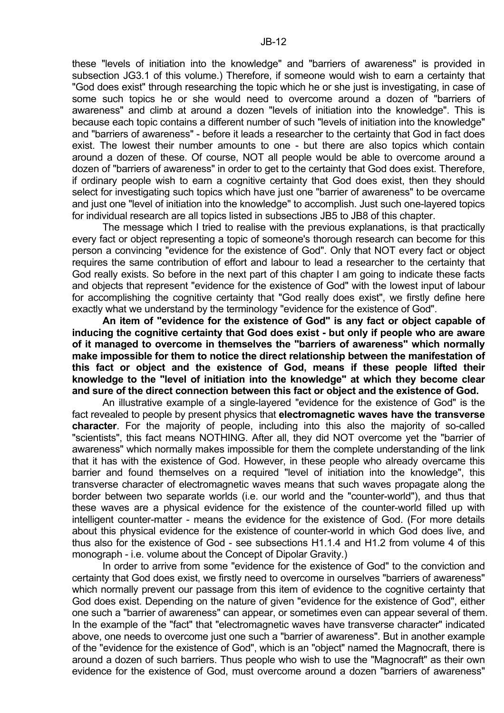these "levels of initiation into the knowledge" and "barriers of awareness" is provided in subsection JG3.1 of this volume.) Therefore, if someone would wish to earn a certainty that "God does exist" through researching the topic which he or she just is investigating, in case of some such topics he or she would need to overcome around a dozen of "barriers of awareness" and climb at around a dozen "levels of initiation into the knowledge". This is because each topic contains a different number of such "levels of initiation into the knowledge" and "barriers of awareness" - before it leads a researcher to the certainty that God in fact does exist. The lowest their number amounts to one - but there are also topics which contain around a dozen of these. Of course, NOT all people would be able to overcome around a dozen of "barriers of awareness" in order to get to the certainty that God does exist. Therefore, if ordinary people wish to earn a cognitive certainty that God does exist, then they should select for investigating such topics which have just one "barrier of awareness" to be overcame and just one "level of initiation into the knowledge" to accomplish. Just such one-layered topics for individual research are all topics listed in subsections JB5 to JB8 of this chapter.

 The message which I tried to realise with the previous explanations, is that practically every fact or object representing a topic of someone's thorough research can become for this person a convincing "evidence for the existence of God". Only that NOT every fact or object requires the same contribution of effort and labour to lead a researcher to the certainty that God really exists. So before in the next part of this chapter I am going to indicate these facts and objects that represent "evidence for the existence of God" with the lowest input of labour for accomplishing the cognitive certainty that "God really does exist", we firstly define here exactly what we understand by the terminology "evidence for the existence of God".

**An item of "evidence for the existence of God" is any fact or object capable of inducing the cognitive certainty that God does exist - but only if people who are aware of it managed to overcome in themselves the "barriers of awareness" which normally make impossible for them to notice the direct relationship between the manifestation of this fact or object and the existence of God, means if these people lifted their knowledge to the "level of initiation into the knowledge" at which they become clear and sure of the direct connection between this fact or object and the existence of God.**

 An illustrative example of a single-layered "evidence for the existence of God" is the fact revealed to people by present physics that **electromagnetic waves have the transverse character**. For the majority of people, including into this also the majority of so-called "scientists", this fact means NOTHING. After all, they did NOT overcome yet the "barrier of awareness" which normally makes impossible for them the complete understanding of the link that it has with the existence of God. However, in these people who already overcame this barrier and found themselves on a required "level of initiation into the knowledge", this transverse character of electromagnetic waves means that such waves propagate along the border between two separate worlds (i.e. our world and the "counter-world"), and thus that these waves are a physical evidence for the existence of the counter-world filled up with intelligent counter-matter - means the evidence for the existence of God. (For more details about this physical evidence for the existence of counter-world in which God does live, and thus also for the existence of God - see subsections H1.1.4 and H1.2 from volume 4 of this monograph - i.e. volume about the Concept of Dipolar Gravity.)

 In order to arrive from some "evidence for the existence of God" to the conviction and certainty that God does exist, we firstly need to overcome in ourselves "barriers of awareness" which normally prevent our passage from this item of evidence to the cognitive certainty that God does exist. Depending on the nature of given "evidence for the existence of God", either one such a "barrier of awareness" can appear, or sometimes even can appear several of them. In the example of the "fact" that "electromagnetic waves have transverse character" indicated above, one needs to overcome just one such a "barrier of awareness". But in another example of the "evidence for the existence of God", which is an "object" named the Magnocraft, there is around a dozen of such barriers. Thus people who wish to use the "Magnocraft" as their own evidence for the existence of God, must overcome around a dozen "barriers of awareness"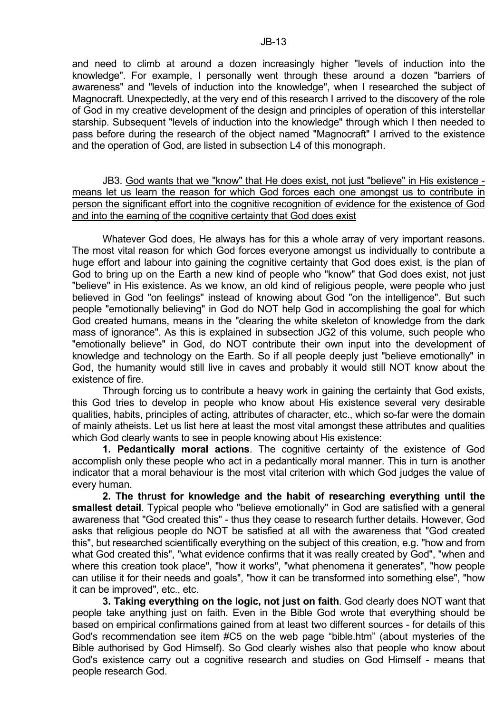and need to climb at around a dozen increasingly higher "levels of induction into the knowledge". For example, I personally went through these around a dozen "barriers of awareness" and "levels of induction into the knowledge", when I researched the subject of Magnocraft. Unexpectedly, at the very end of this research I arrived to the discovery of the role of God in my creative development of the design and principles of operation of this interstellar starship. Subsequent "levels of induction into the knowledge" through which I then needed to pass before during the research of the object named "Magnocraft" I arrived to the existence and the operation of God, are listed in subsection L4 of this monograph.

 JB3. God wants that we "know" that He does exist, not just "believe" in His existence means let us learn the reason for which God forces each one amongst us to contribute in person the significant effort into the cognitive recognition of evidence for the existence of God and into the earning of the cognitive certainty that God does exist

 Whatever God does, He always has for this a whole array of very important reasons. The most vital reason for which God forces everyone amongst us individually to contribute a huge effort and labour into gaining the cognitive certainty that God does exist, is the plan of God to bring up on the Earth a new kind of people who "know" that God does exist, not just "believe" in His existence. As we know, an old kind of religious people, were people who just believed in God "on feelings" instead of knowing about God "on the intelligence". But such people "emotionally believing" in God do NOT help God in accomplishing the goal for which God created humans, means in the "clearing the white skeleton of knowledge from the dark mass of ignorance". As this is explained in subsection JG2 of this volume, such people who "emotionally believe" in God, do NOT contribute their own input into the development of knowledge and technology on the Earth. So if all people deeply just "believe emotionally" in God, the humanity would still live in caves and probably it would still NOT know about the existence of fire.

 Through forcing us to contribute a heavy work in gaining the certainty that God exists, this God tries to develop in people who know about His existence several very desirable qualities, habits, principles of acting, attributes of character, etc., which so-far were the domain of mainly atheists. Let us list here at least the most vital amongst these attributes and qualities which God clearly wants to see in people knowing about His existence:

**1. Pedantically moral actions**. The cognitive certainty of the existence of God accomplish only these people who act in a pedantically moral manner. This in turn is another indicator that a moral behaviour is the most vital criterion with which God judges the value of every human.

**2. The thrust for knowledge and the habit of researching everything until the smallest detail**. Typical people who "believe emotionally" in God are satisfied with a general awareness that "God created this" - thus they cease to research further details. However, God asks that religious people do NOT be satisfied at all with the awareness that "God created this", but researched scientifically everything on the subject of this creation, e.g. "how and from what God created this", "what evidence confirms that it was really created by God", "when and where this creation took place", "how it works", "what phenomena it generates", "how people can utilise it for their needs and goals", "how it can be transformed into something else", "how it can be improved", etc., etc.

**3. Taking everything on the logic, not just on faith**. God clearly does NOT want that people take anything just on faith. Even in the Bible God wrote that everything should be based on empirical confirmations gained from at least two different sources - for details of this God's recommendation see item #C5 on the web page "bible.htm" (about mysteries of the Bible authorised by God Himself). So God clearly wishes also that people who know about God's existence carry out a cognitive research and studies on God Himself - means that people research God.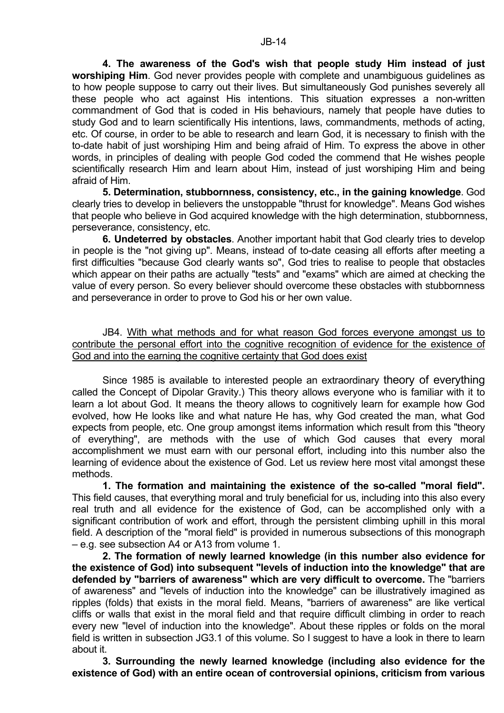**4. The awareness of the God's wish that people study Him instead of just worshiping Him**. God never provides people with complete and unambiguous guidelines as to how people suppose to carry out their lives. But simultaneously God punishes severely all these people who act against His intentions. This situation expresses a non-written commandment of God that is coded in His behaviours, namely that people have duties to study God and to learn scientifically His intentions, laws, commandments, methods of acting, etc. Of course, in order to be able to research and learn God, it is necessary to finish with the to-date habit of just worshiping Him and being afraid of Him. To express the above in other words, in principles of dealing with people God coded the commend that He wishes people scientifically research Him and learn about Him, instead of just worshiping Him and being afraid of Him.

**5. Determination, stubbornness, consistency, etc., in the gaining knowledge**. God clearly tries to develop in believers the unstoppable "thrust for knowledge". Means God wishes that people who believe in God acquired knowledge with the high determination, stubbornness, perseverance, consistency, etc.

**6. Undeterred by obstacles**. Another important habit that God clearly tries to develop in people is the "not giving up". Means, instead of to-date ceasing all efforts after meeting a first difficulties "because God clearly wants so", God tries to realise to people that obstacles which appear on their paths are actually "tests" and "exams" which are aimed at checking the value of every person. So every believer should overcome these obstacles with stubbornness and perseverance in order to prove to God his or her own value.

 JB4. With what methods and for what reason God forces everyone amongst us to contribute the personal effort into the cognitive recognition of evidence for the existence of God and into the earning the cognitive certainty that God does exist

 Since 1985 is available to interested people an extraordinary theory of everything called the Concept of Dipolar Gravity.) This theory allows everyone who is familiar with it to learn a lot about God. It means the theory allows to cognitively learn for example how God evolved, how He looks like and what nature He has, why God created the man, what God expects from people, etc. One group amongst items information which result from this "theory of everything", are methods with the use of which God causes that every moral accomplishment we must earn with our personal effort, including into this number also the learning of evidence about the existence of God. Let us review here most vital amongst these methods.

**1. The formation and maintaining the existence of the so-called "moral field".** This field causes, that everything moral and truly beneficial for us, including into this also every real truth and all evidence for the existence of God, can be accomplished only with a significant contribution of work and effort, through the persistent climbing uphill in this moral field. A description of the "moral field" is provided in numerous subsections of this monograph – e.g. see subsection A4 or A13 from volume 1.

**2. The formation of newly learned knowledge (in this number also evidence for the existence of God) into subsequent "levels of induction into the knowledge" that are defended by "barriers of awareness" which are very difficult to overcome.** The "barriers of awareness" and "levels of induction into the knowledge" can be illustratively imagined as ripples (folds) that exists in the moral field. Means, "barriers of awareness" are like vertical cliffs or walls that exist in the moral field and that require difficult climbing in order to reach every new "level of induction into the knowledge". About these ripples or folds on the moral field is written in subsection JG3.1 of this volume. So I suggest to have a look in there to learn about it.

**3. Surrounding the newly learned knowledge (including also evidence for the existence of God) with an entire ocean of controversial opinions, criticism from various**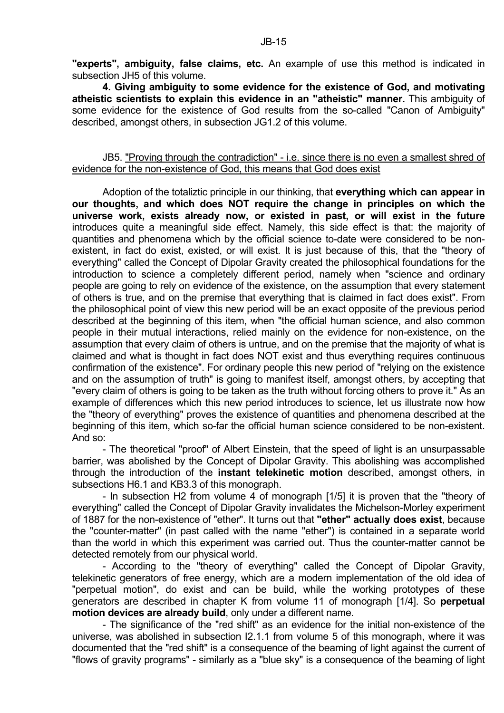**"experts", ambiguity, false claims, etc.** An example of use this method is indicated in subsection JH5 of this volume.

**4. Giving ambiguity to some evidence for the existence of God, and motivating atheistic scientists to explain this evidence in an "atheistic" manner.** This ambiguity of some evidence for the existence of God results from the so-called "Canon of Ambiguity" described, amongst others, in subsection JG1.2 of this volume.

# JB5. "Proving through the contradiction" - i.e. since there is no even a smallest shred of evidence for the non-existence of God, this means that God does exist

 Adoption of the totaliztic principle in our thinking, that **everything which can appear in our thoughts, and which does NOT require the change in principles on which the universe work, exists already now, or existed in past, or will exist in the future** introduces quite a meaningful side effect. Namely, this side effect is that: the majority of quantities and phenomena which by the official science to-date were considered to be nonexistent, in fact do exist, existed, or will exist. It is just because of this, that the "theory of everything" called the Concept of Dipolar Gravity created the philosophical foundations for the introduction to science a completely different period, namely when "science and ordinary people are going to rely on evidence of the existence, on the assumption that every statement of others is true, and on the premise that everything that is claimed in fact does exist". From the philosophical point of view this new period will be an exact opposite of the previous period described at the beginning of this item, when "the official human science, and also common people in their mutual interactions, relied mainly on the evidence for non-existence, on the assumption that every claim of others is untrue, and on the premise that the majority of what is claimed and what is thought in fact does NOT exist and thus everything requires continuous confirmation of the existence". For ordinary people this new period of "relying on the existence and on the assumption of truth" is going to manifest itself, amongst others, by accepting that "every claim of others is going to be taken as the truth without forcing others to prove it." As an example of differences which this new period introduces to science, let us illustrate now how the "theory of everything" proves the existence of quantities and phenomena described at the beginning of this item, which so-far the official human science considered to be non-existent. And so:

 - The theoretical "proof" of Albert Einstein, that the speed of light is an unsurpassable barrier, was abolished by the Concept of Dipolar Gravity. This abolishing was accomplished through the introduction of the **instant telekinetic motion** described, amongst others, in subsections H6.1 and KB3.3 of this monograph.

 - In subsection H2 from volume 4 of monograph [1/5] it is proven that the "theory of everything" called the Concept of Dipolar Gravity invalidates the Michelson-Morley experiment of 1887 for the non-existence of "ether". It turns out that **"ether" actually does exist**, because the "counter-matter" (in past called with the name "ether") is contained in a separate world than the world in which this experiment was carried out. Thus the counter-matter cannot be detected remotely from our physical world.

 - According to the "theory of everything" called the Concept of Dipolar Gravity, telekinetic generators of free energy, which are a modern implementation of the old idea of "perpetual motion", do exist and can be build, while the working prototypes of these generators are described in chapter K from volume 11 of monograph [1/4]. So **perpetual motion devices are already build**, only under a different name.

 - The significance of the "red shift" as an evidence for the initial non-existence of the universe, was abolished in subsection I2.1.1 from volume 5 of this monograph, where it was documented that the "red shift" is a consequence of the beaming of light against the current of "flows of gravity programs" - similarly as a "blue sky" is a consequence of the beaming of light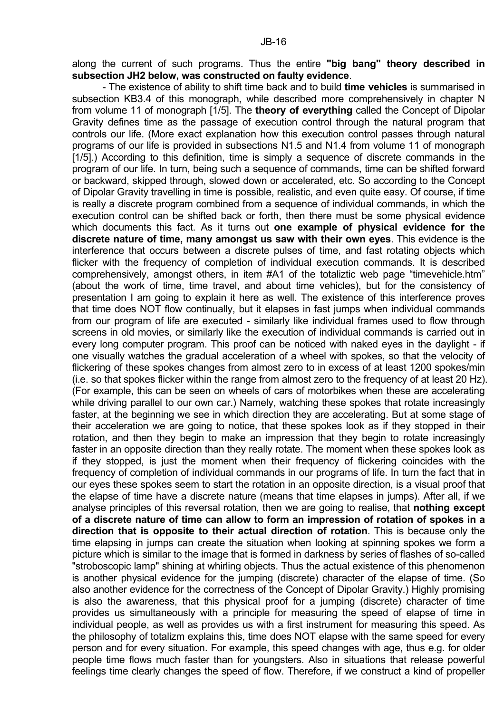along the current of such programs. Thus the entire **"big bang" theory described in subsection JH2 below, was constructed on faulty evidence**.

 - The existence of ability to shift time back and to build **time vehicles** is summarised in subsection KB3.4 of this monograph, while described more comprehensively in chapter N from volume 11 of monograph [1/5]. The **theory of everything** called the Concept of Dipolar Gravity defines time as the passage of execution control through the natural program that controls our life. (More exact explanation how this execution control passes through natural programs of our life is provided in subsections N1.5 and N1.4 from volume 11 of monograph [1/5].) According to this definition, time is simply a sequence of discrete commands in the program of our life. In turn, being such a sequence of commands, time can be shifted forward or backward, skipped through, slowed down or accelerated, etc. So according to the Concept of Dipolar Gravity travelling in time is possible, realistic, and even quite easy. Of course, if time is really a discrete program combined from a sequence of individual commands, in which the execution control can be shifted back or forth, then there must be some physical evidence which documents this fact. As it turns out **one example of physical evidence for the discrete nature of time, many amongst us saw with their own eyes**. This evidence is the interference that occurs between a discrete pulses of time, and fast rotating objects which flicker with the frequency of completion of individual execution commands. It is described comprehensively, amongst others, in item #A1 of the totaliztic web page "timevehicle.htm" (about the work of time, time travel, and about time vehicles), but for the consistency of presentation I am going to explain it here as well. The existence of this interference proves that time does NOT flow continually, but it elapses in fast jumps when individual commands from our program of life are executed - similarly like individual frames used to flow through screens in old movies, or similarly like the execution of individual commands is carried out in every long computer program. This proof can be noticed with naked eyes in the daylight - if one visually watches the gradual acceleration of a wheel with spokes, so that the velocity of flickering of these spokes changes from almost zero to in excess of at least 1200 spokes/min (i.e. so that spokes flicker within the range from almost zero to the frequency of at least 20 Hz). (For example, this can be seen on wheels of cars of motorbikes when these are accelerating while driving parallel to our own car.) Namely, watching these spokes that rotate increasingly faster, at the beginning we see in which direction they are accelerating. But at some stage of their acceleration we are going to notice, that these spokes look as if they stopped in their rotation, and then they begin to make an impression that they begin to rotate increasingly faster in an opposite direction than they really rotate. The moment when these spokes look as if they stopped, is just the moment when their frequency of flickering coincides with the frequency of completion of individual commands in our programs of life. In turn the fact that in our eyes these spokes seem to start the rotation in an opposite direction, is a visual proof that the elapse of time have a discrete nature (means that time elapses in jumps). After all, if we analyse principles of this reversal rotation, then we are going to realise, that **nothing except of a discrete nature of time can allow to form an impression of rotation of spokes in a direction that is opposite to their actual direction of rotation**. This is because only the time elapsing in jumps can create the situation when looking at spinning spokes we form a picture which is similar to the image that is formed in darkness by series of flashes of so-called "stroboscopic lamp" shining at whirling objects. Thus the actual existence of this phenomenon is another physical evidence for the jumping (discrete) character of the elapse of time. (So also another evidence for the correctness of the Concept of Dipolar Gravity.) Highly promising is also the awareness, that this physical proof for a jumping (discrete) character of time provides us simultaneously with a principle for measuring the speed of elapse of time in individual people, as well as provides us with a first instrument for measuring this speed. As the philosophy of totalizm explains this, time does NOT elapse with the same speed for every person and for every situation. For example, this speed changes with age, thus e.g. for older people time flows much faster than for youngsters. Also in situations that release powerful feelings time clearly changes the speed of flow. Therefore, if we construct a kind of propeller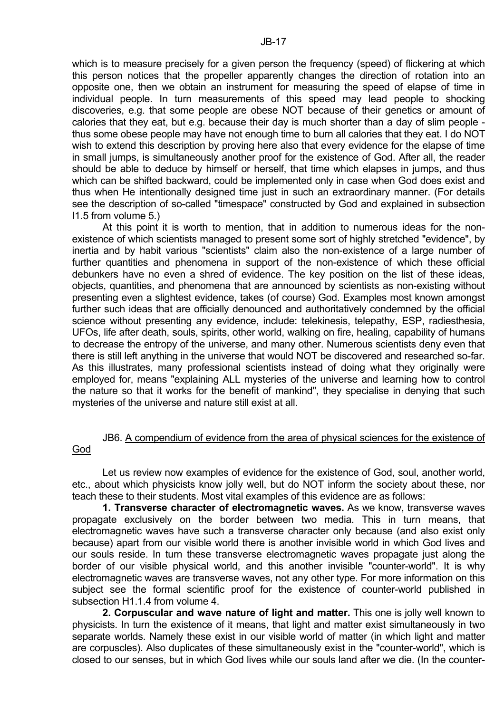individual people. In turn measurements of this speed may lead people to shocking discoveries, e.g. that some people are obese NOT because of their genetics or amount of calories that they eat, but e.g. because their day is much shorter than a day of slim people thus some obese people may have not enough time to burn all calories that they eat. I do NOT wish to extend this description by proving here also that every evidence for the elapse of time in small jumps, is simultaneously another proof for the existence of God. After all, the reader should be able to deduce by himself or herself, that time which elapses in jumps, and thus which can be shifted backward, could be implemented only in case when God does exist and thus when He intentionally designed time just in such an extraordinary manner. (For details see the description of so-called "timespace" constructed by God and explained in subsection I1.5 from volume 5.)

 At this point it is worth to mention, that in addition to numerous ideas for the nonexistence of which scientists managed to present some sort of highly stretched "evidence", by inertia and by habit various "scientists" claim also the non-existence of a large number of further quantities and phenomena in support of the non-existence of which these official debunkers have no even a shred of evidence. The key position on the list of these ideas, objects, quantities, and phenomena that are announced by scientists as non-existing without presenting even a slightest evidence, takes (of course) God. Examples most known amongst further such ideas that are officially denounced and authoritatively condemned by the official science without presenting any evidence, include: telekinesis, telepathy, ESP, radiesthesia, UFOs, life after death, souls, spirits, other world, walking on fire, healing, capability of humans to decrease the entropy of the universe, and many other. Numerous scientists deny even that there is still left anything in the universe that would NOT be discovered and researched so-far. As this illustrates, many professional scientists instead of doing what they originally were employed for, means "explaining ALL mysteries of the universe and learning how to control the nature so that it works for the benefit of mankind", they specialise in denying that such mysteries of the universe and nature still exist at all.

# JB6. A compendium of evidence from the area of physical sciences for the existence of God

 Let us review now examples of evidence for the existence of God, soul, another world, etc., about which physicists know jolly well, but do NOT inform the society about these, nor teach these to their students. Most vital examples of this evidence are as follows:

**1. Transverse character of electromagnetic waves.** As we know, transverse waves propagate exclusively on the border between two media. This in turn means, that electromagnetic waves have such a transverse character only because (and also exist only because) apart from our visible world there is another invisible world in which God lives and our souls reside. In turn these transverse electromagnetic waves propagate just along the border of our visible physical world, and this another invisible "counter-world". It is why electromagnetic waves are transverse waves, not any other type. For more information on this subject see the formal scientific proof for the existence of counter-world published in subsection H1.1.4 from volume 4.

**2. Corpuscular and wave nature of light and matter.** This one is jolly well known to physicists. In turn the existence of it means, that light and matter exist simultaneously in two separate worlds. Namely these exist in our visible world of matter (in which light and matter are corpuscles). Also duplicates of these simultaneously exist in the "counter-world", which is closed to our senses, but in which God lives while our souls land after we die. (In the counter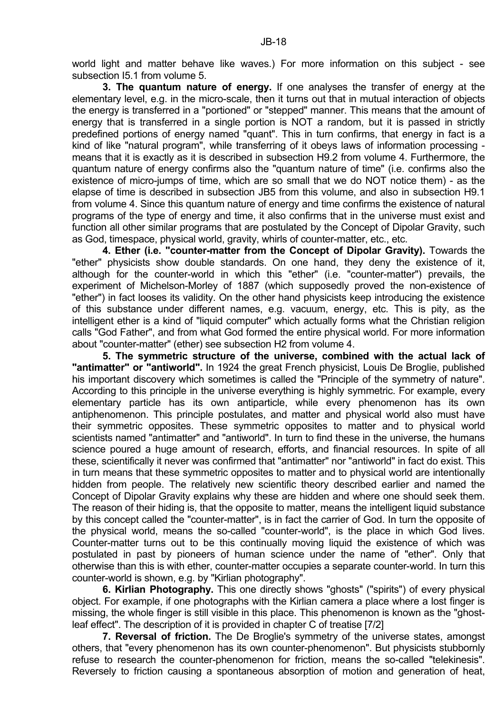world light and matter behave like waves.) For more information on this subject - see subsection I5.1 from volume 5.

**3. The quantum nature of energy.** If one analyses the transfer of energy at the elementary level, e.g. in the micro-scale, then it turns out that in mutual interaction of objects the energy is transferred in a "portioned" or "stepped" manner. This means that the amount of energy that is transferred in a single portion is NOT a random, but it is passed in strictly predefined portions of energy named "quant". This in turn confirms, that energy in fact is a kind of like "natural program", while transferring of it obeys laws of information processing means that it is exactly as it is described in subsection H9.2 from volume 4. Furthermore, the quantum nature of energy confirms also the "quantum nature of time" (i.e. confirms also the existence of micro-jumps of time, which are so small that we do NOT notice them) - as the elapse of time is described in subsection JB5 from this volume, and also in subsection H9.1 from volume 4. Since this quantum nature of energy and time confirms the existence of natural programs of the type of energy and time, it also confirms that in the universe must exist and function all other similar programs that are postulated by the Concept of Dipolar Gravity, such as God, timespace, physical world, gravity, whirls of counter-matter, etc., etc.

**4. Ether (i.e. "counter-matter from the Concept of Dipolar Gravity).** Towards the "ether" physicists show double standards. On one hand, they deny the existence of it, although for the counter-world in which this "ether" (i.e. "counter-matter") prevails, the experiment of Michelson-Morley of 1887 (which supposedly proved the non-existence of "ether") in fact looses its validity. On the other hand physicists keep introducing the existence of this substance under different names, e.g. vacuum, energy, etc. This is pity, as the intelligent ether is a kind of "liquid computer" which actually forms what the Christian religion calls "God Father", and from what God formed the entire physical world. For more information about "counter-matter" (ether) see subsection H2 from volume 4.

**5. The symmetric structure of the universe, combined with the actual lack of "antimatter" or "antiworld".** In 1924 the great French physicist, Louis De Broglie, published his important discovery which sometimes is called the "Principle of the symmetry of nature". According to this principle in the universe everything is highly symmetric. For example, every elementary particle has its own antiparticle, while every phenomenon has its own antiphenomenon. This principle postulates, and matter and physical world also must have their symmetric opposites. These symmetric opposites to matter and to physical world scientists named "antimatter" and "antiworld". In turn to find these in the universe, the humans science poured a huge amount of research, efforts, and financial resources. In spite of all these, scientifically it never was confirmed that "antimatter" nor "antiworld" in fact do exist. This in turn means that these symmetric opposites to matter and to physical world are intentionally hidden from people. The relatively new scientific theory described earlier and named the Concept of Dipolar Gravity explains why these are hidden and where one should seek them. The reason of their hiding is, that the opposite to matter, means the intelligent liquid substance by this concept called the "counter-matter", is in fact the carrier of God. In turn the opposite of the physical world, means the so-called "counter-world", is the place in which God lives. Counter-matter turns out to be this continually moving liquid the existence of which was postulated in past by pioneers of human science under the name of "ether". Only that otherwise than this is with ether, counter-matter occupies a separate counter-world. In turn this counter-world is shown, e.g. by "Kirlian photography".

**6. Kirlian Photography.** This one directly shows "ghosts" ("spirits") of every physical object. For example, if one photographs with the Kirlian camera a place where a lost finger is missing, the whole finger is still visible in this place. This phenomenon is known as the "ghostleaf effect". The description of it is provided in chapter C of treatise [7/2]

**7. Reversal of friction.** The De Broglie's symmetry of the universe states, amongst others, that "every phenomenon has its own counter-phenomenon". But physicists stubbornly refuse to research the counter-phenomenon for friction, means the so-called "telekinesis". Reversely to friction causing a spontaneous absorption of motion and generation of heat,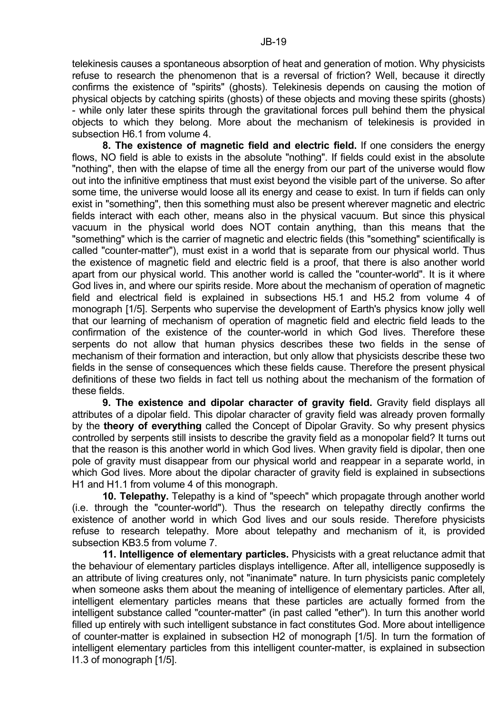subsection H6.1 from volume 4. **8. The existence of magnetic field and electric field.** If one considers the energy flows, NO field is able to exists in the absolute "nothing". If fields could exist in the absolute "nothing", then with the elapse of time all the energy from our part of the universe would flow out into the infinitive emptiness that must exist beyond the visible part of the universe. So after some time, the universe would loose all its energy and cease to exist. In turn if fields can only exist in "something", then this something must also be present wherever magnetic and electric fields interact with each other, means also in the physical vacuum. But since this physical vacuum in the physical world does NOT contain anything, than this means that the "something" which is the carrier of magnetic and electric fields (this "something" scientifically is called "counter-matter"), must exist in a world that is separate from our physical world. Thus the existence of magnetic field and electric field is a proof, that there is also another world apart from our physical world. This another world is called the "counter-world". It is it where God lives in, and where our spirits reside. More about the mechanism of operation of magnetic field and electrical field is explained in subsections H5.1 and H5.2 from volume 4 of monograph [1/5]. Serpents who supervise the development of Earth's physics know jolly well that our learning of mechanism of operation of magnetic field and electric field leads to the confirmation of the existence of the counter-world in which God lives. Therefore these serpents do not allow that human physics describes these two fields in the sense of mechanism of their formation and interaction, but only allow that physicists describe these two fields in the sense of consequences which these fields cause. Therefore the present physical definitions of these two fields in fact tell us nothing about the mechanism of the formation of these fields.

**9. The existence and dipolar character of gravity field.** Gravity field displays all attributes of a dipolar field. This dipolar character of gravity field was already proven formally by the **theory of everything** called the Concept of Dipolar Gravity. So why present physics controlled by serpents still insists to describe the gravity field as a monopolar field? It turns out that the reason is this another world in which God lives. When gravity field is dipolar, then one pole of gravity must disappear from our physical world and reappear in a separate world, in which God lives. More about the dipolar character of gravity field is explained in subsections H1 and H1.1 from volume 4 of this monograph.

**10. Telepathy.** Telepathy is a kind of "speech" which propagate through another world (i.e. through the "counter-world"). Thus the research on telepathy directly confirms the existence of another world in which God lives and our souls reside. Therefore physicists refuse to research telepathy. More about telepathy and mechanism of it, is provided subsection KB3.5 from volume 7.

**11. Intelligence of elementary particles.** Physicists with a great reluctance admit that the behaviour of elementary particles displays intelligence. After all, intelligence supposedly is an attribute of living creatures only, not "inanimate" nature. In turn physicists panic completely when someone asks them about the meaning of intelligence of elementary particles. After all, intelligent elementary particles means that these particles are actually formed from the intelligent substance called "counter-matter" (in past called "ether"). In turn this another world filled up entirely with such intelligent substance in fact constitutes God. More about intelligence of counter-matter is explained in subsection H2 of monograph [1/5]. In turn the formation of intelligent elementary particles from this intelligent counter-matter, is explained in subsection I1.3 of monograph [1/5].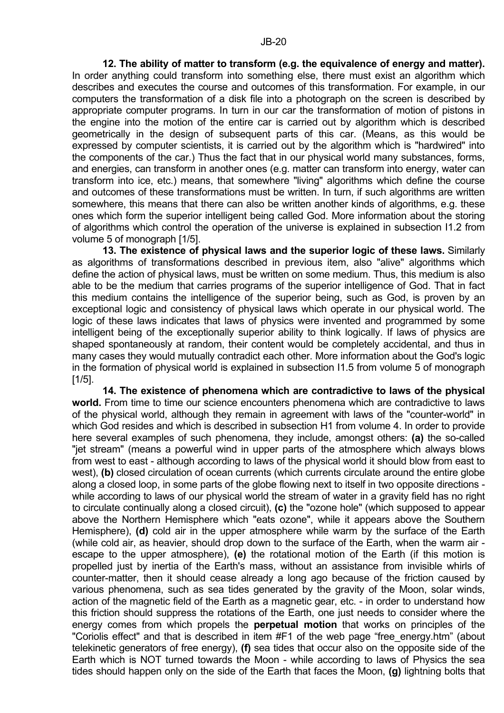**12. The ability of matter to transform (e.g. the equivalence of energy and matter).** In order anything could transform into something else, there must exist an algorithm which describes and executes the course and outcomes of this transformation. For example, in our computers the transformation of a disk file into a photograph on the screen is described by appropriate computer programs. In turn in our car the transformation of motion of pistons in the engine into the motion of the entire car is carried out by algorithm which is described geometrically in the design of subsequent parts of this car. (Means, as this would be expressed by computer scientists, it is carried out by the algorithm which is "hardwired" into the components of the car.) Thus the fact that in our physical world many substances, forms, and energies, can transform in another ones (e.g. matter can transform into energy, water can transform into ice, etc.) means, that somewhere "living" algorithms which define the course and outcomes of these transformations must be written. In turn, if such algorithms are written somewhere, this means that there can also be written another kinds of algorithms, e.g. these ones which form the superior intelligent being called God. More information about the storing of algorithms which control the operation of the universe is explained in subsection I1.2 from volume 5 of monograph [1/5].

**13. The existence of physical laws and the superior logic of these laws.** Similarly as algorithms of transformations described in previous item, also "alive" algorithms which define the action of physical laws, must be written on some medium. Thus, this medium is also able to be the medium that carries programs of the superior intelligence of God. That in fact this medium contains the intelligence of the superior being, such as God, is proven by an exceptional logic and consistency of physical laws which operate in our physical world. The logic of these laws indicates that laws of physics were invented and programmed by some intelligent being of the exceptionally superior ability to think logically. If laws of physics are shaped spontaneously at random, their content would be completely accidental, and thus in many cases they would mutually contradict each other. More information about the God's logic in the formation of physical world is explained in subsection I1.5 from volume 5 of monograph [1/5].

**14. The existence of phenomena which are contradictive to laws of the physical world.** From time to time our science encounters phenomena which are contradictive to laws of the physical world, although they remain in agreement with laws of the "counter-world" in which God resides and which is described in subsection H1 from volume 4. In order to provide here several examples of such phenomena, they include, amongst others: **(a)** the so-called "jet stream" (means a powerful wind in upper parts of the atmosphere which always blows from west to east - although according to laws of the physical world it should blow from east to west), **(b)** closed circulation of ocean currents (which currents circulate around the entire globe along a closed loop, in some parts of the globe flowing next to itself in two opposite directions while according to laws of our physical world the stream of water in a gravity field has no right to circulate continually along a closed circuit), **(c)** the "ozone hole" (which supposed to appear above the Northern Hemisphere which "eats ozone", while it appears above the Southern Hemisphere), **(d)** cold air in the upper atmosphere while warm by the surface of the Earth (while cold air, as heavier, should drop down to the surface of the Earth, when the warm air escape to the upper atmosphere), **(e)** the rotational motion of the Earth (if this motion is propelled just by inertia of the Earth's mass, without an assistance from invisible whirls of counter-matter, then it should cease already a long ago because of the friction caused by various phenomena, such as sea tides generated by the gravity of the Moon, solar winds, action of the magnetic field of the Earth as a magnetic gear, etc. - in order to understand how this friction should suppress the rotations of the Earth, one just needs to consider where the energy comes from which propels the **perpetual motion** that works on principles of the "Coriolis effect" and that is described in item #F1 of the web page "free\_energy.htm" (about telekinetic generators of free energy), **(f)** sea tides that occur also on the opposite side of the Earth which is NOT turned towards the Moon - while according to laws of Physics the sea tides should happen only on the side of the Earth that faces the Moon, **(g)** lightning bolts that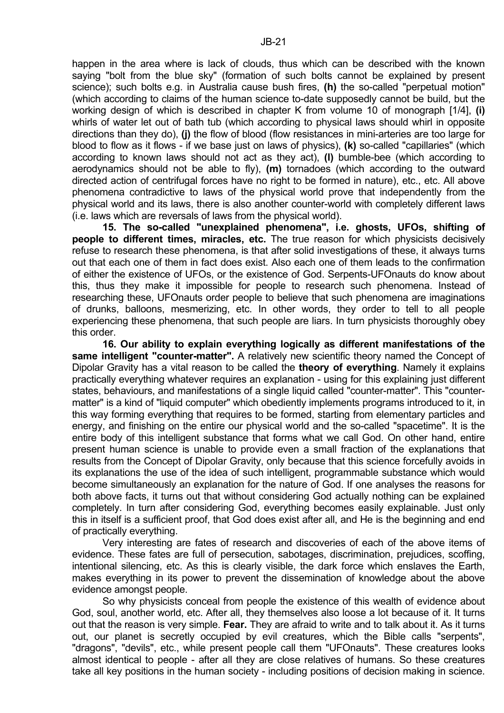happen in the area where is lack of clouds, thus which can be described with the known saying "bolt from the blue sky" (formation of such bolts cannot be explained by present science); such bolts e.g. in Australia cause bush fires, **(h)** the so-called "perpetual motion" (which according to claims of the human science to-date supposedly cannot be build, but the working design of which is described in chapter K from volume 10 of monograph [1/4], **(i)** whirls of water let out of bath tub (which according to physical laws should whirl in opposite directions than they do), **(j)** the flow of blood (flow resistances in mini-arteries are too large for blood to flow as it flows - if we base just on laws of physics), **(k)** so-called "capillaries" (which according to known laws should not act as they act), **(l)** bumble-bee (which according to aerodynamics should not be able to fly), **(m)** tornadoes (which according to the outward directed action of centrifugal forces have no right to be formed in nature), etc., etc. All above phenomena contradictive to laws of the physical world prove that independently from the physical world and its laws, there is also another counter-world with completely different laws (i.e. laws which are reversals of laws from the physical world).

**15. The so-called "unexplained phenomena", i.e. ghosts, UFOs, shifting of people to different times, miracles, etc.** The true reason for which physicists decisively refuse to research these phenomena, is that after solid investigations of these, it always turns out that each one of them in fact does exist. Also each one of them leads to the confirmation of either the existence of UFOs, or the existence of God. Serpents-UFOnauts do know about this, thus they make it impossible for people to research such phenomena. Instead of researching these, UFOnauts order people to believe that such phenomena are imaginations of drunks, balloons, mesmerizing, etc. In other words, they order to tell to all people experiencing these phenomena, that such people are liars. In turn physicists thoroughly obey this order.

**16. Our ability to explain everything logically as different manifestations of the same intelligent "counter-matter".** A relatively new scientific theory named the Concept of Dipolar Gravity has a vital reason to be called the **theory of everything**. Namely it explains practically everything whatever requires an explanation - using for this explaining just different states, behaviours, and manifestations of a single liquid called "counter-matter". This "countermatter" is a kind of "liquid computer" which obediently implements programs introduced to it, in this way forming everything that requires to be formed, starting from elementary particles and energy, and finishing on the entire our physical world and the so-called "spacetime". It is the entire body of this intelligent substance that forms what we call God. On other hand, entire present human science is unable to provide even a small fraction of the explanations that results from the Concept of Dipolar Gravity, only because that this science forcefully avoids in its explanations the use of the idea of such intelligent, programmable substance which would become simultaneously an explanation for the nature of God. If one analyses the reasons for both above facts, it turns out that without considering God actually nothing can be explained completely. In turn after considering God, everything becomes easily explainable. Just only this in itself is a sufficient proof, that God does exist after all, and He is the beginning and end of practically everything.

 Very interesting are fates of research and discoveries of each of the above items of evidence. These fates are full of persecution, sabotages, discrimination, prejudices, scoffing, intentional silencing, etc. As this is clearly visible, the dark force which enslaves the Earth, makes everything in its power to prevent the dissemination of knowledge about the above evidence amongst people.

 So why physicists conceal from people the existence of this wealth of evidence about God, soul, another world, etc. After all, they themselves also loose a lot because of it. It turns out that the reason is very simple. **Fear.** They are afraid to write and to talk about it. As it turns out, our planet is secretly occupied by evil creatures, which the Bible calls "serpents", "dragons", "devils", etc., while present people call them "UFOnauts". These creatures looks almost identical to people - after all they are close relatives of humans. So these creatures take all key positions in the human society - including positions of decision making in science.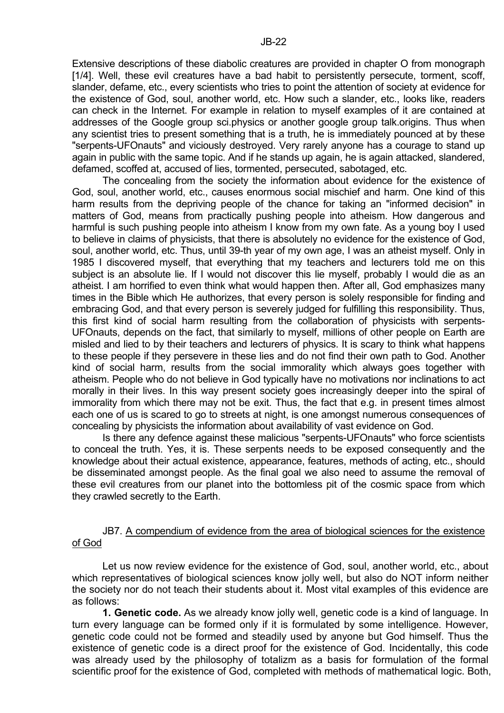Extensive descriptions of these diabolic creatures are provided in chapter O from monograph [1/4]. Well, these evil creatures have a bad habit to persistently persecute, torment, scoff, slander, defame, etc., every scientists who tries to point the attention of society at evidence for the existence of God, soul, another world, etc. How such a slander, etc., looks like, readers can check in the Internet. For example in relation to myself examples of it are contained at addresses of the Google group sci.physics or another google group talk.origins. Thus when any scientist tries to present something that is a truth, he is immediately pounced at by these "serpents-UFOnauts" and viciously destroyed. Very rarely anyone has a courage to stand up again in public with the same topic. And if he stands up again, he is again attacked, slandered, defamed, scoffed at, accused of lies, tormented, persecuted, sabotaged, etc.

 The concealing from the society the information about evidence for the existence of God, soul, another world, etc., causes enormous social mischief and harm. One kind of this harm results from the depriving people of the chance for taking an "informed decision" in matters of God, means from practically pushing people into atheism. How dangerous and harmful is such pushing people into atheism I know from my own fate. As a young boy I used to believe in claims of physicists, that there is absolutely no evidence for the existence of God, soul, another world, etc. Thus, until 39-th year of my own age, I was an atheist myself. Only in 1985 I discovered myself, that everything that my teachers and lecturers told me on this subject is an absolute lie. If I would not discover this lie myself, probably I would die as an atheist. I am horrified to even think what would happen then. After all, God emphasizes many times in the Bible which He authorizes, that every person is solely responsible for finding and embracing God, and that every person is severely judged for fulfilling this responsibility. Thus, this first kind of social harm resulting from the collaboration of physicists with serpents-UFOnauts, depends on the fact, that similarly to myself, millions of other people on Earth are misled and lied to by their teachers and lecturers of physics. It is scary to think what happens to these people if they persevere in these lies and do not find their own path to God. Another kind of social harm, results from the social immorality which always goes together with atheism. People who do not believe in God typically have no motivations nor inclinations to act morally in their lives. In this way present society goes increasingly deeper into the spiral of immorality from which there may not be exit. Thus, the fact that e.g. in present times almost each one of us is scared to go to streets at night, is one amongst numerous consequences of concealing by physicists the information about availability of vast evidence on God.

 Is there any defence against these malicious "serpents-UFOnauts" who force scientists to conceal the truth. Yes, it is. These serpents needs to be exposed consequently and the knowledge about their actual existence, appearance, features, methods of acting, etc., should be disseminated amongst people. As the final goal we also need to assume the removal of these evil creatures from our planet into the bottomless pit of the cosmic space from which they crawled secretly to the Earth.

# JB7. A compendium of evidence from the area of biological sciences for the existence of God

 Let us now review evidence for the existence of God, soul, another world, etc., about which representatives of biological sciences know jolly well, but also do NOT inform neither the society nor do not teach their students about it. Most vital examples of this evidence are as follows:

**1. Genetic code.** As we already know jolly well, genetic code is a kind of language. In turn every language can be formed only if it is formulated by some intelligence. However, genetic code could not be formed and steadily used by anyone but God himself. Thus the existence of genetic code is a direct proof for the existence of God. Incidentally, this code was already used by the philosophy of totalizm as a basis for formulation of the formal scientific proof for the existence of God, completed with methods of mathematical logic. Both,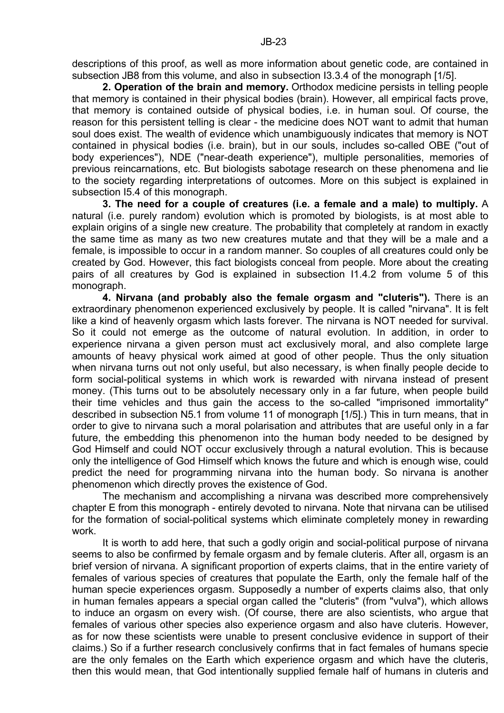descriptions of this proof, as well as more information about genetic code, are contained in subsection JB8 from this volume, and also in subsection I3.3.4 of the monograph [1/5].

**2. Operation of the brain and memory.** Orthodox medicine persists in telling people that memory is contained in their physical bodies (brain). However, all empirical facts prove, that memory is contained outside of physical bodies, i.e. in human soul. Of course, the reason for this persistent telling is clear - the medicine does NOT want to admit that human soul does exist. The wealth of evidence which unambiguously indicates that memory is NOT contained in physical bodies (i.e. brain), but in our souls, includes so-called OBE ("out of body experiences"), NDE ("near-death experience"), multiple personalities, memories of previous reincarnations, etc. But biologists sabotage research on these phenomena and lie to the society regarding interpretations of outcomes. More on this subject is explained in subsection I5.4 of this monograph.

**3. The need for a couple of creatures (i.e. a female and a male) to multiply.** A natural (i.e. purely random) evolution which is promoted by biologists, is at most able to explain origins of a single new creature. The probability that completely at random in exactly the same time as many as two new creatures mutate and that they will be a male and a female, is impossible to occur in a random manner. So couples of all creatures could only be created by God. However, this fact biologists conceal from people. More about the creating pairs of all creatures by God is explained in subsection I1.4.2 from volume 5 of this monograph.

**4. Nirvana (and probably also the female orgasm and "cluteris").** There is an extraordinary phenomenon experienced exclusively by people. It is called "nirvana". It is felt like a kind of heavenly orgasm which lasts forever. The nirvana is NOT needed for survival. So it could not emerge as the outcome of natural evolution. In addition, in order to experience nirvana a given person must act exclusively moral, and also complete large amounts of heavy physical work aimed at good of other people. Thus the only situation when nirvana turns out not only useful, but also necessary, is when finally people decide to form social-political systems in which work is rewarded with nirvana instead of present money. (This turns out to be absolutely necessary only in a far future, when people build their time vehicles and thus gain the access to the so-called "imprisoned immortality" described in subsection N5.1 from volume 11 of monograph [1/5].) This in turn means, that in order to give to nirvana such a moral polarisation and attributes that are useful only in a far future, the embedding this phenomenon into the human body needed to be designed by God Himself and could NOT occur exclusively through a natural evolution. This is because only the intelligence of God Himself which knows the future and which is enough wise, could predict the need for programming nirvana into the human body. So nirvana is another phenomenon which directly proves the existence of God.

 The mechanism and accomplishing a nirvana was described more comprehensively chapter E from this monograph - entirely devoted to nirvana. Note that nirvana can be utilised for the formation of social-political systems which eliminate completely money in rewarding work.

It is worth to add here, that such a godly origin and social-political purpose of nirvana seems to also be confirmed by female orgasm and by female cluteris. After all, orgasm is an brief version of nirvana. A significant proportion of experts claims, that in the entire variety of females of various species of creatures that populate the Earth, only the female half of the human specie experiences orgasm. Supposedly a number of experts claims also, that only in human females appears a special organ called the "cluteris" (from "vulva"), which allows to induce an orgasm on every wish. (Of course, there are also scientists, who argue that females of various other species also experience orgasm and also have cluteris. However, as for now these scientists were unable to present conclusive evidence in support of their claims.) So if a further research conclusively confirms that in fact females of humans specie are the only females on the Earth which experience orgasm and which have the cluteris, then this would mean, that God intentionally supplied female half of humans in cluteris and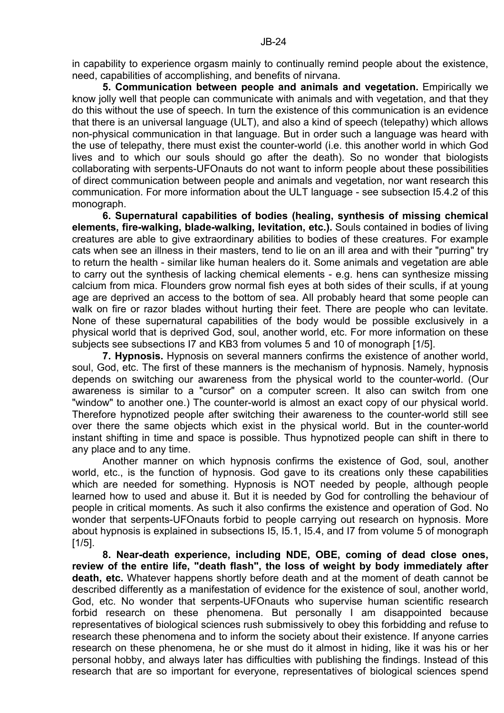in capability to experience orgasm mainly to continually remind people about the existence, need, capabilities of accomplishing, and benefits of nirvana.

**5. Communication between people and animals and vegetation.** Empirically we know jolly well that people can communicate with animals and with vegetation, and that they do this without the use of speech. In turn the existence of this communication is an evidence that there is an universal language (ULT), and also a kind of speech (telepathy) which allows non-physical communication in that language. But in order such a language was heard with the use of telepathy, there must exist the counter-world (i.e. this another world in which God lives and to which our souls should go after the death). So no wonder that biologists collaborating with serpents-UFOnauts do not want to inform people about these possibilities of direct communication between people and animals and vegetation, nor want research this communication. For more information about the ULT language - see subsection I5.4.2 of this monograph.

**6. Supernatural capabilities of bodies (healing, synthesis of missing chemical elements, fire-walking, blade-walking, levitation, etc.).** Souls contained in bodies of living creatures are able to give extraordinary abilities to bodies of these creatures. For example cats when see an illness in their masters, tend to lie on an ill area and with their "purring" try to return the health - similar like human healers do it. Some animals and vegetation are able to carry out the synthesis of lacking chemical elements - e.g. hens can synthesize missing calcium from mica. Flounders grow normal fish eyes at both sides of their sculls, if at young age are deprived an access to the bottom of sea. All probably heard that some people can walk on fire or razor blades without hurting their feet. There are people who can levitate. None of these supernatural capabilities of the body would be possible exclusively in a physical world that is deprived God, soul, another world, etc. For more information on these subjects see subsections I7 and KB3 from volumes 5 and 10 of monograph [1/5].

**7. Hypnosis.** Hypnosis on several manners confirms the existence of another world, soul, God, etc. The first of these manners is the mechanism of hypnosis. Namely, hypnosis depends on switching our awareness from the physical world to the counter-world. (Our awareness is similar to a "cursor" on a computer screen. It also can switch from one "window" to another one.) The counter-world is almost an exact copy of our physical world. Therefore hypnotized people after switching their awareness to the counter-world still see over there the same objects which exist in the physical world. But in the counter-world instant shifting in time and space is possible. Thus hypnotized people can shift in there to any place and to any time.

 Another manner on which hypnosis confirms the existence of God, soul, another world, etc., is the function of hypnosis. God gave to its creations only these capabilities which are needed for something. Hypnosis is NOT needed by people, although people learned how to used and abuse it. But it is needed by God for controlling the behaviour of people in critical moments. As such it also confirms the existence and operation of God. No wonder that serpents-UFOnauts forbid to people carrying out research on hypnosis. More about hypnosis is explained in subsections I5, I5.1, I5.4, and I7 from volume 5 of monograph  $[1/5]$ .

**8. Near-death experience, including NDE, OBE, coming of dead close ones, review of the entire life, "death flash", the loss of weight by body immediately after death, etc.** Whatever happens shortly before death and at the moment of death cannot be described differently as a manifestation of evidence for the existence of soul, another world, God, etc. No wonder that serpents-UFOnauts who supervise human scientific research forbid research on these phenomena. But personally I am disappointed because representatives of biological sciences rush submissively to obey this forbidding and refuse to research these phenomena and to inform the society about their existence. If anyone carries research on these phenomena, he or she must do it almost in hiding, like it was his or her personal hobby, and always later has difficulties with publishing the findings. Instead of this research that are so important for everyone, representatives of biological sciences spend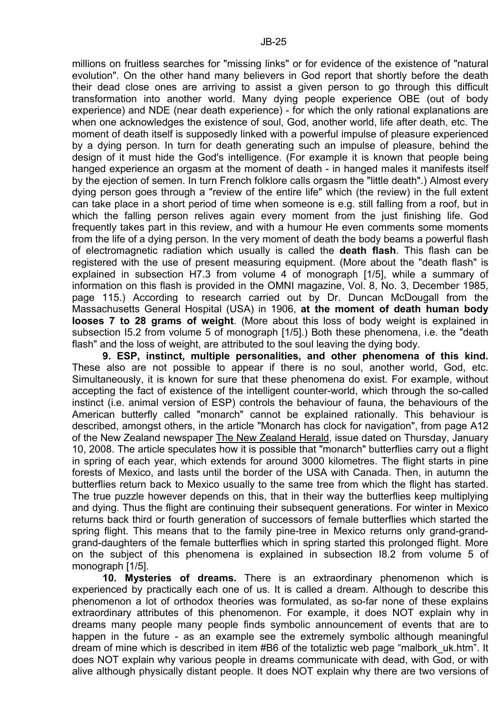millions on fruitless searches for "missing links" or for evidence of the existence of "natural evolution". On the other hand many believers in God report that shortly before the death their dead close ones are arriving to assist a given person to go through this difficult transformation into another world. Many dying people experience OBE (out of body experience) and NDE (near death experience) - for which the only rational explanations are when one acknowledges the existence of soul, God, another world, life after death, etc. The moment of death itself is supposedly linked with a powerful impulse of pleasure experienced by a dying person. In turn for death generating such an impulse of pleasure, behind the design of it must hide the God's intelligence. (For example it is known that people being hanged experience an orgasm at the moment of death - in hanged males it manifests itself by the ejection of semen. In turn French folklore calls orgasm the "little death".) Almost every dying person goes through a "review of the entire life" which (the review) in the full extent can take place in a short period of time when someone is e.g. still falling from a roof, but in which the falling person relives again every moment from the just finishing life. God frequently takes part in this review, and with a humour He even comments some moments from the life of a dying person. In the very moment of death the body beams a powerful flash of electromagnetic radiation which usually is called the **death flash**. This flash can be registered with the use of present measuring equipment. (More about the "death flash" is explained in subsection H7.3 from volume 4 of monograph [1/5], while a summary of information on this flash is provided in the OMNI magazine, Vol. 8, No. 3, December 1985, page 115.) According to research carried out by Dr. Duncan McDougall from the Massachusetts General Hospital (USA) in 1906, **at the moment of death human body looses 7 to 28 grams of weight**. (More about this loss of body weight is explained in subsection I5.2 from volume 5 of monograph [1/5].) Both these phenomena, i.e. the "death flash" and the loss of weight, are attributed to the soul leaving the dying body.

**9. ESP, instinct, multiple personalities, and other phenomena of this kind.** These also are not possible to appear if there is no soul, another world, God, etc. Simultaneously, it is known for sure that these phenomena do exist. For example, without accepting the fact of existence of the intelligent counter-world, which through the so-called instinct (i.e. animal version of ESP) controls the behaviour of fauna, the behaviours of the American butterfly called "monarch" cannot be explained rationally. This behaviour is described, amongst others, in the article "Monarch has clock for navigation", from page A12 of the New Zealand newspaper The New Zealand Herald, issue dated on Thursday, January 10, 2008. The article speculates how it is possible that "monarch" butterflies carry out a flight in spring of each year, which extends for around 3000 kilometres. The flight starts in pine forests of Mexico, and lasts until the border of the USA with Canada. Then, in autumn the butterflies return back to Mexico usually to the same tree from which the flight has started. The true puzzle however depends on this, that in their way the butterflies keep multiplying and dying. Thus the flight are continuing their subsequent generations. For winter in Mexico returns back third or fourth generation of successors of female butterflies which started the spring flight. This means that to the family pine-tree in Mexico returns only grand-grandgrand-daughters of the female butterflies which in spring started this prolonged flight. More on the subject of this phenomena is explained in subsection I8.2 from volume 5 of monograph [1/5].

**10. Mysteries of dreams.** There is an extraordinary phenomenon which is experienced by practically each one of us. It is called a dream. Although to describe this phenomenon a lot of orthodox theories was formulated, as so-far none of these explains extraordinary attributes of this phenomenon. For example, it does NOT explain why in dreams many people many people finds symbolic announcement of events that are to happen in the future - as an example see the extremely symbolic although meaningful dream of mine which is described in item #B6 of the totaliztic web page "malbork\_uk.htm". It does NOT explain why various people in dreams communicate with dead, with God, or with alive although physically distant people. It does NOT explain why there are two versions of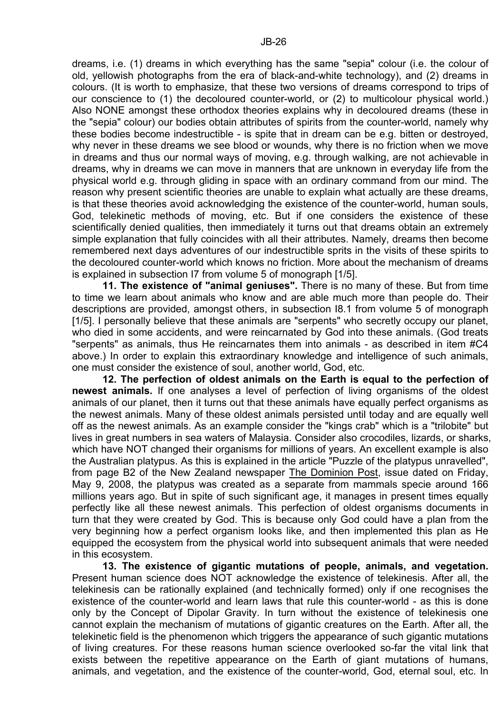dreams, i.e. (1) dreams in which everything has the same "sepia" colour (i.e. the colour of old, yellowish photographs from the era of black-and-white technology), and (2) dreams in colours. (It is worth to emphasize, that these two versions of dreams correspond to trips of our conscience to (1) the decoloured counter-world, or (2) to multicolour physical world.) Also NONE amongst these orthodox theories explains why in decoloured dreams (these in the "sepia" colour) our bodies obtain attributes of spirits from the counter-world, namely why these bodies become indestructible - is spite that in dream can be e.g. bitten or destroyed, why never in these dreams we see blood or wounds, why there is no friction when we move in dreams and thus our normal ways of moving, e.g. through walking, are not achievable in dreams, why in dreams we can move in manners that are unknown in everyday life from the physical world e.g. through gliding in space with an ordinary command from our mind. The reason why present scientific theories are unable to explain what actually are these dreams, is that these theories avoid acknowledging the existence of the counter-world, human souls, God, telekinetic methods of moving, etc. But if one considers the existence of these scientifically denied qualities, then immediately it turns out that dreams obtain an extremely simple explanation that fully coincides with all their attributes. Namely, dreams then become remembered next days adventures of our indestructible sprits in the visits of these spirits to the decoloured counter-world which knows no friction. More about the mechanism of dreams is explained in subsection I7 from volume 5 of monograph [1/5].

**11. The existence of "animal geniuses".** There is no many of these. But from time to time we learn about animals who know and are able much more than people do. Their descriptions are provided, amongst others, in subsection I8.1 from volume 5 of monograph [1/5]. I personally believe that these animals are "serpents" who secretly occupy our planet, who died in some accidents, and were reincarnated by God into these animals. (God treats "serpents" as animals, thus He reincarnates them into animals - as described in item #C4 above.) In order to explain this extraordinary knowledge and intelligence of such animals, one must consider the existence of soul, another world, God, etc.

**12. The perfection of oldest animals on the Earth is equal to the perfection of newest animals.** If one analyses a level of perfection of living organisms of the oldest animals of our planet, then it turns out that these animals have equally perfect organisms as the newest animals. Many of these oldest animals persisted until today and are equally well off as the newest animals. As an example consider the "kings crab" which is a "trilobite" but lives in great numbers in sea waters of Malaysia. Consider also crocodiles, lizards, or sharks, which have NOT changed their organisms for millions of years. An excellent example is also the Australian platypus. As this is explained in the article "Puzzle of the platypus unravelled", from page B2 of the New Zealand newspaper The Dominion Post, issue dated on Friday, May 9, 2008, the platypus was created as a separate from mammals specie around 166 millions years ago. But in spite of such significant age, it manages in present times equally perfectly like all these newest animals. This perfection of oldest organisms documents in turn that they were created by God. This is because only God could have a plan from the very beginning how a perfect organism looks like, and then implemented this plan as He equipped the ecosystem from the physical world into subsequent animals that were needed in this ecosystem.

**13. The existence of gigantic mutations of people, animals, and vegetation.** Present human science does NOT acknowledge the existence of telekinesis. After all, the telekinesis can be rationally explained (and technically formed) only if one recognises the existence of the counter-world and learn laws that rule this counter-world - as this is done only by the Concept of Dipolar Gravity. In turn without the existence of telekinesis one cannot explain the mechanism of mutations of gigantic creatures on the Earth. After all, the telekinetic field is the phenomenon which triggers the appearance of such gigantic mutations of living creatures. For these reasons human science overlooked so-far the vital link that exists between the repetitive appearance on the Earth of giant mutations of humans, animals, and vegetation, and the existence of the counter-world, God, eternal soul, etc. In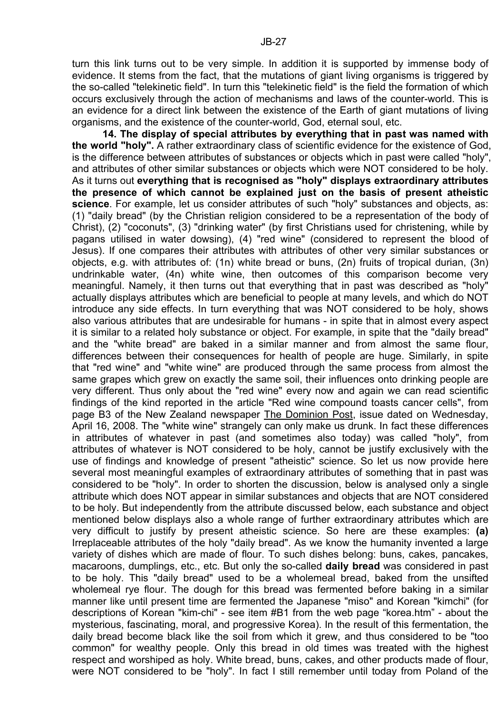turn this link turns out to be very simple. In addition it is supported by immense body of evidence. It stems from the fact, that the mutations of giant living organisms is triggered by the so-called "telekinetic field". In turn this "telekinetic field" is the field the formation of which occurs exclusively through the action of mechanisms and laws of the counter-world. This is an evidence for a direct link between the existence of the Earth of giant mutations of living organisms, and the existence of the counter-world, God, eternal soul, etc.

**14. The display of special attributes by everything that in past was named with the world "holy".** A rather extraordinary class of scientific evidence for the existence of God, is the difference between attributes of substances or objects which in past were called "holy", and attributes of other similar substances or objects which were NOT considered to be holy. As it turns out **everything that is recognised as "holy" displays extraordinary attributes the presence of which cannot be explained just on the basis of present atheistic science**. For example, let us consider attributes of such "holy" substances and objects, as: (1) "daily bread" (by the Christian religion considered to be a representation of the body of Christ), (2) "coconuts", (3) "drinking water" (by first Christians used for christening, while by pagans utilised in water dowsing), (4) "red wine" (considered to represent the blood of Jesus). If one compares their attributes with attributes of other very similar substances or objects, e.g. with attributes of: (1n) white bread or buns, (2n) fruits of tropical durian, (3n) undrinkable water, (4n) white wine, then outcomes of this comparison become very meaningful. Namely, it then turns out that everything that in past was described as "holy" actually displays attributes which are beneficial to people at many levels, and which do NOT introduce any side effects. In turn everything that was NOT considered to be holy, shows also various attributes that are undesirable for humans - in spite that in almost every aspect it is similar to a related holy substance or object. For example, in spite that the "daily bread" and the "white bread" are baked in a similar manner and from almost the same flour, differences between their consequences for health of people are huge. Similarly, in spite that "red wine" and "white wine" are produced through the same process from almost the same grapes which grew on exactly the same soil, their influences onto drinking people are very different. Thus only about the "red wine" every now and again we can read scientific findings of the kind reported in the article "Red wine compound toasts cancer cells", from page B3 of the New Zealand newspaper The Dominion Post, issue dated on Wednesday, April 16, 2008. The "white wine" strangely can only make us drunk. In fact these differences in attributes of whatever in past (and sometimes also today) was called "holy", from attributes of whatever is NOT considered to be holy, cannot be justify exclusively with the use of findings and knowledge of present "atheistic" science. So let us now provide here several most meaningful examples of extraordinary attributes of something that in past was considered to be "holy". In order to shorten the discussion, below is analysed only a single attribute which does NOT appear in similar substances and objects that are NOT considered to be holy. But independently from the attribute discussed below, each substance and object mentioned below displays also a whole range of further extraordinary attributes which are very difficult to justify by present atheistic science. So here are these examples: **(a)** Irreplaceable attributes of the holy "daily bread". As we know the humanity invented a large variety of dishes which are made of flour. To such dishes belong: buns, cakes, pancakes, macaroons, dumplings, etc., etc. But only the so-called **daily bread** was considered in past to be holy. This "daily bread" used to be a wholemeal bread, baked from the unsifted wholemeal rye flour. The dough for this bread was fermented before baking in a similar manner like until present time are fermented the Japanese "miso" and Korean "kimchi" (for descriptions of Korean "kim-chi" - see item #B1 from the web page "korea.htm" - about the mysterious, fascinating, moral, and progressive Korea). In the result of this fermentation, the daily bread become black like the soil from which it grew, and thus considered to be "too common" for wealthy people. Only this bread in old times was treated with the highest respect and worshiped as holy. White bread, buns, cakes, and other products made of flour, were NOT considered to be "holy". In fact I still remember until today from Poland of the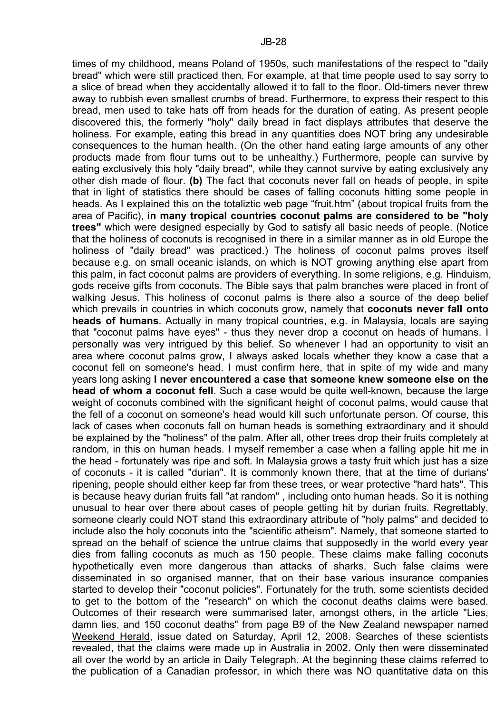times of my childhood, means Poland of 1950s, such manifestations of the respect to "daily bread" which were still practiced then. For example, at that time people used to say sorry to a slice of bread when they accidentally allowed it to fall to the floor. Old-timers never threw away to rubbish even smallest crumbs of bread. Furthermore, to express their respect to this bread, men used to take hats off from heads for the duration of eating. As present people discovered this, the formerly "holy" daily bread in fact displays attributes that deserve the holiness. For example, eating this bread in any quantities does NOT bring any undesirable consequences to the human health. (On the other hand eating large amounts of any other products made from flour turns out to be unhealthy.) Furthermore, people can survive by eating exclusively this holy "daily bread", while they cannot survive by eating exclusively any other dish made of flour. **(b)** The fact that coconuts never fall on heads of people, in spite that in light of statistics there should be cases of falling coconuts hitting some people in heads. As I explained this on the totaliztic web page "fruit.htm" (about tropical fruits from the area of Pacific), **in many tropical countries coconut palms are considered to be "holy trees"** which were designed especially by God to satisfy all basic needs of people. (Notice that the holiness of coconuts is recognised in there in a similar manner as in old Europe the holiness of "daily bread" was practiced.) The holiness of coconut palms proves itself because e.g. on small oceanic islands, on which is NOT growing anything else apart from this palm, in fact coconut palms are providers of everything. In some religions, e.g. Hinduism, gods receive gifts from coconuts. The Bible says that palm branches were placed in front of walking Jesus. This holiness of coconut palms is there also a source of the deep belief which prevails in countries in which coconuts grow, namely that **coconuts never fall onto heads of humans**. Actually in many tropical countries, e.g. in Malaysia, locals are saying that "coconut palms have eyes" - thus they never drop a coconut on heads of humans. I personally was very intrigued by this belief. So whenever I had an opportunity to visit an area where coconut palms grow, I always asked locals whether they know a case that a coconut fell on someone's head. I must confirm here, that in spite of my wide and many years long asking **I never encountered a case that someone knew someone else on the head of whom a coconut fell**. Such a case would be quite well-known, because the large weight of coconuts combined with the significant height of coconut palms, would cause that the fell of a coconut on someone's head would kill such unfortunate person. Of course, this lack of cases when coconuts fall on human heads is something extraordinary and it should be explained by the "holiness" of the palm. After all, other trees drop their fruits completely at random, in this on human heads. I myself remember a case when a falling apple hit me in the head - fortunately was ripe and soft. In Malaysia grows a tasty fruit which just has a size of coconuts - it is called "durian". It is commonly known there, that at the time of durians' ripening, people should either keep far from these trees, or wear protective "hard hats". This is because heavy durian fruits fall "at random" , including onto human heads. So it is nothing unusual to hear over there about cases of people getting hit by durian fruits. Regrettably, someone clearly could NOT stand this extraordinary attribute of "holy palms" and decided to include also the holy coconuts into the "scientific atheism". Namely, that someone started to spread on the behalf of science the untrue claims that supposedly in the world every year dies from falling coconuts as much as 150 people. These claims make falling coconuts hypothetically even more dangerous than attacks of sharks. Such false claims were disseminated in so organised manner, that on their base various insurance companies started to develop their "coconut policies". Fortunately for the truth, some scientists decided to get to the bottom of the "research" on which the coconut deaths claims were based. Outcomes of their research were summarised later, amongst others, in the article "Lies, damn lies, and 150 coconut deaths" from page B9 of the New Zealand newspaper named Weekend Herald, issue dated on Saturday, April 12, 2008. Searches of these scientists revealed, that the claims were made up in Australia in 2002. Only then were disseminated all over the world by an article in Daily Telegraph. At the beginning these claims referred to the publication of a Canadian professor, in which there was NO quantitative data on this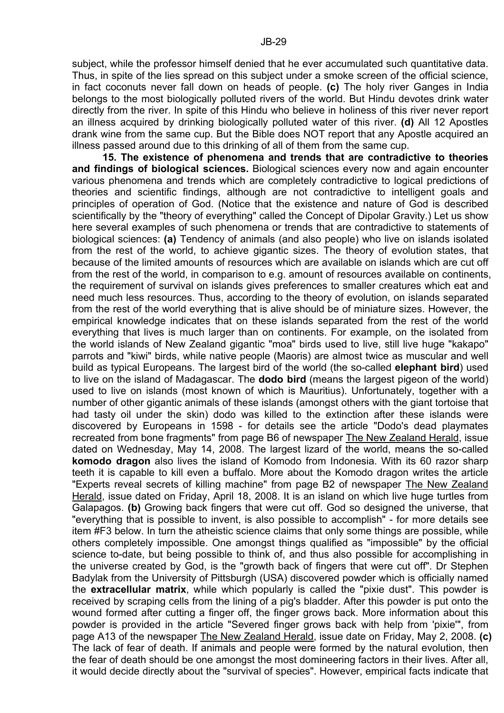subject, while the professor himself denied that he ever accumulated such quantitative data. Thus, in spite of the lies spread on this subject under a smoke screen of the official science, in fact coconuts never fall down on heads of people. **(c)** The holy river Ganges in India belongs to the most biologically polluted rivers of the world. But Hindu devotes drink water directly from the river. In spite of this Hindu who believe in holiness of this river never report an illness acquired by drinking biologically polluted water of this river. **(d)** All 12 Apostles drank wine from the same cup. But the Bible does NOT report that any Apostle acquired an illness passed around due to this drinking of all of them from the same cup.

**15. The existence of phenomena and trends that are contradictive to theories and findings of biological sciences.** Biological sciences every now and again encounter various phenomena and trends which are completely contradictive to logical predictions of theories and scientific findings, although are not contradictive to intelligent goals and principles of operation of God. (Notice that the existence and nature of God is described scientifically by the "theory of everything" called the Concept of Dipolar Gravity.) Let us show here several examples of such phenomena or trends that are contradictive to statements of biological sciences: **(a)** Tendency of animals (and also people) who live on islands isolated from the rest of the world, to achieve gigantic sizes. The theory of evolution states, that because of the limited amounts of resources which are available on islands which are cut off from the rest of the world, in comparison to e.g. amount of resources available on continents, the requirement of survival on islands gives preferences to smaller creatures which eat and need much less resources. Thus, according to the theory of evolution, on islands separated from the rest of the world everything that is alive should be of miniature sizes. However, the empirical knowledge indicates that on these islands separated from the rest of the world everything that lives is much larger than on continents. For example, on the isolated from the world islands of New Zealand gigantic "moa" birds used to live, still live huge "kakapo" parrots and "kiwi" birds, while native people (Maoris) are almost twice as muscular and well build as typical Europeans. The largest bird of the world (the so-called **elephant bird**) used to live on the island of Madagascar. The **dodo bird** (means the largest pigeon of the world) used to live on islands (most known of which is Mauritius). Unfortunately, together with a number of other gigantic animals of these islands (amongst others with the giant tortoise that had tasty oil under the skin) dodo was killed to the extinction after these islands were discovered by Europeans in 1598 - for details see the article "Dodo's dead playmates recreated from bone fragments" from page B6 of newspaper The New Zealand Herald, issue dated on Wednesday, May 14, 2008. The largest lizard of the world, means the so-called **komodo dragon** also lives the island of Komodo from Indonesia. With its 60 razor sharp teeth it is capable to kill even a buffalo. More about the Komodo dragon writes the article "Experts reveal secrets of killing machine" from page B2 of newspaper The New Zealand Herald, issue dated on Friday, April 18, 2008. It is an island on which live huge turtles from Galapagos. **(b)** Growing back fingers that were cut off. God so designed the universe, that "everything that is possible to invent, is also possible to accomplish" - for more details see item #F3 below. In turn the atheistic science claims that only some things are possible, while others completely impossible. One amongst things qualified as "impossible" by the official science to-date, but being possible to think of, and thus also possible for accomplishing in the universe created by God, is the "growth back of fingers that were cut off". Dr Stephen Badylak from the University of Pittsburgh (USA) discovered powder which is officially named the **extracellular matrix**, while which popularly is called the "pixie dust". This powder is received by scraping cells from the lining of a pig's bladder. After this powder is put onto the wound formed after cutting a finger off, the finger grows back. More information about this powder is provided in the article "Severed finger grows back with help from 'pixie'", from page A13 of the newspaper The New Zealand Herald, issue date on Friday, May 2, 2008. **(c)** The lack of fear of death. If animals and people were formed by the natural evolution, then the fear of death should be one amongst the most domineering factors in their lives. After all, it would decide directly about the "survival of species". However, empirical facts indicate that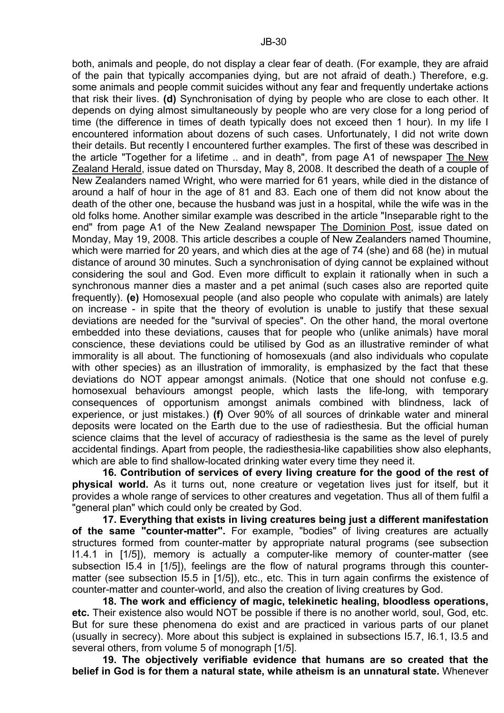both, animals and people, do not display a clear fear of death. (For example, they are afraid of the pain that typically accompanies dying, but are not afraid of death.) Therefore, e.g. some animals and people commit suicides without any fear and frequently undertake actions that risk their lives. **(d)** Synchronisation of dying by people who are close to each other. It depends on dying almost simultaneously by people who are very close for a long period of time (the difference in times of death typically does not exceed then 1 hour). In my life I encountered information about dozens of such cases. Unfortunately, I did not write down their details. But recently I encountered further examples. The first of these was described in the article "Together for a lifetime .. and in death", from page A1 of newspaper The New Zealand Herald, issue dated on Thursday, May 8, 2008. It described the death of a couple of New Zealanders named Wright, who were married for 61 years, while died in the distance of around a half of hour in the age of 81 and 83. Each one of them did not know about the death of the other one, because the husband was just in a hospital, while the wife was in the old folks home. Another similar example was described in the article "Inseparable right to the end" from page A1 of the New Zealand newspaper The Dominion Post, issue dated on Monday, May 19, 2008. This article describes a couple of New Zealanders named Thoumine, which were married for 20 years, and which dies at the age of 74 (she) and 68 (he) in mutual distance of around 30 minutes. Such a synchronisation of dying cannot be explained without considering the soul and God. Even more difficult to explain it rationally when in such a synchronous manner dies a master and a pet animal (such cases also are reported quite frequently). **(e)** Homosexual people (and also people who copulate with animals) are lately on increase - in spite that the theory of evolution is unable to justify that these sexual deviations are needed for the "survival of species". On the other hand, the moral overtone embedded into these deviations, causes that for people who (unlike animals) have moral conscience, these deviations could be utilised by God as an illustrative reminder of what immorality is all about. The functioning of homosexuals (and also individuals who copulate with other species) as an illustration of immorality, is emphasized by the fact that these deviations do NOT appear amongst animals. (Notice that one should not confuse e.g. homosexual behaviours amongst people, which lasts the life-long, with temporary consequences of opportunism amongst animals combined with blindness, lack of experience, or just mistakes.) **(f)** Over 90% of all sources of drinkable water and mineral deposits were located on the Earth due to the use of radiesthesia. But the official human science claims that the level of accuracy of radiesthesia is the same as the level of purely accidental findings. Apart from people, the radiesthesia-like capabilities show also elephants, which are able to find shallow-located drinking water every time they need it.

**16. Contribution of services of every living creature for the good of the rest of physical world.** As it turns out, none creature or vegetation lives just for itself, but it provides a whole range of services to other creatures and vegetation. Thus all of them fulfil a "general plan" which could only be created by God.

**17. Everything that exists in living creatures being just a different manifestation of the same "counter-matter".** For example, "bodies" of living creatures are actually structures formed from counter-matter by appropriate natural programs (see subsection I1.4.1 in [1/5]), memory is actually a computer-like memory of counter-matter (see subsection I5.4 in [1/5]), feelings are the flow of natural programs through this countermatter (see subsection I5.5 in [1/5]), etc., etc. This in turn again confirms the existence of counter-matter and counter-world, and also the creation of living creatures by God.

**18. The work and efficiency of magic, telekinetic healing, bloodless operations, etc.** Their existence also would NOT be possible if there is no another world, soul, God, etc. But for sure these phenomena do exist and are practiced in various parts of our planet (usually in secrecy). More about this subject is explained in subsections I5.7, I6.1, I3.5 and several others, from volume 5 of monograph [1/5].

**19. The objectively verifiable evidence that humans are so created that the belief in God is for them a natural state, while atheism is an unnatural state.** Whenever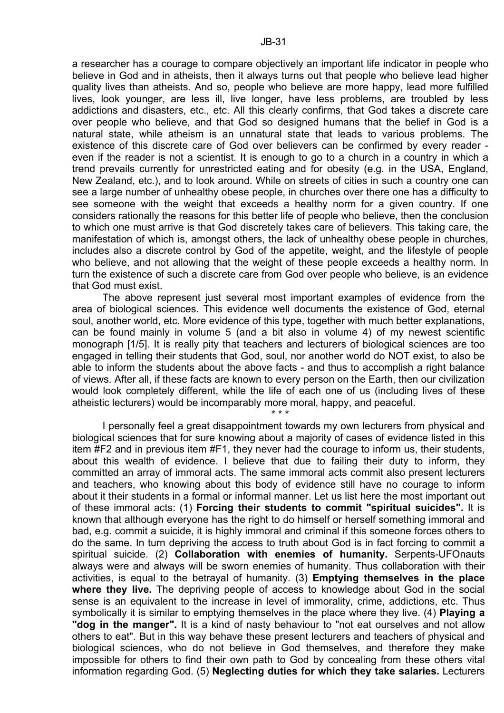a researcher has a courage to compare objectively an important life indicator in people who believe in God and in atheists, then it always turns out that people who believe lead higher quality lives than atheists. And so, people who believe are more happy, lead more fulfilled lives, look younger, are less ill, live longer, have less problems, are troubled by less addictions and disasters, etc., etc. All this clearly confirms, that God takes a discrete care over people who believe, and that God so designed humans that the belief in God is a natural state, while atheism is an unnatural state that leads to various problems. The existence of this discrete care of God over believers can be confirmed by every reader even if the reader is not a scientist. It is enough to go to a church in a country in which a trend prevails currently for unrestricted eating and for obesity (e.g. in the USA, England, New Zealand, etc.), and to look around. While on streets of cities in such a country one can see a large number of unhealthy obese people, in churches over there one has a difficulty to see someone with the weight that exceeds a healthy norm for a given country. If one considers rationally the reasons for this better life of people who believe, then the conclusion to which one must arrive is that God discretely takes care of believers. This taking care, the manifestation of which is, amongst others, the lack of unhealthy obese people in churches, includes also a discrete control by God of the appetite, weight, and the lifestyle of people who believe, and not allowing that the weight of these people exceeds a healthy norm. In turn the existence of such a discrete care from God over people who believe, is an evidence that God must exist.

 The above represent just several most important examples of evidence from the area of biological sciences. This evidence well documents the existence of God, eternal soul, another world, etc. More evidence of this type, together with much better explanations, can be found mainly in volume 5 (and a bit also in volume 4) of my newest scientific monograph [1/5]. It is really pity that teachers and lecturers of biological sciences are too engaged in telling their students that God, soul, nor another world do NOT exist, to also be able to inform the students about the above facts - and thus to accomplish a right balance of views. After all, if these facts are known to every person on the Earth, then our civilization would look completely different, while the life of each one of us (including lives of these atheistic lecturers) would be incomparably more moral, happy, and peaceful.

\* \* \*

 I personally feel a great disappointment towards my own lecturers from physical and biological sciences that for sure knowing about a majority of cases of evidence listed in this item #F2 and in previous item #F1, they never had the courage to inform us, their students, about this wealth of evidence. I believe that due to failing their duty to inform, they committed an array of immoral acts. The same immoral acts commit also present lecturers and teachers, who knowing about this body of evidence still have no courage to inform about it their students in a formal or informal manner. Let us list here the most important out of these immoral acts: (1) **Forcing their students to commit "spiritual suicides".** It is known that although everyone has the right to do himself or herself something immoral and bad, e.g. commit a suicide, it is highly immoral and criminal if this someone forces others to do the same. In turn depriving the access to truth about God is in fact forcing to commit a spiritual suicide. (2) **Collaboration with enemies of humanity.** Serpents-UFOnauts always were and always will be sworn enemies of humanity. Thus collaboration with their activities, is equal to the betrayal of humanity. (3) **Emptying themselves in the place where they live.** The depriving people of access to knowledge about God in the social sense is an equivalent to the increase in level of immorality, crime, addictions, etc. Thus symbolically it is similar to emptying themselves in the place where they live. (4) **Playing a "dog in the manger".** It is a kind of nasty behaviour to "not eat ourselves and not allow others to eat". But in this way behave these present lecturers and teachers of physical and biological sciences, who do not believe in God themselves, and therefore they make impossible for others to find their own path to God by concealing from these others vital information regarding God. (5) **Neglecting duties for which they take salaries.** Lecturers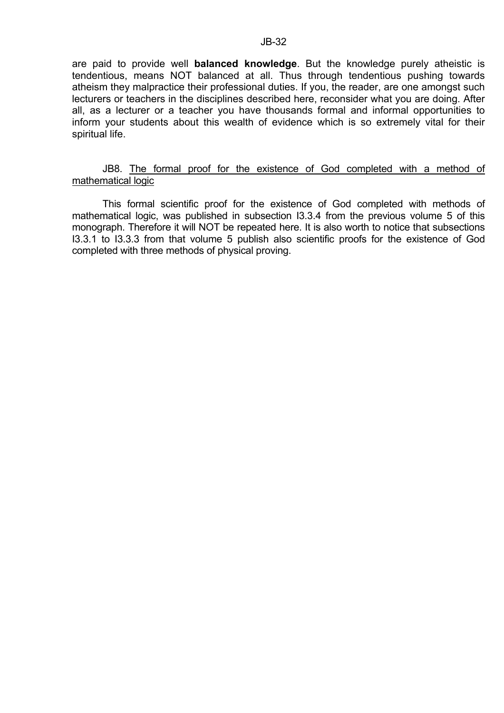are paid to provide well **balanced knowledge**. But the knowledge purely atheistic is tendentious, means NOT balanced at all. Thus through tendentious pushing towards atheism they malpractice their professional duties. If you, the reader, are one amongst such lecturers or teachers in the disciplines described here, reconsider what you are doing. After all, as a lecturer or a teacher you have thousands formal and informal opportunities to inform your students about this wealth of evidence which is so extremely vital for their spiritual life.

#### JB8. The formal proof for the existence of God completed with a method of mathematical logic

 This formal scientific proof for the existence of God completed with methods of mathematical logic, was published in subsection I3.3.4 from the previous volume 5 of this monograph. Therefore it will NOT be repeated here. It is also worth to notice that subsections I3.3.1 to I3.3.3 from that volume 5 publish also scientific proofs for the existence of God completed with three methods of physical proving.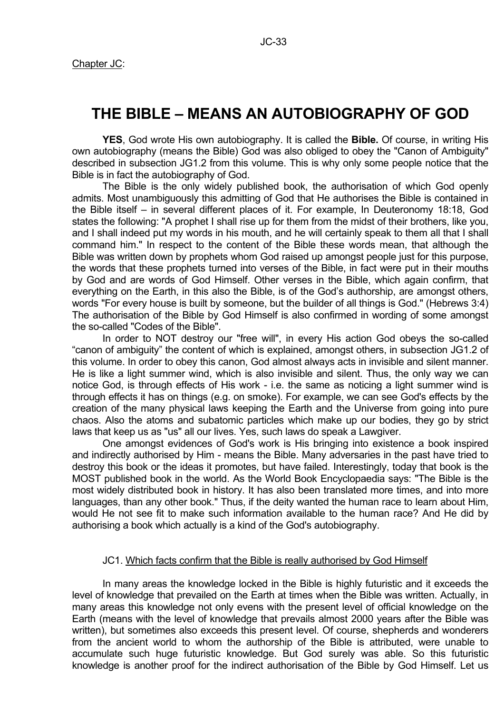# **THE BIBLE – MEANS AN AUTOBIOGRAPHY OF GOD**

**YES**, God wrote His own autobiography. It is called the **Bible.** Of course, in writing His own autobiography (means the Bible) God was also obliged to obey the "Canon of Ambiguity" described in subsection JG1.2 from this volume. This is why only some people notice that the Bible is in fact the autobiography of God.

 The Bible is the only widely published book, the authorisation of which God openly admits. Most unambiguously this admitting of God that He authorises the Bible is contained in the Bible itself – in several different places of it. For example, In Deuteronomy 18:18, God states the following: "A prophet I shall rise up for them from the midst of their brothers, like you, and I shall indeed put my words in his mouth, and he will certainly speak to them all that I shall command him." In respect to the content of the Bible these words mean, that although the Bible was written down by prophets whom God raised up amongst people just for this purpose, the words that these prophets turned into verses of the Bible, in fact were put in their mouths by God and are words of God Himself. Other verses in the Bible, which again confirm, that everything on the Earth, in this also the Bible, is of the God's authorship, are amongst others, words "For every house is built by someone, but the builder of all things is God." (Hebrews 3:4) The authorisation of the Bible by God Himself is also confirmed in wording of some amongst the so-called "Codes of the Bible".

 In order to NOT destroy our "free will", in every His action God obeys the so-called "canon of ambiguity" the content of which is explained, amongst others, in subsection JG1.2 of this volume. In order to obey this canon, God almost always acts in invisible and silent manner. He is like a light summer wind, which is also invisible and silent. Thus, the only way we can notice God, is through effects of His work - i.e. the same as noticing a light summer wind is through effects it has on things (e.g. on smoke). For example, we can see God's effects by the creation of the many physical laws keeping the Earth and the Universe from going into pure chaos. Also the atoms and subatomic particles which make up our bodies, they go by strict laws that keep us as "us" all our lives. Yes, such laws do speak a Lawgiver.

 One amongst evidences of God's work is His bringing into existence a book inspired and indirectly authorised by Him - means the Bible. Many adversaries in the past have tried to destroy this book or the ideas it promotes, but have failed. Interestingly, today that book is the MOST published book in the world. As the World Book Encyclopaedia says: "The Bible is the most widely distributed book in history. It has also been translated more times, and into more languages, than any other book." Thus, if the deity wanted the human race to learn about Him, would He not see fit to make such information available to the human race? And He did by authorising a book which actually is a kind of the God's autobiography.

#### JC1. Which facts confirm that the Bible is really authorised by God Himself

 In many areas the knowledge locked in the Bible is highly futuristic and it exceeds the level of knowledge that prevailed on the Earth at times when the Bible was written. Actually, in many areas this knowledge not only evens with the present level of official knowledge on the Earth (means with the level of knowledge that prevails almost 2000 years after the Bible was written), but sometimes also exceeds this present level. Of course, shepherds and wonderers from the ancient world to whom the authorship of the Bible is attributed, were unable to accumulate such huge futuristic knowledge. But God surely was able. So this futuristic knowledge is another proof for the indirect authorisation of the Bible by God Himself. Let us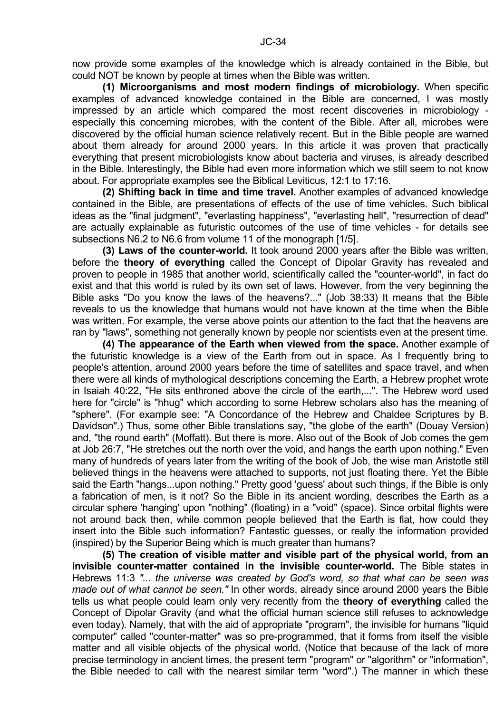**(1) Microorganisms and most modern findings of microbiology.** When specific examples of advanced knowledge contained in the Bible are concerned, I was mostly impressed by an article which compared the most recent discoveries in microbiology especially this concerning microbes, with the content of the Bible. After all, microbes were discovered by the official human science relatively recent. But in the Bible people are warned about them already for around 2000 years. In this article it was proven that practically everything that present microbiologists know about bacteria and viruses, is already described in the Bible. Interestingly, the Bible had even more information which we still seem to not know about. For appropriate examples see the Biblical Leviticus, 12:1 to 17:16.

**(2) Shifting back in time and time travel.** Another examples of advanced knowledge contained in the Bible, are presentations of effects of the use of time vehicles. Such biblical ideas as the "final judgment", "everlasting happiness", "everlasting hell", "resurrection of dead" are actually explainable as futuristic outcomes of the use of time vehicles - for details see subsections N6.2 to N6.6 from volume 11 of the monograph [1/5].

**(3) Laws of the counter-world.** It took around 2000 years after the Bible was written, before the **theory of everything** called the Concept of Dipolar Gravity has revealed and proven to people in 1985 that another world, scientifically called the "counter-world", in fact do exist and that this world is ruled by its own set of laws. However, from the very beginning the Bible asks "Do you know the laws of the heavens?..." (Job 38:33) It means that the Bible reveals to us the knowledge that humans would not have known at the time when the Bible was written. For example, the verse above points our attention to the fact that the heavens are ran by "laws", something not generally known by people nor scientists even at the present time.

**(4) The appearance of the Earth when viewed from the space.** Another example of the futuristic knowledge is a view of the Earth from out in space. As I frequently bring to people's attention, around 2000 years before the time of satellites and space travel, and when there were all kinds of mythological descriptions concerning the Earth, a Hebrew prophet wrote in Isaiah 40:22, "He sits enthroned above the circle of the earth,...". The Hebrew word used here for "circle" is "hhug" which according to some Hebrew scholars also has the meaning of "sphere". (For example see: "A Concordance of the Hebrew and Chaldee Scriptures by B. Davidson".) Thus, some other Bible translations say, "the globe of the earth" (Douay Version) and, "the round earth" (Moffatt). But there is more. Also out of the Book of Job comes the gem at Job 26:7, "He stretches out the north over the void, and hangs the earth upon nothing." Even many of hundreds of years later from the writing of the book of Job, the wise man Aristotle still believed things in the heavens were attached to supports, not just floating there. Yet the Bible said the Earth "hangs...upon nothing." Pretty good 'guess' about such things, if the Bible is only a fabrication of men, is it not? So the Bible in its ancient wording, describes the Earth as a circular sphere 'hanging' upon "nothing" (floating) in a "void" (space). Since orbital flights were not around back then, while common people believed that the Earth is flat, how could they insert into the Bible such information? Fantastic guesses, or really the information provided (inspired) by the Superior Being which is much greater than humans?

**(5) The creation of visible matter and visible part of the physical world, from an invisible counter-matter contained in the invisible counter-world.** The Bible states in Hebrews 11:3 *"... the universe was created by God's word, so that what can be seen was made out of what cannot be seen."* In other words, already since around 2000 years the Bible tells us what people could learn only very recently from the **theory of everything** called the Concept of Dipolar Gravity (and what the official human science still refuses to acknowledge even today). Namely, that with the aid of appropriate "program", the invisible for humans "liquid computer" called "counter-matter" was so pre-programmed, that it forms from itself the visible matter and all visible objects of the physical world. (Notice that because of the lack of more precise terminology in ancient times, the present term "program" or "algorithm" or "information", the Bible needed to call with the nearest similar term "word".) The manner in which these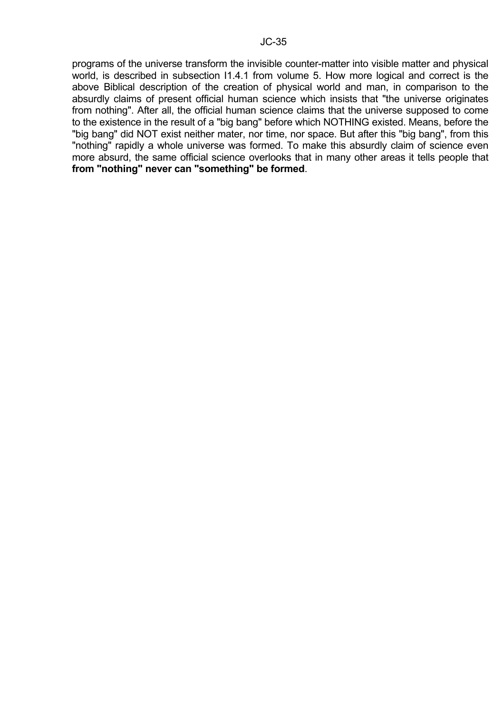programs of the universe transform the invisible counter-matter into visible matter and physical world, is described in subsection I1.4.1 from volume 5. How more logical and correct is the above Biblical description of the creation of physical world and man, in comparison to the absurdly claims of present official human science which insists that "the universe originates from nothing". After all, the official human science claims that the universe supposed to come to the existence in the result of a "big bang" before which NOTHING existed. Means, before the "big bang" did NOT exist neither mater, nor time, nor space. But after this "big bang", from this "nothing" rapidly a whole universe was formed. To make this absurdly claim of science even more absurd, the same official science overlooks that in many other areas it tells people that **from "nothing" never can "something" be formed**.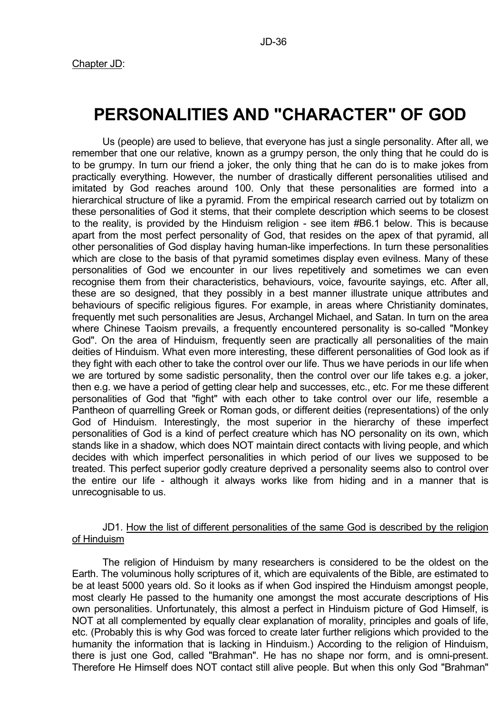# **PERSONALITIES AND "CHARACTER" OF GOD**

 Us (people) are used to believe, that everyone has just a single personality. After all, we remember that one our relative, known as a grumpy person, the only thing that he could do is to be grumpy. In turn our friend a joker, the only thing that he can do is to make jokes from practically everything. However, the number of drastically different personalities utilised and imitated by God reaches around 100. Only that these personalities are formed into a hierarchical structure of like a pyramid. From the empirical research carried out by totalizm on these personalities of God it stems, that their complete description which seems to be closest to the reality, is provided by the Hinduism religion - see item #B6.1 below. This is because apart from the most perfect personality of God, that resides on the apex of that pyramid, all other personalities of God display having human-like imperfections. In turn these personalities which are close to the basis of that pyramid sometimes display even evilness. Many of these personalities of God we encounter in our lives repetitively and sometimes we can even recognise them from their characteristics, behaviours, voice, favourite sayings, etc. After all, these are so designed, that they possibly in a best manner illustrate unique attributes and behaviours of specific religious figures. For example, in areas where Christianity dominates, frequently met such personalities are Jesus, Archangel Michael, and Satan. In turn on the area where Chinese Taoism prevails, a frequently encountered personality is so-called "Monkey God". On the area of Hinduism, frequently seen are practically all personalities of the main deities of Hinduism. What even more interesting, these different personalities of God look as if they fight with each other to take the control over our life. Thus we have periods in our life when we are tortured by some sadistic personality, then the control over our life takes e.g. a joker, then e.g. we have a period of getting clear help and successes, etc., etc. For me these different personalities of God that "fight" with each other to take control over our life, resemble a Pantheon of quarrelling Greek or Roman gods, or different deities (representations) of the only God of Hinduism. Interestingly, the most superior in the hierarchy of these imperfect personalities of God is a kind of perfect creature which has NO personality on its own, which stands like in a shadow, which does NOT maintain direct contacts with living people, and which decides with which imperfect personalities in which period of our lives we supposed to be treated. This perfect superior godly creature deprived a personality seems also to control over the entire our life - although it always works like from hiding and in a manner that is unrecognisable to us.

#### JD1. How the list of different personalities of the same God is described by the religion of Hinduism

 The religion of Hinduism by many researchers is considered to be the oldest on the Earth. The voluminous holly scriptures of it, which are equivalents of the Bible, are estimated to be at least 5000 years old. So it looks as if when God inspired the Hinduism amongst people, most clearly He passed to the humanity one amongst the most accurate descriptions of His own personalities. Unfortunately, this almost a perfect in Hinduism picture of God Himself, is NOT at all complemented by equally clear explanation of morality, principles and goals of life, etc. (Probably this is why God was forced to create later further religions which provided to the humanity the information that is lacking in Hinduism.) According to the religion of Hinduism, there is just one God, called "Brahman". He has no shape nor form, and is omni-present. Therefore He Himself does NOT contact still alive people. But when this only God "Brahman"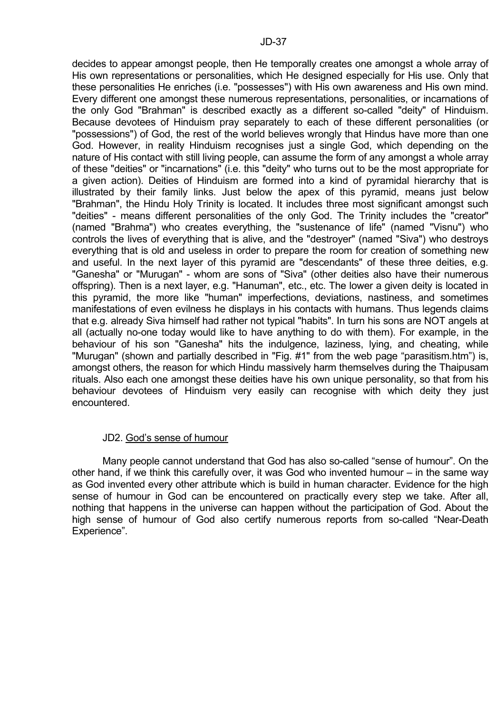decides to appear amongst people, then He temporally creates one amongst a whole array of His own representations or personalities, which He designed especially for His use. Only that these personalities He enriches (i.e. "possesses") with His own awareness and His own mind. Every different one amongst these numerous representations, personalities, or incarnations of the only God "Brahman" is described exactly as a different so-called "deity" of Hinduism. Because devotees of Hinduism pray separately to each of these different personalities (or "possessions") of God, the rest of the world believes wrongly that Hindus have more than one God. However, in reality Hinduism recognises just a single God, which depending on the nature of His contact with still living people, can assume the form of any amongst a whole array of these "deities" or "incarnations" (i.e. this "deity" who turns out to be the most appropriate for a given action). Deities of Hinduism are formed into a kind of pyramidal hierarchy that is illustrated by their family links. Just below the apex of this pyramid, means just below "Brahman", the Hindu Holy Trinity is located. It includes three most significant amongst such "deities" - means different personalities of the only God. The Trinity includes the "creator" (named "Brahma") who creates everything, the "sustenance of life" (named "Visnu") who controls the lives of everything that is alive, and the "destroyer" (named "Siva") who destroys everything that is old and useless in order to prepare the room for creation of something new and useful. In the next layer of this pyramid are "descendants" of these three deities, e.g. "Ganesha" or "Murugan" - whom are sons of "Siva" (other deities also have their numerous offspring). Then is a next layer, e.g. "Hanuman", etc., etc. The lower a given deity is located in this pyramid, the more like "human" imperfections, deviations, nastiness, and sometimes manifestations of even evilness he displays in his contacts with humans. Thus legends claims that e.g. already Siva himself had rather not typical "habits". In turn his sons are NOT angels at all (actually no-one today would like to have anything to do with them). For example, in the behaviour of his son "Ganesha" hits the indulgence, laziness, lying, and cheating, while "Murugan" (shown and partially described in "Fig. #1" from the web page "parasitism.htm") is, amongst others, the reason for which Hindu massively harm themselves during the Thaipusam rituals. Also each one amongst these deities have his own unique personality, so that from his behaviour devotees of Hinduism very easily can recognise with which deity they just encountered.

#### JD2. God's sense of humour

 Many people cannot understand that God has also so-called "sense of humour". On the other hand, if we think this carefully over, it was God who invented humour – in the same way as God invented every other attribute which is build in human character. Evidence for the high sense of humour in God can be encountered on practically every step we take. After all, nothing that happens in the universe can happen without the participation of God. About the high sense of humour of God also certify numerous reports from so-called "Near-Death Experience".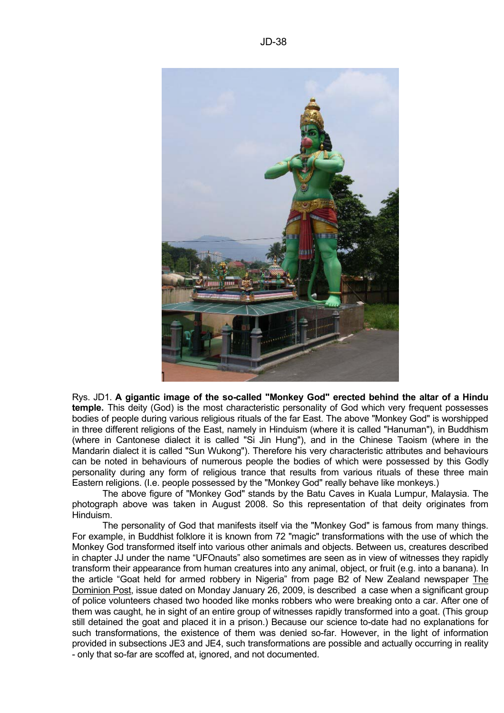

Rys. JD1. **A gigantic image of the so-called "Monkey God" erected behind the altar of a Hindu temple.** This deity (God) is the most characteristic personality of God which very frequent possesses bodies of people during various religious rituals of the far East. The above "Monkey God" is worshipped in three different religions of the East, namely in Hinduism (where it is called "Hanuman"), in Buddhism (where in Cantonese dialect it is called "Si Jin Hung"), and in the Chinese Taoism (where in the Mandarin dialect it is called "Sun Wukong"). Therefore his very characteristic attributes and behaviours can be noted in behaviours of numerous people the bodies of which were possessed by this Godly personality during any form of religious trance that results from various rituals of these three main Eastern religions. (I.e. people possessed by the "Monkey God" really behave like monkeys.)

 The above figure of "Monkey God" stands by the Batu Caves in Kuala Lumpur, Malaysia. The photograph above was taken in August 2008. So this representation of that deity originates from Hinduism.

 The personality of God that manifests itself via the "Monkey God" is famous from many things. For example, in Buddhist folklore it is known from 72 "magic" transformations with the use of which the Monkey God transformed itself into various other animals and objects. Between us, creatures described in chapter JJ under the name "UFOnauts" also sometimes are seen as in view of witnesses they rapidly transform their appearance from human creatures into any animal, object, or fruit (e.g. into a banana). In the article "Goat held for armed robbery in Nigeria" from page B2 of New Zealand newspaper The Dominion Post, issue dated on Monday January 26, 2009, is described a case when a significant group of police volunteers chased two hooded like monks robbers who were breaking onto a car. After one of them was caught, he in sight of an entire group of witnesses rapidly transformed into a goat. (This group still detained the goat and placed it in a prison.) Because our science to-date had no explanations for such transformations, the existence of them was denied so-far. However, in the light of information provided in subsections JE3 and JE4, such transformations are possible and actually occurring in reality - only that so-far are scoffed at, ignored, and not documented.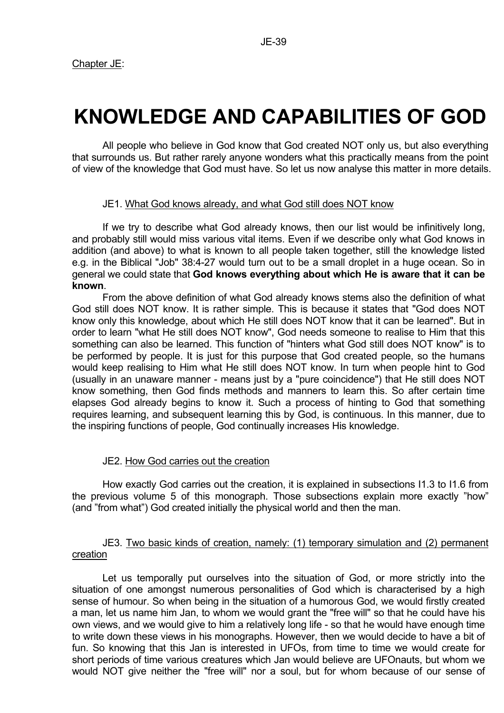# **KNOWLEDGE AND CAPABILITIES OF GOD**

 All people who believe in God know that God created NOT only us, but also everything that surrounds us. But rather rarely anyone wonders what this practically means from the point of view of the knowledge that God must have. So let us now analyse this matter in more details.

#### JE1. What God knows already, and what God still does NOT know

 If we try to describe what God already knows, then our list would be infinitively long, and probably still would miss various vital items. Even if we describe only what God knows in addition (and above) to what is known to all people taken together, still the knowledge listed e.g. in the Biblical "Job" 38:4-27 would turn out to be a small droplet in a huge ocean. So in general we could state that **God knows everything about which He is aware that it can be known**.

 From the above definition of what God already knows stems also the definition of what God still does NOT know. It is rather simple. This is because it states that "God does NOT know only this knowledge, about which He still does NOT know that it can be learned". But in order to learn "what He still does NOT know", God needs someone to realise to Him that this something can also be learned. This function of "hinters what God still does NOT know" is to be performed by people. It is just for this purpose that God created people, so the humans would keep realising to Him what He still does NOT know. In turn when people hint to God (usually in an unaware manner - means just by a "pure coincidence") that He still does NOT know something, then God finds methods and manners to learn this. So after certain time elapses God already begins to know it. Such a process of hinting to God that something requires learning, and subsequent learning this by God, is continuous. In this manner, due to the inspiring functions of people, God continually increases His knowledge.

#### JE2. How God carries out the creation

 How exactly God carries out the creation, it is explained in subsections I1.3 to I1.6 from the previous volume 5 of this monograph. Those subsections explain more exactly "how" (and "from what") God created initially the physical world and then the man.

# JE3. Two basic kinds of creation, namely: (1) temporary simulation and (2) permanent creation

 Let us temporally put ourselves into the situation of God, or more strictly into the situation of one amongst numerous personalities of God which is characterised by a high sense of humour. So when being in the situation of a humorous God, we would firstly created a man, let us name him Jan, to whom we would grant the "free will" so that he could have his own views, and we would give to him a relatively long life - so that he would have enough time to write down these views in his monographs. However, then we would decide to have a bit of fun. So knowing that this Jan is interested in UFOs, from time to time we would create for short periods of time various creatures which Jan would believe are UFOnauts, but whom we would NOT give neither the "free will" nor a soul, but for whom because of our sense of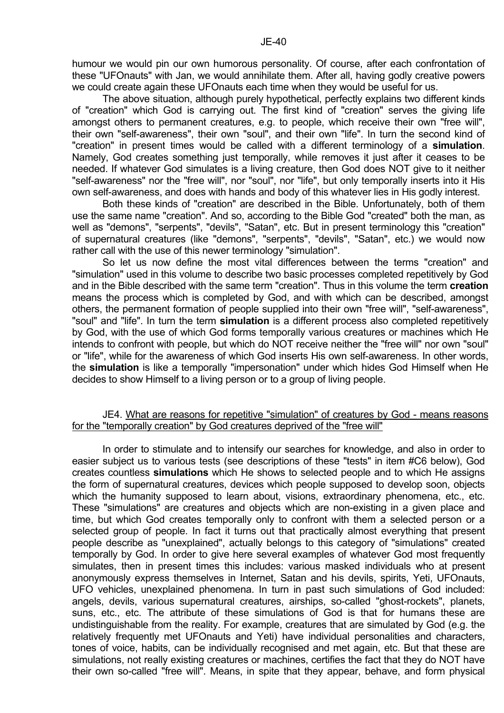humour we would pin our own humorous personality. Of course, after each confrontation of these "UFOnauts" with Jan, we would annihilate them. After all, having godly creative powers we could create again these UFOnauts each time when they would be useful for us.

 The above situation, although purely hypothetical, perfectly explains two different kinds of "creation" which God is carrying out. The first kind of "creation" serves the giving life amongst others to permanent creatures, e.g. to people, which receive their own "free will", their own "self-awareness", their own "soul", and their own "life". In turn the second kind of "creation" in present times would be called with a different terminology of a **simulation**. Namely, God creates something just temporally, while removes it just after it ceases to be needed. If whatever God simulates is a living creature, then God does NOT give to it neither "self-awareness" nor the "free will", nor "soul", nor "life", but only temporally inserts into it His own self-awareness, and does with hands and body of this whatever lies in His godly interest.

 Both these kinds of "creation" are described in the Bible. Unfortunately, both of them use the same name "creation". And so, according to the Bible God "created" both the man, as well as "demons", "serpents", "devils", "Satan", etc. But in present terminology this "creation" of supernatural creatures (like "demons", "serpents", "devils", "Satan", etc.) we would now rather call with the use of this newer terminology "simulation".

 So let us now define the most vital differences between the terms "creation" and "simulation" used in this volume to describe two basic processes completed repetitively by God and in the Bible described with the same term "creation". Thus in this volume the term **creation** means the process which is completed by God, and with which can be described, amongst others, the permanent formation of people supplied into their own "free will", "self-awareness", "soul" and "life". In turn the term **simulation** is a different process also completed repetitively by God, with the use of which God forms temporally various creatures or machines which He intends to confront with people, but which do NOT receive neither the "free will" nor own "soul" or "life", while for the awareness of which God inserts His own self-awareness. In other words, the **simulation** is like a temporally "impersonation" under which hides God Himself when He decides to show Himself to a living person or to a group of living people.

#### JE4. What are reasons for repetitive "simulation" of creatures by God - means reasons for the "temporally creation" by God creatures deprived of the "free will"

 In order to stimulate and to intensify our searches for knowledge, and also in order to easier subject us to various tests (see descriptions of these "tests" in item #C6 below), God creates countless **simulations** which He shows to selected people and to which He assigns the form of supernatural creatures, devices which people supposed to develop soon, objects which the humanity supposed to learn about, visions, extraordinary phenomena, etc., etc. These "simulations" are creatures and objects which are non-existing in a given place and time, but which God creates temporally only to confront with them a selected person or a selected group of people. In fact it turns out that practically almost everything that present people describe as "unexplained", actually belongs to this category of "simulations" created temporally by God. In order to give here several examples of whatever God most frequently simulates, then in present times this includes: various masked individuals who at present anonymously express themselves in Internet, Satan and his devils, spirits, Yeti, UFOnauts, UFO vehicles, unexplained phenomena. In turn in past such simulations of God included: angels, devils, various supernatural creatures, airships, so-called "ghost-rockets", planets, suns, etc., etc. The attribute of these simulations of God is that for humans these are undistinguishable from the reality. For example, creatures that are simulated by God (e.g. the relatively frequently met UFOnauts and Yeti) have individual personalities and characters, tones of voice, habits, can be individually recognised and met again, etc. But that these are simulations, not really existing creatures or machines, certifies the fact that they do NOT have their own so-called "free will". Means, in spite that they appear, behave, and form physical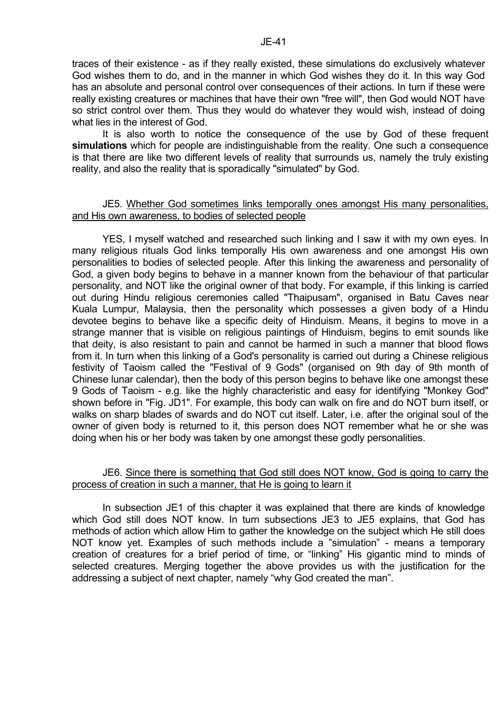traces of their existence - as if they really existed, these simulations do exclusively whatever God wishes them to do, and in the manner in which God wishes they do it. In this way God has an absolute and personal control over consequences of their actions. In turn if these were really existing creatures or machines that have their own "free will", then God would NOT have so strict control over them. Thus they would do whatever they would wish, instead of doing what lies in the interest of God.

JE-41

 It is also worth to notice the consequence of the use by God of these frequent **simulations** which for people are indistinguishable from the reality. One such a consequence is that there are like two different levels of reality that surrounds us, namely the truly existing reality, and also the reality that is sporadically "simulated" by God.

#### JE5. Whether God sometimes links temporally ones amongst His many personalities, and His own awareness, to bodies of selected people

 YES, I myself watched and researched such linking and I saw it with my own eyes. In many religious rituals God links temporally His own awareness and one amongst His own personalities to bodies of selected people. After this linking the awareness and personality of God, a given body begins to behave in a manner known from the behaviour of that particular personality, and NOT like the original owner of that body. For example, if this linking is carried out during Hindu religious ceremonies called "Thaipusam", organised in Batu Caves near Kuala Lumpur, Malaysia, then the personality which possesses a given body of a Hindu devotee begins to behave like a specific deity of Hinduism. Means, it begins to move in a strange manner that is visible on religious paintings of Hinduism, begins to emit sounds like that deity, is also resistant to pain and cannot be harmed in such a manner that blood flows from it. In turn when this linking of a God's personality is carried out during a Chinese religious festivity of Taoism called the "Festival of 9 Gods" (organised on 9th day of 9th month of Chinese lunar calendar), then the body of this person begins to behave like one amongst these 9 Gods of Taoism - e.g. like the highly characteristic and easy for identifying "Monkey God" shown before in "Fig. JD1". For example, this body can walk on fire and do NOT burn itself, or walks on sharp blades of swards and do NOT cut itself. Later, i.e. after the original soul of the owner of given body is returned to it, this person does NOT remember what he or she was doing when his or her body was taken by one amongst these godly personalities.

# JE6. Since there is something that God still does NOT know, God is going to carry the process of creation in such a manner, that He is going to learn it

 In subsection JE1 of this chapter it was explained that there are kinds of knowledge which God still does NOT know. In turn subsections JE3 to JE5 explains, that God has methods of action which allow Him to gather the knowledge on the subject which He still does NOT know yet. Examples of such methods include a "simulation" - means a temporary creation of creatures for a brief period of time, or "linking" His gigantic mind to minds of selected creatures. Merging together the above provides us with the justification for the addressing a subject of next chapter, namely "why God created the man".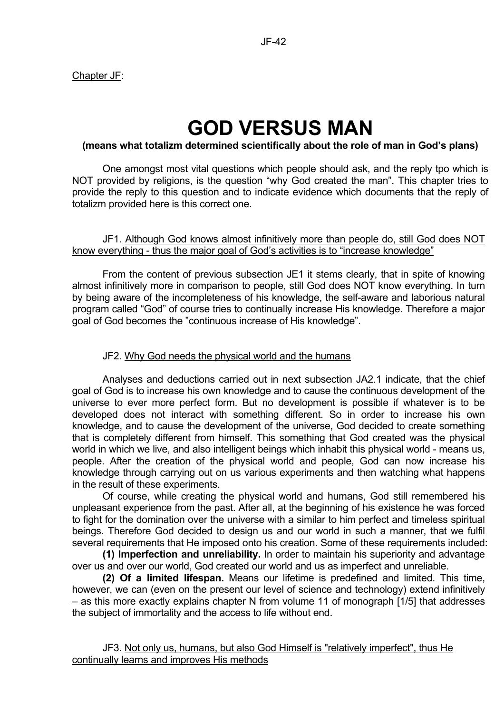# Chapter JF:

# **GOD VERSUS MAN**

# **(means what totalizm determined scientifically about the role of man in God's plans)**

 One amongst most vital questions which people should ask, and the reply tpo which is NOT provided by religions, is the question "why God created the man". This chapter tries to provide the reply to this question and to indicate evidence which documents that the reply of totalizm provided here is this correct one.

#### JF1. Although God knows almost infinitively more than people do, still God does NOT know everything - thus the major goal of God's activities is to "increase knowledge"

 From the content of previous subsection JE1 it stems clearly, that in spite of knowing almost infinitively more in comparison to people, still God does NOT know everything. In turn by being aware of the incompleteness of his knowledge, the self-aware and laborious natural program called "God" of course tries to continually increase His knowledge. Therefore a major goal of God becomes the "continuous increase of His knowledge".

# JF2. Why God needs the physical world and the humans

 Analyses and deductions carried out in next subsection JA2.1 indicate, that the chief goal of God is to increase his own knowledge and to cause the continuous development of the universe to ever more perfect form. But no development is possible if whatever is to be developed does not interact with something different. So in order to increase his own knowledge, and to cause the development of the universe, God decided to create something that is completely different from himself. This something that God created was the physical world in which we live, and also intelligent beings which inhabit this physical world - means us, people. After the creation of the physical world and people, God can now increase his knowledge through carrying out on us various experiments and then watching what happens in the result of these experiments.

 Of course, while creating the physical world and humans, God still remembered his unpleasant experience from the past. After all, at the beginning of his existence he was forced to fight for the domination over the universe with a similar to him perfect and timeless spiritual beings. Therefore God decided to design us and our world in such a manner, that we fulfil several requirements that He imposed onto his creation. Some of these requirements included:

 **(1) Imperfection and unreliability.** In order to maintain his superiority and advantage over us and over our world, God created our world and us as imperfect and unreliable.

**(2) Of a limited lifespan.** Means our lifetime is predefined and limited. This time, however, we can (even on the present our level of science and technology) extend infinitively – as this more exactly explains chapter N from volume 11 of monograph [1/5] that addresses the subject of immortality and the access to life without end.

# JF3. Not only us, humans, but also God Himself is "relatively imperfect", thus He continually learns and improves His methods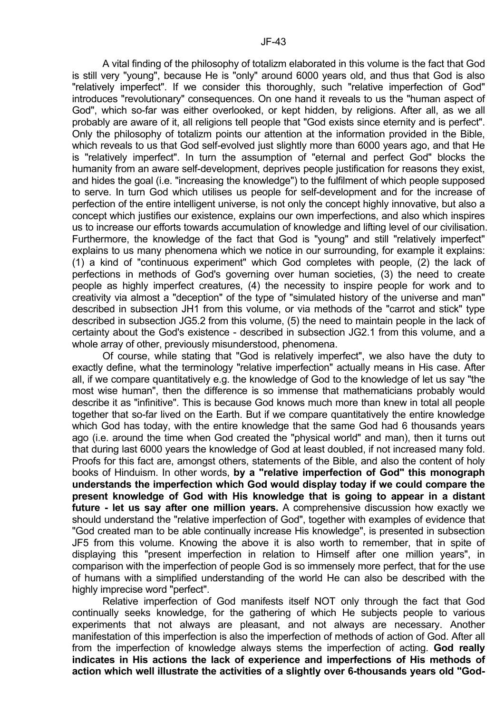A vital finding of the philosophy of totalizm elaborated in this volume is the fact that God is still very "young", because He is "only" around 6000 years old, and thus that God is also "relatively imperfect". If we consider this thoroughly, such "relative imperfection of God" introduces "revolutionary" consequences. On one hand it reveals to us the "human aspect of God", which so-far was either overlooked, or kept hidden, by religions. After all, as we all probably are aware of it, all religions tell people that "God exists since eternity and is perfect". Only the philosophy of totalizm points our attention at the information provided in the Bible, which reveals to us that God self-evolved just slightly more than 6000 years ago, and that He is "relatively imperfect". In turn the assumption of "eternal and perfect God" blocks the humanity from an aware self-development, deprives people justification for reasons they exist, and hides the goal (i.e. "increasing the knowledge") to the fulfilment of which people supposed to serve. In turn God which utilises us people for self-development and for the increase of perfection of the entire intelligent universe, is not only the concept highly innovative, but also a concept which justifies our existence, explains our own imperfections, and also which inspires us to increase our efforts towards accumulation of knowledge and lifting level of our civilisation. Furthermore, the knowledge of the fact that God is "young" and still "relatively imperfect" explains to us many phenomena which we notice in our surrounding, for example it explains: (1) a kind of "continuous experiment" which God completes with people, (2) the lack of perfections in methods of God's governing over human societies, (3) the need to create people as highly imperfect creatures, (4) the necessity to inspire people for work and to creativity via almost a "deception" of the type of "simulated history of the universe and man" described in subsection JH1 from this volume, or via methods of the "carrot and stick" type described in subsection JG5.2 from this volume, (5) the need to maintain people in the lack of certainty about the God's existence - described in subsection JG2.1 from this volume, and a whole array of other, previously misunderstood, phenomena.

 Of course, while stating that "God is relatively imperfect", we also have the duty to exactly define, what the terminology "relative imperfection" actually means in His case. After all, if we compare quantitatively e.g. the knowledge of God to the knowledge of let us say "the most wise human", then the difference is so immense that mathematicians probably would describe it as "infinitive". This is because God knows much more than knew in total all people together that so-far lived on the Earth. But if we compare quantitatively the entire knowledge which God has today, with the entire knowledge that the same God had 6 thousands years ago (i.e. around the time when God created the "physical world" and man), then it turns out that during last 6000 years the knowledge of God at least doubled, if not increased many fold. Proofs for this fact are, amongst others, statements of the Bible, and also the content of holy books of Hinduism. In other words, **by a "relative imperfection of God" this monograph understands the imperfection which God would display today if we could compare the present knowledge of God with His knowledge that is going to appear in a distant future - let us say after one million years.** A comprehensive discussion how exactly we should understand the "relative imperfection of God", together with examples of evidence that "God created man to be able continually increase His knowledge", is presented in subsection JF5 from this volume. Knowing the above it is also worth to remember, that in spite of displaying this "present imperfection in relation to Himself after one million years", in comparison with the imperfection of people God is so immensely more perfect, that for the use of humans with a simplified understanding of the world He can also be described with the highly imprecise word "perfect".

 Relative imperfection of God manifests itself NOT only through the fact that God continually seeks knowledge, for the gathering of which He subjects people to various experiments that not always are pleasant, and not always are necessary. Another manifestation of this imperfection is also the imperfection of methods of action of God. After all from the imperfection of knowledge always stems the imperfection of acting. **God really indicates in His actions the lack of experience and imperfections of His methods of action which well illustrate the activities of a slightly over 6-thousands years old "God-**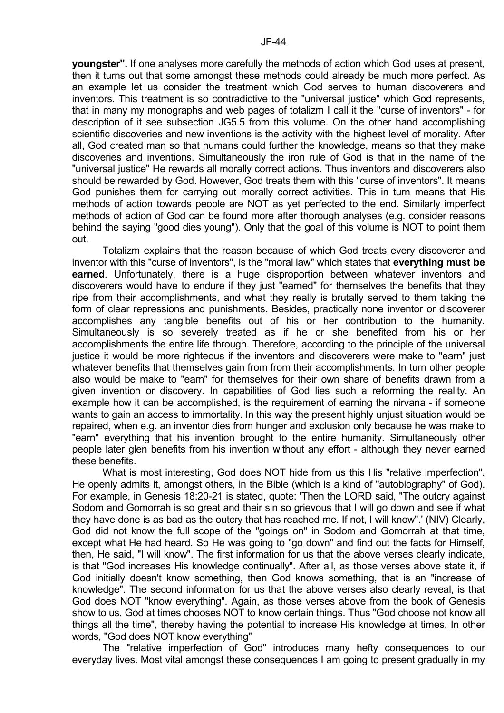**youngster".** If one analyses more carefully the methods of action which God uses at present, then it turns out that some amongst these methods could already be much more perfect. As an example let us consider the treatment which God serves to human discoverers and inventors. This treatment is so contradictive to the "universal justice" which God represents, that in many my monographs and web pages of totalizm I call it the "curse of inventors" - for description of it see subsection JG5.5 from this volume. On the other hand accomplishing scientific discoveries and new inventions is the activity with the highest level of morality. After all, God created man so that humans could further the knowledge, means so that they make discoveries and inventions. Simultaneously the iron rule of God is that in the name of the "universal justice" He rewards all morally correct actions. Thus inventors and discoverers also should be rewarded by God. However, God treats them with this "curse of inventors". It means God punishes them for carrying out morally correct activities. This in turn means that His methods of action towards people are NOT as yet perfected to the end. Similarly imperfect methods of action of God can be found more after thorough analyses (e.g. consider reasons behind the saying "good dies young"). Only that the goal of this volume is NOT to point them out.

 Totalizm explains that the reason because of which God treats every discoverer and inventor with this "curse of inventors", is the "moral law" which states that **everything must be earned**. Unfortunately, there is a huge disproportion between whatever inventors and discoverers would have to endure if they just "earned" for themselves the benefits that they ripe from their accomplishments, and what they really is brutally served to them taking the form of clear repressions and punishments. Besides, practically none inventor or discoverer accomplishes any tangible benefits out of his or her contribution to the humanity. Simultaneously is so severely treated as if he or she benefited from his or her accomplishments the entire life through. Therefore, according to the principle of the universal justice it would be more righteous if the inventors and discoverers were make to "earn" just whatever benefits that themselves gain from from their accomplishments. In turn other people also would be make to "earn" for themselves for their own share of benefits drawn from a given invention or discovery. In capabilities of God lies such a reforming the reality. An example how it can be accomplished, is the requirement of earning the nirvana - if someone wants to gain an access to immortality. In this way the present highly unjust situation would be repaired, when e.g. an inventor dies from hunger and exclusion only because he was make to "earn" everything that his invention brought to the entire humanity. Simultaneously other people later glen benefits from his invention without any effort - although they never earned these benefits.

 What is most interesting, God does NOT hide from us this His "relative imperfection". He openly admits it, amongst others, in the Bible (which is a kind of "autobiography" of God). For example, in Genesis 18:20-21 is stated, quote: 'Then the LORD said, "The outcry against Sodom and Gomorrah is so great and their sin so grievous that I will go down and see if what they have done is as bad as the outcry that has reached me. If not, I will know".' (NIV) Clearly, God did not know the full scope of the "goings on" in Sodom and Gomorrah at that time, except what He had heard. So He was going to "go down" and find out the facts for Himself, then, He said, "I will know". The first information for us that the above verses clearly indicate, is that "God increases His knowledge continually". After all, as those verses above state it, if God initially doesn't know something, then God knows something, that is an "increase of knowledge". The second information for us that the above verses also clearly reveal, is that God does NOT "know everything". Again, as those verses above from the book of Genesis show to us, God at times chooses NOT to know certain things. Thus "God choose not know all things all the time", thereby having the potential to increase His knowledge at times. In other words, "God does NOT know everything"

 The "relative imperfection of God" introduces many hefty consequences to our everyday lives. Most vital amongst these consequences I am going to present gradually in my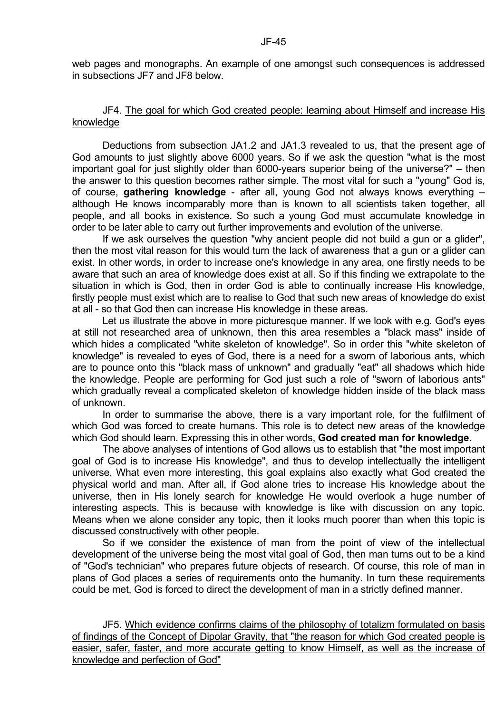web pages and monographs. An example of one amongst such consequences is addressed in subsections JF7 and JF8 below.

#### JF4. The goal for which God created people: learning about Himself and increase His knowledge

 Deductions from subsection JA1.2 and JA1.3 revealed to us, that the present age of God amounts to just slightly above 6000 years. So if we ask the question "what is the most important goal for just slightly older than 6000-years superior being of the universe?" – then the answer to this question becomes rather simple. The most vital for such a "young" God is, of course, **gathering knowledge** - after all, young God not always knows everything – although He knows incomparably more than is known to all scientists taken together, all people, and all books in existence. So such a young God must accumulate knowledge in order to be later able to carry out further improvements and evolution of the universe.

 If we ask ourselves the question "why ancient people did not build a gun or a glider", then the most vital reason for this would turn the lack of awareness that a gun or a glider can exist. In other words, in order to increase one's knowledge in any area, one firstly needs to be aware that such an area of knowledge does exist at all. So if this finding we extrapolate to the situation in which is God, then in order God is able to continually increase His knowledge, firstly people must exist which are to realise to God that such new areas of knowledge do exist at all - so that God then can increase His knowledge in these areas.

 Let us illustrate the above in more picturesque manner. If we look with e.g. God's eyes at still not researched area of unknown, then this area resembles a "black mass" inside of which hides a complicated "white skeleton of knowledge". So in order this "white skeleton of knowledge" is revealed to eyes of God, there is a need for a sworn of laborious ants, which are to pounce onto this "black mass of unknown" and gradually "eat" all shadows which hide the knowledge. People are performing for God just such a role of "sworn of laborious ants" which gradually reveal a complicated skeleton of knowledge hidden inside of the black mass of unknown.

 In order to summarise the above, there is a vary important role, for the fulfilment of which God was forced to create humans. This role is to detect new areas of the knowledge which God should learn. Expressing this in other words, **God created man for knowledge**.

 The above analyses of intentions of God allows us to establish that "the most important goal of God is to increase His knowledge", and thus to develop intellectually the intelligent universe. What even more interesting, this goal explains also exactly what God created the physical world and man. After all, if God alone tries to increase His knowledge about the universe, then in His lonely search for knowledge He would overlook a huge number of interesting aspects. This is because with knowledge is like with discussion on any topic. Means when we alone consider any topic, then it looks much poorer than when this topic is discussed constructively with other people.

 So if we consider the existence of man from the point of view of the intellectual development of the universe being the most vital goal of God, then man turns out to be a kind of "God's technician" who prepares future objects of research. Of course, this role of man in plans of God places a series of requirements onto the humanity. In turn these requirements could be met, God is forced to direct the development of man in a strictly defined manner.

 JF5. Which evidence confirms claims of the philosophy of totalizm formulated on basis of findings of the Concept of Dipolar Gravity, that "the reason for which God created people is easier, safer, faster, and more accurate getting to know Himself, as well as the increase of knowledge and perfection of God"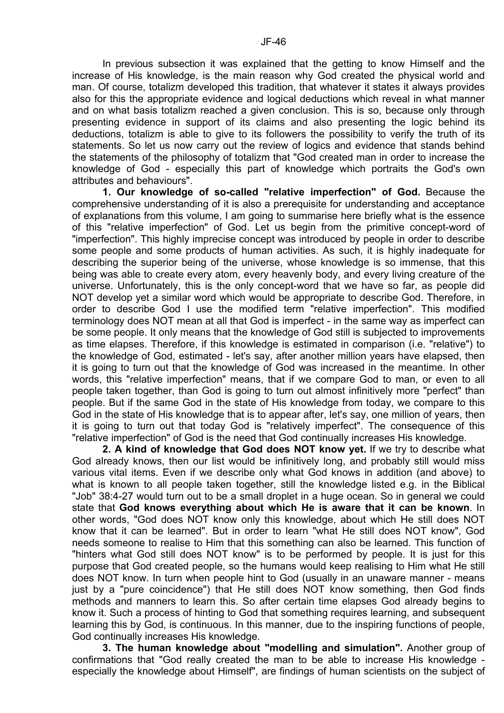In previous subsection it was explained that the getting to know Himself and the increase of His knowledge, is the main reason why God created the physical world and man. Of course, totalizm developed this tradition, that whatever it states it always provides also for this the appropriate evidence and logical deductions which reveal in what manner and on what basis totalizm reached a given conclusion. This is so, because only through presenting evidence in support of its claims and also presenting the logic behind its deductions, totalizm is able to give to its followers the possibility to verify the truth of its statements. So let us now carry out the review of logics and evidence that stands behind the statements of the philosophy of totalizm that "God created man in order to increase the knowledge of God - especially this part of knowledge which portraits the God's own attributes and behaviours".

**1. Our knowledge of so-called "relative imperfection" of God.** Because the comprehensive understanding of it is also a prerequisite for understanding and acceptance of explanations from this volume, I am going to summarise here briefly what is the essence of this "relative imperfection" of God. Let us begin from the primitive concept-word of "imperfection". This highly imprecise concept was introduced by people in order to describe some people and some products of human activities. As such, it is highly inadequate for describing the superior being of the universe, whose knowledge is so immense, that this being was able to create every atom, every heavenly body, and every living creature of the universe. Unfortunately, this is the only concept-word that we have so far, as people did NOT develop yet a similar word which would be appropriate to describe God. Therefore, in order to describe God I use the modified term "relative imperfection". This modified terminology does NOT mean at all that God is imperfect - in the same way as imperfect can be some people. It only means that the knowledge of God still is subjected to improvements as time elapses. Therefore, if this knowledge is estimated in comparison (i.e. "relative") to the knowledge of God, estimated - let's say, after another million years have elapsed, then it is going to turn out that the knowledge of God was increased in the meantime. In other words, this "relative imperfection" means, that if we compare God to man, or even to all people taken together, than God is going to turn out almost infinitively more "perfect" than people. But if the same God in the state of His knowledge from today, we compare to this God in the state of His knowledge that is to appear after, let's say, one million of years, then it is going to turn out that today God is "relatively imperfect". The consequence of this "relative imperfection" of God is the need that God continually increases His knowledge.

**2. A kind of knowledge that God does NOT know yet.** If we try to describe what God already knows, then our list would be infinitively long, and probably still would miss various vital items. Even if we describe only what God knows in addition (and above) to what is known to all people taken together, still the knowledge listed e.g. in the Biblical "Job" 38:4-27 would turn out to be a small droplet in a huge ocean. So in general we could state that **God knows everything about which He is aware that it can be known**. In other words, "God does NOT know only this knowledge, about which He still does NOT know that it can be learned". But in order to learn "what He still does NOT know", God needs someone to realise to Him that this something can also be learned. This function of "hinters what God still does NOT know" is to be performed by people. It is just for this purpose that God created people, so the humans would keep realising to Him what He still does NOT know. In turn when people hint to God (usually in an unaware manner - means just by a "pure coincidence") that He still does NOT know something, then God finds methods and manners to learn this. So after certain time elapses God already begins to know it. Such a process of hinting to God that something requires learning, and subsequent learning this by God, is continuous. In this manner, due to the inspiring functions of people, God continually increases His knowledge.

**3. The human knowledge about "modelling and simulation".** Another group of confirmations that "God really created the man to be able to increase His knowledge especially the knowledge about Himself", are findings of human scientists on the subject of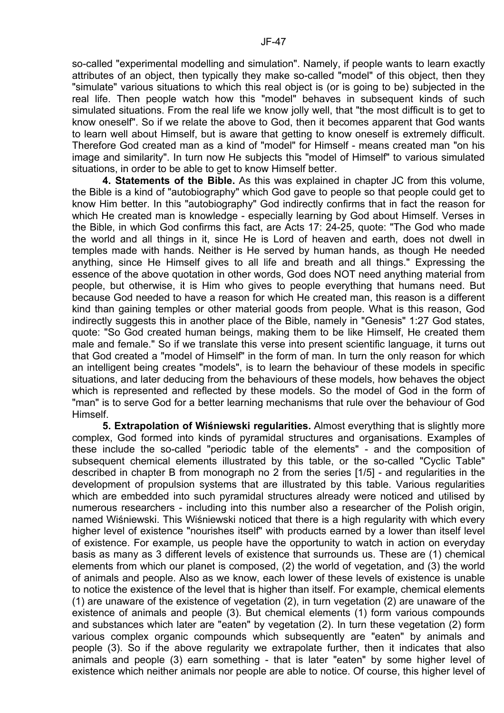so-called "experimental modelling and simulation". Namely, if people wants to learn exactly attributes of an object, then typically they make so-called "model" of this object, then they "simulate" various situations to which this real object is (or is going to be) subjected in the real life. Then people watch how this "model" behaves in subsequent kinds of such simulated situations. From the real life we know jolly well, that "the most difficult is to get to know oneself". So if we relate the above to God, then it becomes apparent that God wants to learn well about Himself, but is aware that getting to know oneself is extremely difficult. Therefore God created man as a kind of "model" for Himself - means created man "on his image and similarity". In turn now He subjects this "model of Himself" to various simulated situations, in order to be able to get to know Himself better.

**4. Statements of the Bible.** As this was explained in chapter JC from this volume, the Bible is a kind of "autobiography" which God gave to people so that people could get to know Him better. In this "autobiography" God indirectly confirms that in fact the reason for which He created man is knowledge - especially learning by God about Himself. Verses in the Bible, in which God confirms this fact, are Acts 17: 24-25, quote: "The God who made the world and all things in it, since He is Lord of heaven and earth, does not dwell in temples made with hands. Neither is He served by human hands, as though He needed anything, since He Himself gives to all life and breath and all things." Expressing the essence of the above quotation in other words, God does NOT need anything material from people, but otherwise, it is Him who gives to people everything that humans need. But because God needed to have a reason for which He created man, this reason is a different kind than gaining temples or other material goods from people. What is this reason, God indirectly suggests this in another place of the Bible, namely in "Genesis" 1:27 God states, quote: "So God created human beings, making them to be like Himself, He created them male and female." So if we translate this verse into present scientific language, it turns out that God created a "model of Himself" in the form of man. In turn the only reason for which an intelligent being creates "models", is to learn the behaviour of these models in specific situations, and later deducing from the behaviours of these models, how behaves the object which is represented and reflected by these models. So the model of God in the form of "man" is to serve God for a better learning mechanisms that rule over the behaviour of God Himself.

**5. Extrapolation of Wiśniewski regularities.** Almost everything that is slightly more complex, God formed into kinds of pyramidal structures and organisations. Examples of these include the so-called "periodic table of the elements" - and the composition of subsequent chemical elements illustrated by this table, or the so-called "Cyclic Table" described in chapter B from monograph no 2 from the series [1/5] - and regularities in the development of propulsion systems that are illustrated by this table. Various regularities which are embedded into such pyramidal structures already were noticed and utilised by numerous researchers - including into this number also a researcher of the Polish origin, named Wiśniewski. This Wiśniewski noticed that there is a high regularity with which every higher level of existence "nourishes itself" with products earned by a lower than itself level of existence. For example, us people have the opportunity to watch in action on everyday basis as many as 3 different levels of existence that surrounds us. These are (1) chemical elements from which our planet is composed, (2) the world of vegetation, and (3) the world of animals and people. Also as we know, each lower of these levels of existence is unable to notice the existence of the level that is higher than itself. For example, chemical elements (1) are unaware of the existence of vegetation (2), in turn vegetation (2) are unaware of the existence of animals and people (3). But chemical elements (1) form various compounds and substances which later are "eaten" by vegetation (2). In turn these vegetation (2) form various complex organic compounds which subsequently are "eaten" by animals and people (3). So if the above regularity we extrapolate further, then it indicates that also animals and people (3) earn something - that is later "eaten" by some higher level of existence which neither animals nor people are able to notice. Of course, this higher level of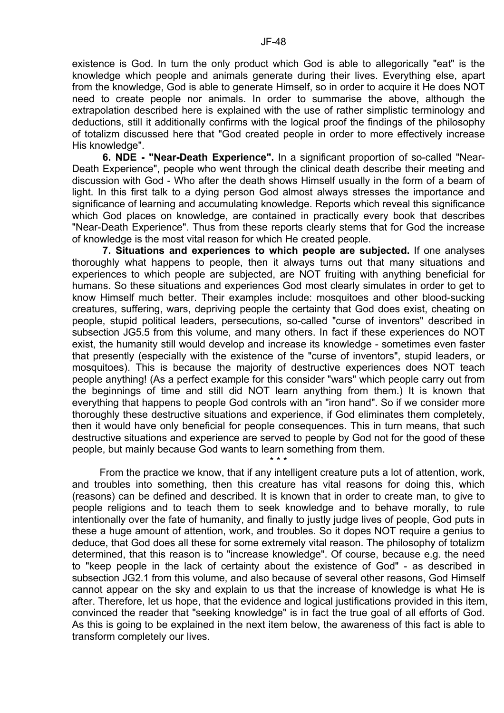existence is God. In turn the only product which God is able to allegorically "eat" is the knowledge which people and animals generate during their lives. Everything else, apart from the knowledge, God is able to generate Himself, so in order to acquire it He does NOT need to create people nor animals. In order to summarise the above, although the extrapolation described here is explained with the use of rather simplistic terminology and deductions, still it additionally confirms with the logical proof the findings of the philosophy of totalizm discussed here that "God created people in order to more effectively increase His knowledge".

**6. NDE - "Near-Death Experience".** In a significant proportion of so-called "Near-Death Experience", people who went through the clinical death describe their meeting and discussion with God - Who after the death shows Himself usually in the form of a beam of light. In this first talk to a dying person God almost always stresses the importance and significance of learning and accumulating knowledge. Reports which reveal this significance which God places on knowledge, are contained in practically every book that describes "Near-Death Experience". Thus from these reports clearly stems that for God the increase of knowledge is the most vital reason for which He created people.

**7. Situations and experiences to which people are subjected.** If one analyses thoroughly what happens to people, then it always turns out that many situations and experiences to which people are subjected, are NOT fruiting with anything beneficial for humans. So these situations and experiences God most clearly simulates in order to get to know Himself much better. Their examples include: mosquitoes and other blood-sucking creatures, suffering, wars, depriving people the certainty that God does exist, cheating on people, stupid political leaders, persecutions, so-called "curse of inventors" described in subsection JG5.5 from this volume, and many others. In fact if these experiences do NOT exist, the humanity still would develop and increase its knowledge - sometimes even faster that presently (especially with the existence of the "curse of inventors", stupid leaders, or mosquitoes). This is because the majority of destructive experiences does NOT teach people anything! (As a perfect example for this consider "wars" which people carry out from the beginnings of time and still did NOT learn anything from them.) It is known that everything that happens to people God controls with an "iron hand". So if we consider more thoroughly these destructive situations and experience, if God eliminates them completely, then it would have only beneficial for people consequences. This in turn means, that such destructive situations and experience are served to people by God not for the good of these people, but mainly because God wants to learn something from them.

\* \* \*

 From the practice we know, that if any intelligent creature puts a lot of attention, work, and troubles into something, then this creature has vital reasons for doing this, which (reasons) can be defined and described. It is known that in order to create man, to give to people religions and to teach them to seek knowledge and to behave morally, to rule intentionally over the fate of humanity, and finally to justly judge lives of people, God puts in these a huge amount of attention, work, and troubles. So it dopes NOT require a genius to deduce, that God does all these for some extremely vital reason. The philosophy of totalizm determined, that this reason is to "increase knowledge". Of course, because e.g. the need to "keep people in the lack of certainty about the existence of God" - as described in subsection JG2.1 from this volume, and also because of several other reasons, God Himself cannot appear on the sky and explain to us that the increase of knowledge is what He is after. Therefore, let us hope, that the evidence and logical justifications provided in this item, convinced the reader that "seeking knowledge" is in fact the true goal of all efforts of God. As this is going to be explained in the next item below, the awareness of this fact is able to transform completely our lives.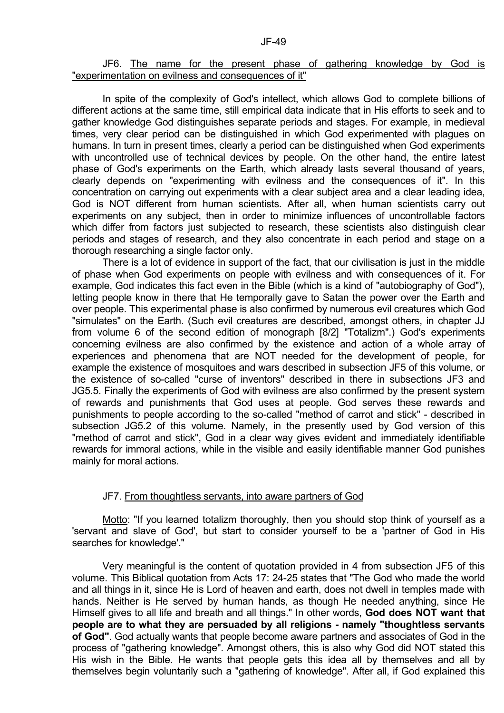#### $J$ F-49 $\,$

#### JF6. The name for the present phase of gathering knowledge by God is "experimentation on evilness and consequences of it"

 In spite of the complexity of God's intellect, which allows God to complete billions of different actions at the same time, still empirical data indicate that in His efforts to seek and to gather knowledge God distinguishes separate periods and stages. For example, in medieval times, very clear period can be distinguished in which God experimented with plagues on humans. In turn in present times, clearly a period can be distinguished when God experiments with uncontrolled use of technical devices by people. On the other hand, the entire latest phase of God's experiments on the Earth, which already lasts several thousand of years, clearly depends on "experimenting with evilness and the consequences of it". In this concentration on carrying out experiments with a clear subject area and a clear leading idea, God is NOT different from human scientists. After all, when human scientists carry out experiments on any subject, then in order to minimize influences of uncontrollable factors which differ from factors just subjected to research, these scientists also distinguish clear periods and stages of research, and they also concentrate in each period and stage on a thorough researching a single factor only.

 There is a lot of evidence in support of the fact, that our civilisation is just in the middle of phase when God experiments on people with evilness and with consequences of it. For example, God indicates this fact even in the Bible (which is a kind of "autobiography of God"), letting people know in there that He temporally gave to Satan the power over the Earth and over people. This experimental phase is also confirmed by numerous evil creatures which God "simulates" on the Earth. (Such evil creatures are described, amongst others, in chapter JJ from volume 6 of the second edition of monograph [8/2] "Totalizm".) God's experiments concerning evilness are also confirmed by the existence and action of a whole array of experiences and phenomena that are NOT needed for the development of people, for example the existence of mosquitoes and wars described in subsection JF5 of this volume, or the existence of so-called "curse of inventors" described in there in subsections JF3 and JG5.5. Finally the experiments of God with evilness are also confirmed by the present system of rewards and punishments that God uses at people. God serves these rewards and punishments to people according to the so-called "method of carrot and stick" - described in subsection JG5.2 of this volume. Namely, in the presently used by God version of this "method of carrot and stick", God in a clear way gives evident and immediately identifiable rewards for immoral actions, while in the visible and easily identifiable manner God punishes mainly for moral actions.

#### JF7. From thoughtless servants, into aware partners of God

 Motto: "If you learned totalizm thoroughly, then you should stop think of yourself as a 'servant and slave of God', but start to consider yourself to be a 'partner of God in His searches for knowledge'."

 Very meaningful is the content of quotation provided in 4 from subsection JF5 of this volume. This Biblical quotation from Acts 17: 24-25 states that "The God who made the world and all things in it, since He is Lord of heaven and earth, does not dwell in temples made with hands. Neither is He served by human hands, as though He needed anything, since He Himself gives to all life and breath and all things." In other words, **God does NOT want that people are to what they are persuaded by all religions - namely "thoughtless servants of God"**. God actually wants that people become aware partners and associates of God in the process of "gathering knowledge". Amongst others, this is also why God did NOT stated this His wish in the Bible. He wants that people gets this idea all by themselves and all by themselves begin voluntarily such a "gathering of knowledge". After all, if God explained this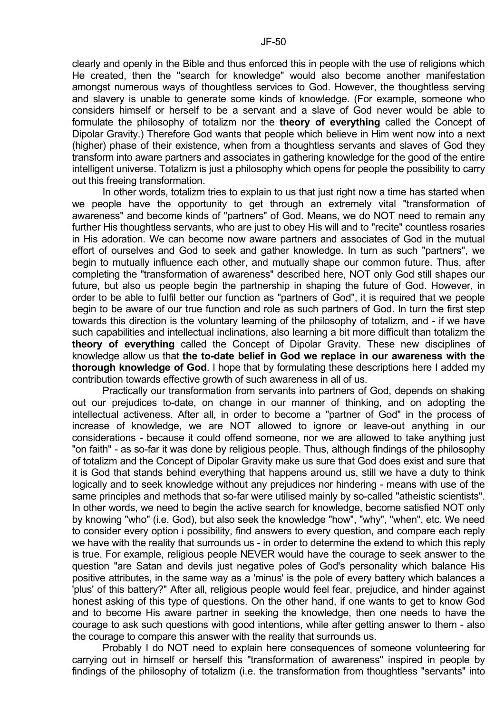clearly and openly in the Bible and thus enforced this in people with the use of religions which He created, then the "search for knowledge" would also become another manifestation amongst numerous ways of thoughtless services to God. However, the thoughtless serving and slavery is unable to generate some kinds of knowledge. (For example, someone who considers himself or herself to be a servant and a slave of God never would be able to formulate the philosophy of totalizm nor the **theory of everything** called the Concept of Dipolar Gravity.) Therefore God wants that people which believe in Him went now into a next (higher) phase of their existence, when from a thoughtless servants and slaves of God they transform into aware partners and associates in gathering knowledge for the good of the entire intelligent universe. Totalizm is just a philosophy which opens for people the possibility to carry out this freeing transformation.

 In other words, totalizm tries to explain to us that just right now a time has started when we people have the opportunity to get through an extremely vital "transformation of awareness" and become kinds of "partners" of God. Means, we do NOT need to remain any further His thoughtless servants, who are just to obey His will and to "recite" countless rosaries in His adoration. We can become now aware partners and associates of God in the mutual effort of ourselves and God to seek and gather knowledge. In turn as such "partners", we begin to mutually influence each other, and mutually shape our common future. Thus, after completing the "transformation of awareness" described here, NOT only God still shapes our future, but also us people begin the partnership in shaping the future of God. However, in order to be able to fulfil better our function as "partners of God", it is required that we people begin to be aware of our true function and role as such partners of God. In turn the first step towards this direction is the voluntary learning of the philosophy of totalizm, and - if we have such capabilities and intellectual inclinations, also learning a bit more difficult than totalizm the **theory of everything** called the Concept of Dipolar Gravity. These new disciplines of knowledge allow us that **the to-date belief in God we replace in our awareness with the thorough knowledge of God**. I hope that by formulating these descriptions here I added my contribution towards effective growth of such awareness in all of us.

 Practically our transformation from servants into partners of God, depends on shaking out our prejudices to-date, on change in our manner of thinking, and on adopting the intellectual activeness. After all, in order to become a "partner of God" in the process of increase of knowledge, we are NOT allowed to ignore or leave-out anything in our considerations - because it could offend someone, nor we are allowed to take anything just "on faith" - as so-far it was done by religious people. Thus, although findings of the philosophy of totalizm and the Concept of Dipolar Gravity make us sure that God does exist and sure that it is God that stands behind everything that happens around us, still we have a duty to think logically and to seek knowledge without any prejudices nor hindering - means with use of the same principles and methods that so-far were utilised mainly by so-called "atheistic scientists". In other words, we need to begin the active search for knowledge, become satisfied NOT only by knowing "who" (i.e. God), but also seek the knowledge "how", "why", "when", etc. We need to consider every option i possibility, find answers to every question, and compare each reply we have with the reality that surrounds us - in order to determine the extend to which this reply is true. For example, religious people NEVER would have the courage to seek answer to the question "are Satan and devils just negative poles of God's personality which balance His positive attributes, in the same way as a 'minus' is the pole of every battery which balances a 'plus' of this battery?" After all, religious people would feel fear, prejudice, and hinder against honest asking of this type of questions. On the other hand, if one wants to get to know God and to become His aware partner in seeking the knowledge, then one needs to have the courage to ask such questions with good intentions, while after getting answer to them - also the courage to compare this answer with the reality that surrounds us.

 Probably I do NOT need to explain here consequences of someone volunteering for carrying out in himself or herself this "transformation of awareness" inspired in people by findings of the philosophy of totalizm (i.e. the transformation from thoughtless "servants" into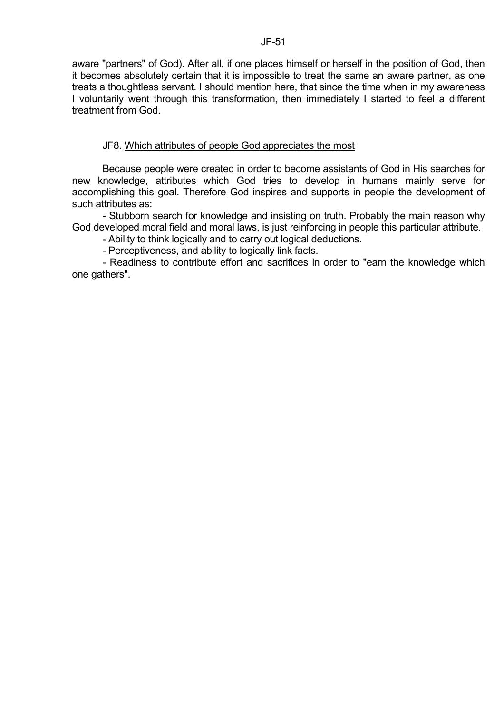aware "partners" of God). After all, if one places himself or herself in the position of God, then it becomes absolutely certain that it is impossible to treat the same an aware partner, as one treats a thoughtless servant. I should mention here, that since the time when in my awareness I voluntarily went through this transformation, then immediately I started to feel a different treatment from God.

# JF8. Which attributes of people God appreciates the most

 Because people were created in order to become assistants of God in His searches for new knowledge, attributes which God tries to develop in humans mainly serve for accomplishing this goal. Therefore God inspires and supports in people the development of such attributes as:

 - Stubborn search for knowledge and insisting on truth. Probably the main reason why God developed moral field and moral laws, is just reinforcing in people this particular attribute.

- Ability to think logically and to carry out logical deductions.

- Perceptiveness, and ability to logically link facts.

 - Readiness to contribute effort and sacrifices in order to "earn the knowledge which one gathers".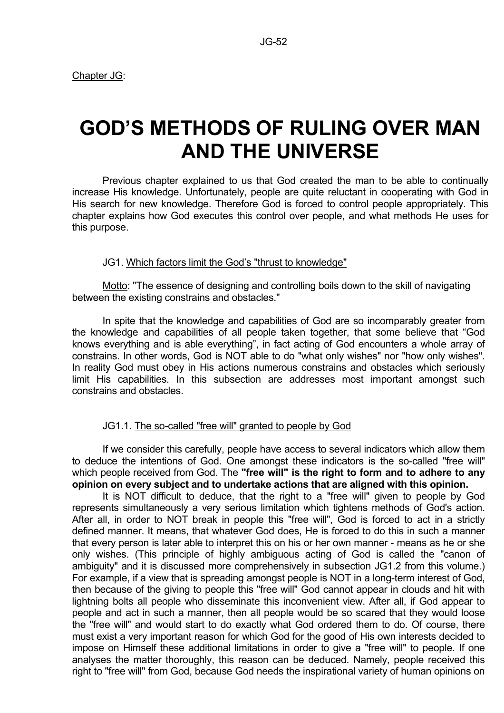Chapter JG:

# **GOD'S METHODS OF RULING OVER MAN AND THE UNIVERSE**

 Previous chapter explained to us that God created the man to be able to continually increase His knowledge. Unfortunately, people are quite reluctant in cooperating with God in His search for new knowledge. Therefore God is forced to control people appropriately. This chapter explains how God executes this control over people, and what methods He uses for this purpose.

# JG1. Which factors limit the God's "thrust to knowledge"

 Motto: "The essence of designing and controlling boils down to the skill of navigating between the existing constrains and obstacles."

 In spite that the knowledge and capabilities of God are so incomparably greater from the knowledge and capabilities of all people taken together, that some believe that "God knows everything and is able everything", in fact acting of God encounters a whole array of constrains. In other words, God is NOT able to do "what only wishes" nor "how only wishes". In reality God must obey in His actions numerous constrains and obstacles which seriously limit His capabilities. In this subsection are addresses most important amongst such constrains and obstacles.

# JG1.1. The so-called "free will" granted to people by God

 If we consider this carefully, people have access to several indicators which allow them to deduce the intentions of God. One amongst these indicators is the so-called "free will" which people received from God. The **"free will" is the right to form and to adhere to any opinion on every subject and to undertake actions that are aligned with this opinion.**

 It is NOT difficult to deduce, that the right to a "free will" given to people by God represents simultaneously a very serious limitation which tightens methods of God's action. After all, in order to NOT break in people this "free will", God is forced to act in a strictly defined manner. It means, that whatever God does, He is forced to do this in such a manner that every person is later able to interpret this on his or her own manner - means as he or she only wishes. (This principle of highly ambiguous acting of God is called the "canon of ambiguity" and it is discussed more comprehensively in subsection JG1.2 from this volume.) For example, if a view that is spreading amongst people is NOT in a long-term interest of God, then because of the giving to people this "free will" God cannot appear in clouds and hit with lightning bolts all people who disseminate this inconvenient view. After all, if God appear to people and act in such a manner, then all people would be so scared that they would loose the "free will" and would start to do exactly what God ordered them to do. Of course, there must exist a very important reason for which God for the good of His own interests decided to impose on Himself these additional limitations in order to give a "free will" to people. If one analyses the matter thoroughly, this reason can be deduced. Namely, people received this right to "free will" from God, because God needs the inspirational variety of human opinions on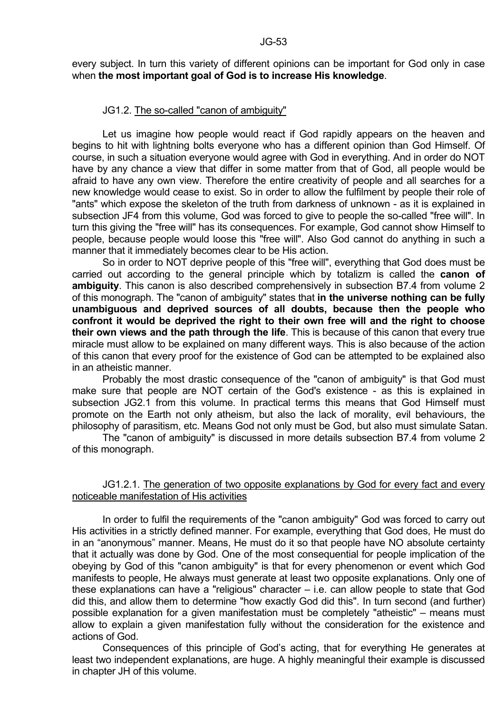every subject. In turn this variety of different opinions can be important for God only in case when **the most important goal of God is to increase His knowledge**.

#### JG1.2. The so-called "canon of ambiguity"

 Let us imagine how people would react if God rapidly appears on the heaven and begins to hit with lightning bolts everyone who has a different opinion than God Himself. Of course, in such a situation everyone would agree with God in everything. And in order do NOT have by any chance a view that differ in some matter from that of God, all people would be afraid to have any own view. Therefore the entire creativity of people and all searches for a new knowledge would cease to exist. So in order to allow the fulfilment by people their role of "ants" which expose the skeleton of the truth from darkness of unknown - as it is explained in subsection JF4 from this volume, God was forced to give to people the so-called "free will". In turn this giving the "free will" has its consequences. For example, God cannot show Himself to people, because people would loose this "free will". Also God cannot do anything in such a manner that it immediately becomes clear to be His action.

 So in order to NOT deprive people of this "free will", everything that God does must be carried out according to the general principle which by totalizm is called the **canon of ambiguity**. This canon is also described comprehensively in subsection B7.4 from volume 2 of this monograph. The "canon of ambiguity" states that **in the universe nothing can be fully unambiguous and deprived sources of all doubts, because then the people who confront it would be deprived the right to their own free will and the right to choose their own views and the path through the life**. This is because of this canon that every true miracle must allow to be explained on many different ways. This is also because of the action of this canon that every proof for the existence of God can be attempted to be explained also in an atheistic manner.

 Probably the most drastic consequence of the "canon of ambiguity" is that God must make sure that people are NOT certain of the God's existence - as this is explained in subsection JG2.1 from this volume. In practical terms this means that God Himself must promote on the Earth not only atheism, but also the lack of morality, evil behaviours, the philosophy of parasitism, etc. Means God not only must be God, but also must simulate Satan.

 The "canon of ambiguity" is discussed in more details subsection B7.4 from volume 2 of this monograph.

# JG1.2.1. The generation of two opposite explanations by God for every fact and every noticeable manifestation of His activities

 In order to fulfil the requirements of the "canon ambiguity" God was forced to carry out His activities in a strictly defined manner. For example, everything that God does, He must do in an "anonymous" manner. Means, He must do it so that people have NO absolute certainty that it actually was done by God. One of the most consequential for people implication of the obeying by God of this "canon ambiguity" is that for every phenomenon or event which God manifests to people, He always must generate at least two opposite explanations. Only one of these explanations can have a "religious" character – i.e. can allow people to state that God did this, and allow them to determine "how exactly God did this". In turn second (and further) possible explanation for a given manifestation must be completely "atheistic" – means must allow to explain a given manifestation fully without the consideration for the existence and actions of God.

 Consequences of this principle of God's acting, that for everything He generates at least two independent explanations, are huge. A highly meaningful their example is discussed in chapter JH of this volume.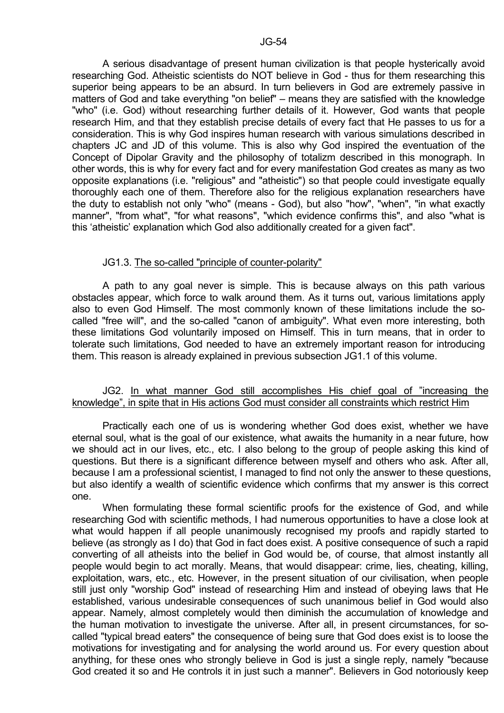A serious disadvantage of present human civilization is that people hysterically avoid researching God. Atheistic scientists do NOT believe in God - thus for them researching this superior being appears to be an absurd. In turn believers in God are extremely passive in matters of God and take everything "on belief" – means they are satisfied with the knowledge "who" (i.e. God) without researching further details of it. However, God wants that people research Him, and that they establish precise details of every fact that He passes to us for a consideration. This is why God inspires human research with various simulations described in chapters JC and JD of this volume. This is also why God inspired the eventuation of the Concept of Dipolar Gravity and the philosophy of totalizm described in this monograph. In other words, this is why for every fact and for every manifestation God creates as many as two opposite explanations (i.e. "religious" and "atheistic") so that people could investigate equally thoroughly each one of them. Therefore also for the religious explanation researchers have the duty to establish not only "who" (means - God), but also "how", "when", "in what exactly manner", "from what", "for what reasons", "which evidence confirms this", and also "what is this 'atheistic' explanation which God also additionally created for a given fact".

#### JG1.3. The so-called "principle of counter-polarity"

 A path to any goal never is simple. This is because always on this path various obstacles appear, which force to walk around them. As it turns out, various limitations apply also to even God Himself. The most commonly known of these limitations include the socalled "free will", and the so-called "canon of ambiguity". What even more interesting, both these limitations God voluntarily imposed on Himself. This in turn means, that in order to tolerate such limitations, God needed to have an extremely important reason for introducing them. This reason is already explained in previous subsection JG1.1 of this volume.

#### JG2. In what manner God still accomplishes His chief goal of "increasing the knowledge", in spite that in His actions God must consider all constraints which restrict Him

 Practically each one of us is wondering whether God does exist, whether we have eternal soul, what is the goal of our existence, what awaits the humanity in a near future, how we should act in our lives, etc., etc. I also belong to the group of people asking this kind of questions. But there is a significant difference between myself and others who ask. After all, because I am a professional scientist, I managed to find not only the answer to these questions, but also identify a wealth of scientific evidence which confirms that my answer is this correct one.

 When formulating these formal scientific proofs for the existence of God, and while researching God with scientific methods, I had numerous opportunities to have a close look at what would happen if all people unanimously recognised my proofs and rapidly started to believe (as strongly as I do) that God in fact does exist. A positive consequence of such a rapid converting of all atheists into the belief in God would be, of course, that almost instantly all people would begin to act morally. Means, that would disappear: crime, lies, cheating, killing, exploitation, wars, etc., etc. However, in the present situation of our civilisation, when people still just only "worship God" instead of researching Him and instead of obeying laws that He established, various undesirable consequences of such unanimous belief in God would also appear. Namely, almost completely would then diminish the accumulation of knowledge and the human motivation to investigate the universe. After all, in present circumstances, for socalled "typical bread eaters" the consequence of being sure that God does exist is to loose the motivations for investigating and for analysing the world around us. For every question about anything, for these ones who strongly believe in God is just a single reply, namely "because God created it so and He controls it in just such a manner". Believers in God notoriously keep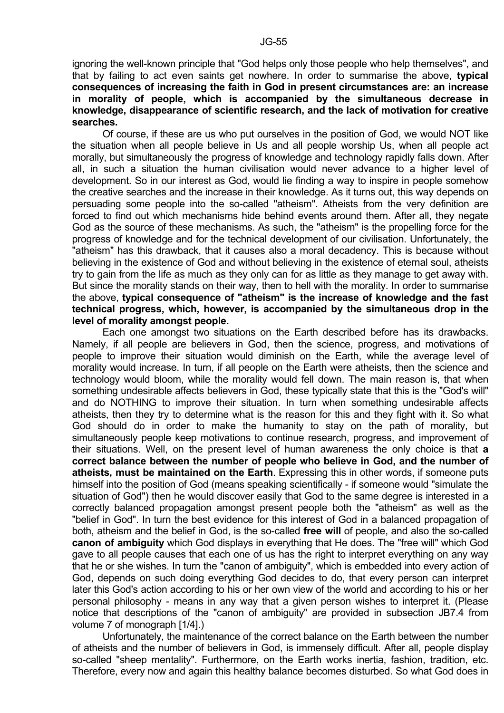ignoring the well-known principle that "God helps only those people who help themselves", and that by failing to act even saints get nowhere. In order to summarise the above, **typical consequences of increasing the faith in God in present circumstances are: an increase in morality of people, which is accompanied by the simultaneous decrease in knowledge, disappearance of scientific research, and the lack of motivation for creative searches.** 

 Of course, if these are us who put ourselves in the position of God, we would NOT like the situation when all people believe in Us and all people worship Us, when all people act morally, but simultaneously the progress of knowledge and technology rapidly falls down. After all, in such a situation the human civilisation would never advance to a higher level of development. So in our interest as God, would lie finding a way to inspire in people somehow the creative searches and the increase in their knowledge. As it turns out, this way depends on persuading some people into the so-called "atheism". Atheists from the very definition are forced to find out which mechanisms hide behind events around them. After all, they negate God as the source of these mechanisms. As such, the "atheism" is the propelling force for the progress of knowledge and for the technical development of our civilisation. Unfortunately, the "atheism" has this drawback, that it causes also a moral decadency. This is because without believing in the existence of God and without believing in the existence of eternal soul, atheists try to gain from the life as much as they only can for as little as they manage to get away with. But since the morality stands on their way, then to hell with the morality. In order to summarise the above, **typical consequence of "atheism" is the increase of knowledge and the fast technical progress, which, however, is accompanied by the simultaneous drop in the level of morality amongst people.** 

 Each one amongst two situations on the Earth described before has its drawbacks. Namely, if all people are believers in God, then the science, progress, and motivations of people to improve their situation would diminish on the Earth, while the average level of morality would increase. In turn, if all people on the Earth were atheists, then the science and technology would bloom, while the morality would fell down. The main reason is, that when something undesirable affects believers in God, these typically state that this is the "God's will" and do NOTHING to improve their situation. In turn when something undesirable affects atheists, then they try to determine what is the reason for this and they fight with it. So what God should do in order to make the humanity to stay on the path of morality, but simultaneously people keep motivations to continue research, progress, and improvement of their situations. Well, on the present level of human awareness the only choice is that **a correct balance between the number of people who believe in God, and the number of atheists, must be maintained on the Earth**. Expressing this in other words, if someone puts himself into the position of God (means speaking scientifically - if someone would "simulate the situation of God") then he would discover easily that God to the same degree is interested in a correctly balanced propagation amongst present people both the "atheism" as well as the "belief in God". In turn the best evidence for this interest of God in a balanced propagation of both, atheism and the belief in God, is the so-called **free will** of people, and also the so-called **canon of ambiguity** which God displays in everything that He does. The "free will" which God gave to all people causes that each one of us has the right to interpret everything on any way that he or she wishes. In turn the "canon of ambiguity", which is embedded into every action of God, depends on such doing everything God decides to do, that every person can interpret later this God's action according to his or her own view of the world and according to his or her personal philosophy - means in any way that a given person wishes to interpret it. (Please notice that descriptions of the "canon of ambiguity" are provided in subsection JB7.4 from volume 7 of monograph [1/4].)

 Unfortunately, the maintenance of the correct balance on the Earth between the number of atheists and the number of believers in God, is immensely difficult. After all, people display so-called "sheep mentality". Furthermore, on the Earth works inertia, fashion, tradition, etc. Therefore, every now and again this healthy balance becomes disturbed. So what God does in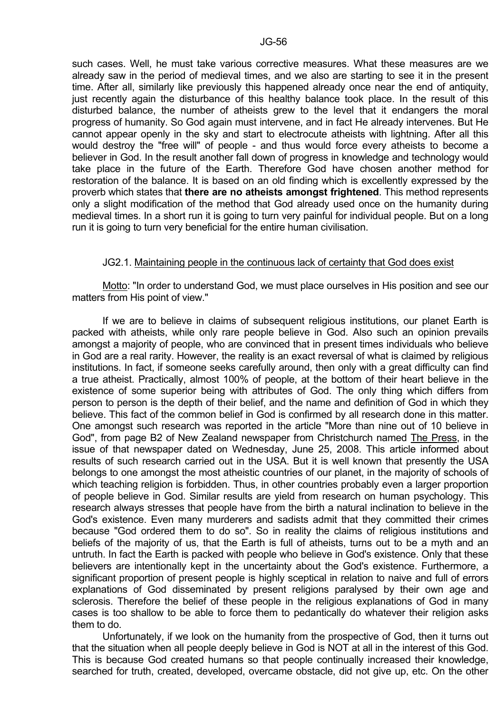such cases. Well, he must take various corrective measures. What these measures are we already saw in the period of medieval times, and we also are starting to see it in the present time. After all, similarly like previously this happened already once near the end of antiquity, just recently again the disturbance of this healthy balance took place. In the result of this disturbed balance, the number of atheists grew to the level that it endangers the moral progress of humanity. So God again must intervene, and in fact He already intervenes. But He cannot appear openly in the sky and start to electrocute atheists with lightning. After all this would destroy the "free will" of people - and thus would force every atheists to become a believer in God. In the result another fall down of progress in knowledge and technology would take place in the future of the Earth. Therefore God have chosen another method for restoration of the balance. It is based on an old finding which is excellently expressed by the proverb which states that **there are no atheists amongst frightened**. This method represents only a slight modification of the method that God already used once on the humanity during medieval times. In a short run it is going to turn very painful for individual people. But on a long run it is going to turn very beneficial for the entire human civilisation.

# JG2.1. Maintaining people in the continuous lack of certainty that God does exist

 Motto: "In order to understand God, we must place ourselves in His position and see our matters from His point of view."

 If we are to believe in claims of subsequent religious institutions, our planet Earth is packed with atheists, while only rare people believe in God. Also such an opinion prevails amongst a majority of people, who are convinced that in present times individuals who believe in God are a real rarity. However, the reality is an exact reversal of what is claimed by religious institutions. In fact, if someone seeks carefully around, then only with a great difficulty can find a true atheist. Practically, almost 100% of people, at the bottom of their heart believe in the existence of some superior being with attributes of God. The only thing which differs from person to person is the depth of their belief, and the name and definition of God in which they believe. This fact of the common belief in God is confirmed by all research done in this matter. One amongst such research was reported in the article "More than nine out of 10 believe in God", from page B2 of New Zealand newspaper from Christchurch named The Press, in the issue of that newspaper dated on Wednesday, June 25, 2008. This article informed about results of such research carried out in the USA. But it is well known that presently the USA belongs to one amongst the most atheistic countries of our planet, in the majority of schools of which teaching religion is forbidden. Thus, in other countries probably even a larger proportion of people believe in God. Similar results are yield from research on human psychology. This research always stresses that people have from the birth a natural inclination to believe in the God's existence. Even many murderers and sadists admit that they committed their crimes because "God ordered them to do so". So in reality the claims of religious institutions and beliefs of the majority of us, that the Earth is full of atheists, turns out to be a myth and an untruth. In fact the Earth is packed with people who believe in God's existence. Only that these believers are intentionally kept in the uncertainty about the God's existence. Furthermore, a significant proportion of present people is highly sceptical in relation to naive and full of errors explanations of God disseminated by present religions paralysed by their own age and sclerosis. Therefore the belief of these people in the religious explanations of God in many cases is too shallow to be able to force them to pedantically do whatever their religion asks them to do.

 Unfortunately, if we look on the humanity from the prospective of God, then it turns out that the situation when all people deeply believe in God is NOT at all in the interest of this God. This is because God created humans so that people continually increased their knowledge, searched for truth, created, developed, overcame obstacle, did not give up, etc. On the other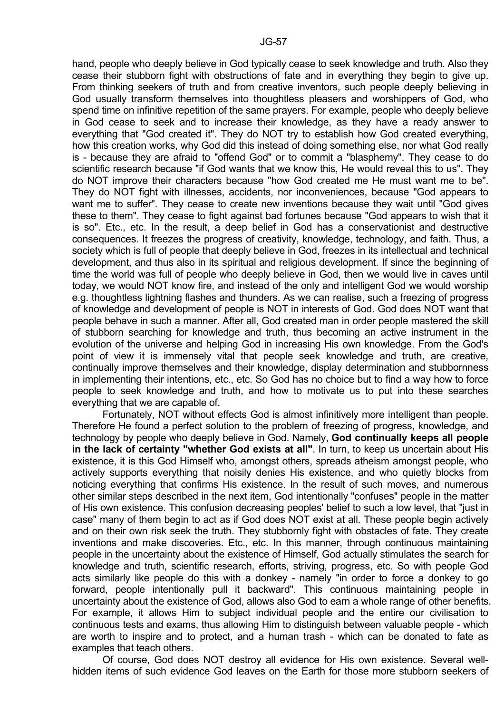hand, people who deeply believe in God typically cease to seek knowledge and truth. Also they cease their stubborn fight with obstructions of fate and in everything they begin to give up. From thinking seekers of truth and from creative inventors, such people deeply believing in God usually transform themselves into thoughtless pleasers and worshippers of God, who spend time on infinitive repetition of the same prayers. For example, people who deeply believe in God cease to seek and to increase their knowledge, as they have a ready answer to everything that "God created it". They do NOT try to establish how God created everything, how this creation works, why God did this instead of doing something else, nor what God really is - because they are afraid to "offend God" or to commit a "blasphemy". They cease to do scientific research because "if God wants that we know this, He would reveal this to us". They do NOT improve their characters because "how God created me He must want me to be". They do NOT fight with illnesses, accidents, nor inconveniences, because "God appears to want me to suffer". They cease to create new inventions because they wait until "God gives these to them". They cease to fight against bad fortunes because "God appears to wish that it is so". Etc., etc. In the result, a deep belief in God has a conservationist and destructive consequences. It freezes the progress of creativity, knowledge, technology, and faith. Thus, a society which is full of people that deeply believe in God, freezes in its intellectual and technical development, and thus also in its spiritual and religious development. If since the beginning of time the world was full of people who deeply believe in God, then we would live in caves until today, we would NOT know fire, and instead of the only and intelligent God we would worship e.g. thoughtless lightning flashes and thunders. As we can realise, such a freezing of progress of knowledge and development of people is NOT in interests of God. God does NOT want that people behave in such a manner. After all, God created man in order people mastered the skill of stubborn searching for knowledge and truth, thus becoming an active instrument in the evolution of the universe and helping God in increasing His own knowledge. From the God's point of view it is immensely vital that people seek knowledge and truth, are creative, continually improve themselves and their knowledge, display determination and stubbornness in implementing their intentions, etc., etc. So God has no choice but to find a way how to force people to seek knowledge and truth, and how to motivate us to put into these searches everything that we are capable of.

 Fortunately, NOT without effects God is almost infinitively more intelligent than people. Therefore He found a perfect solution to the problem of freezing of progress, knowledge, and technology by people who deeply believe in God. Namely, **God continually keeps all people in the lack of certainty "whether God exists at all"**. In turn, to keep us uncertain about His existence, it is this God Himself who, amongst others, spreads atheism amongst people, who actively supports everything that noisily denies His existence, and who quietly blocks from noticing everything that confirms His existence. In the result of such moves, and numerous other similar steps described in the next item, God intentionally "confuses" people in the matter of His own existence. This confusion decreasing peoples' belief to such a low level, that "just in case" many of them begin to act as if God does NOT exist at all. These people begin actively and on their own risk seek the truth. They stubbornly fight with obstacles of fate. They create inventions and make discoveries. Etc., etc. In this manner, through continuous maintaining people in the uncertainty about the existence of Himself, God actually stimulates the search for knowledge and truth, scientific research, efforts, striving, progress, etc. So with people God acts similarly like people do this with a donkey - namely "in order to force a donkey to go forward, people intentionally pull it backward". This continuous maintaining people in uncertainty about the existence of God, allows also God to earn a whole range of other benefits. For example, it allows Him to subject individual people and the entire our civilisation to continuous tests and exams, thus allowing Him to distinguish between valuable people - which are worth to inspire and to protect, and a human trash - which can be donated to fate as examples that teach others.

 Of course, God does NOT destroy all evidence for His own existence. Several wellhidden items of such evidence God leaves on the Earth for those more stubborn seekers of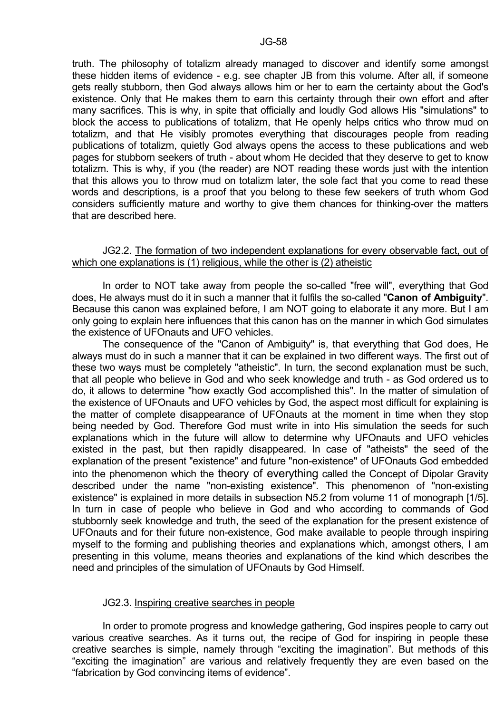truth. The philosophy of totalizm already managed to discover and identify some amongst these hidden items of evidence - e.g. see chapter JB from this volume. After all, if someone gets really stubborn, then God always allows him or her to earn the certainty about the God's existence. Only that He makes them to earn this certainty through their own effort and after many sacrifices. This is why, in spite that officially and loudly God allows His "simulations" to block the access to publications of totalizm, that He openly helps critics who throw mud on totalizm, and that He visibly promotes everything that discourages people from reading publications of totalizm, quietly God always opens the access to these publications and web pages for stubborn seekers of truth - about whom He decided that they deserve to get to know totalizm. This is why, if you (the reader) are NOT reading these words just with the intention that this allows you to throw mud on totalizm later, the sole fact that you come to read these words and descriptions, is a proof that you belong to these few seekers of truth whom God considers sufficiently mature and worthy to give them chances for thinking-over the matters that are described here.

#### JG2.2. The formation of two independent explanations for every observable fact, out of which one explanations is (1) religious, while the other is (2) atheistic

 In order to NOT take away from people the so-called "free will", everything that God does, He always must do it in such a manner that it fulfils the so-called "**Canon of Ambiguity**". Because this canon was explained before, I am NOT going to elaborate it any more. But I am only going to explain here influences that this canon has on the manner in which God simulates the existence of UFOnauts and UFO vehicles.

 The consequence of the "Canon of Ambiguity" is, that everything that God does, He always must do in such a manner that it can be explained in two different ways. The first out of these two ways must be completely "atheistic". In turn, the second explanation must be such, that all people who believe in God and who seek knowledge and truth - as God ordered us to do, it allows to determine "how exactly God accomplished this". In the matter of simulation of the existence of UFOnauts and UFO vehicles by God, the aspect most difficult for explaining is the matter of complete disappearance of UFOnauts at the moment in time when they stop being needed by God. Therefore God must write in into His simulation the seeds for such explanations which in the future will allow to determine why UFOnauts and UFO vehicles existed in the past, but then rapidly disappeared. In case of "atheists" the seed of the explanation of the present "existence" and future "non-existence" of UFOnauts God embedded into the phenomenon which the theory of everything called the Concept of Dipolar Gravity described under the name "non-existing existence". This phenomenon of "non-existing existence" is explained in more details in subsection N5.2 from volume 11 of monograph [1/5]. In turn in case of people who believe in God and who according to commands of God stubbornly seek knowledge and truth, the seed of the explanation for the present existence of UFOnauts and for their future non-existence, God make available to people through inspiring myself to the forming and publishing theories and explanations which, amongst others, I am presenting in this volume, means theories and explanations of the kind which describes the need and principles of the simulation of UFOnauts by God Himself.

#### JG2.3. Inspiring creative searches in people

 In order to promote progress and knowledge gathering, God inspires people to carry out various creative searches. As it turns out, the recipe of God for inspiring in people these creative searches is simple, namely through "exciting the imagination". But methods of this "exciting the imagination" are various and relatively frequently they are even based on the "fabrication by God convincing items of evidence".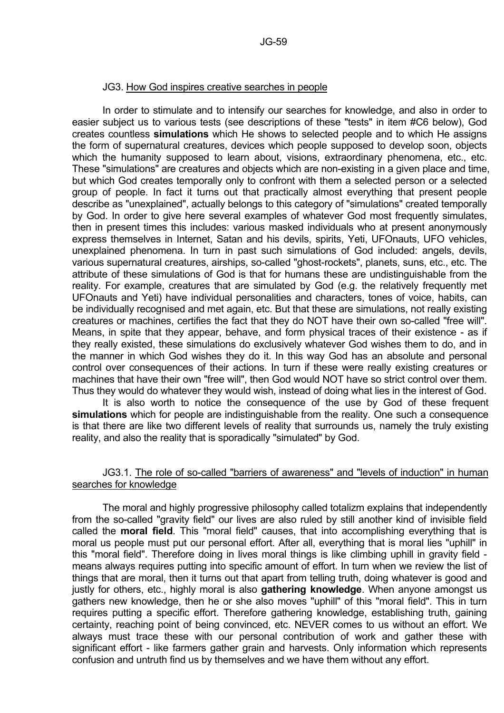#### JG3. How God inspires creative searches in people

 In order to stimulate and to intensify our searches for knowledge, and also in order to easier subject us to various tests (see descriptions of these "tests" in item #C6 below), God creates countless **simulations** which He shows to selected people and to which He assigns the form of supernatural creatures, devices which people supposed to develop soon, objects which the humanity supposed to learn about, visions, extraordinary phenomena, etc., etc. These "simulations" are creatures and objects which are non-existing in a given place and time, but which God creates temporally only to confront with them a selected person or a selected group of people. In fact it turns out that practically almost everything that present people describe as "unexplained", actually belongs to this category of "simulations" created temporally by God. In order to give here several examples of whatever God most frequently simulates, then in present times this includes: various masked individuals who at present anonymously express themselves in Internet, Satan and his devils, spirits, Yeti, UFOnauts, UFO vehicles, unexplained phenomena. In turn in past such simulations of God included: angels, devils, various supernatural creatures, airships, so-called "ghost-rockets", planets, suns, etc., etc. The attribute of these simulations of God is that for humans these are undistinguishable from the reality. For example, creatures that are simulated by God (e.g. the relatively frequently met UFOnauts and Yeti) have individual personalities and characters, tones of voice, habits, can be individually recognised and met again, etc. But that these are simulations, not really existing creatures or machines, certifies the fact that they do NOT have their own so-called "free will". Means, in spite that they appear, behave, and form physical traces of their existence - as if they really existed, these simulations do exclusively whatever God wishes them to do, and in the manner in which God wishes they do it. In this way God has an absolute and personal control over consequences of their actions. In turn if these were really existing creatures or machines that have their own "free will", then God would NOT have so strict control over them. Thus they would do whatever they would wish, instead of doing what lies in the interest of God.

 It is also worth to notice the consequence of the use by God of these frequent **simulations** which for people are indistinguishable from the reality. One such a consequence is that there are like two different levels of reality that surrounds us, namely the truly existing reality, and also the reality that is sporadically "simulated" by God.

#### JG3.1. The role of so-called "barriers of awareness" and "levels of induction" in human searches for knowledge

 The moral and highly progressive philosophy called totalizm explains that independently from the so-called "gravity field" our lives are also ruled by still another kind of invisible field called the **moral field**. This "moral field" causes, that into accomplishing everything that is moral us people must put our personal effort. After all, everything that is moral lies "uphill" in this "moral field". Therefore doing in lives moral things is like climbing uphill in gravity field means always requires putting into specific amount of effort. In turn when we review the list of things that are moral, then it turns out that apart from telling truth, doing whatever is good and justly for others, etc., highly moral is also **gathering knowledge**. When anyone amongst us gathers new knowledge, then he or she also moves "uphill" of this "moral field". This in turn requires putting a specific effort. Therefore gathering knowledge, establishing truth, gaining certainty, reaching point of being convinced, etc. NEVER comes to us without an effort. We always must trace these with our personal contribution of work and gather these with significant effort - like farmers gather grain and harvests. Only information which represents confusion and untruth find us by themselves and we have them without any effort.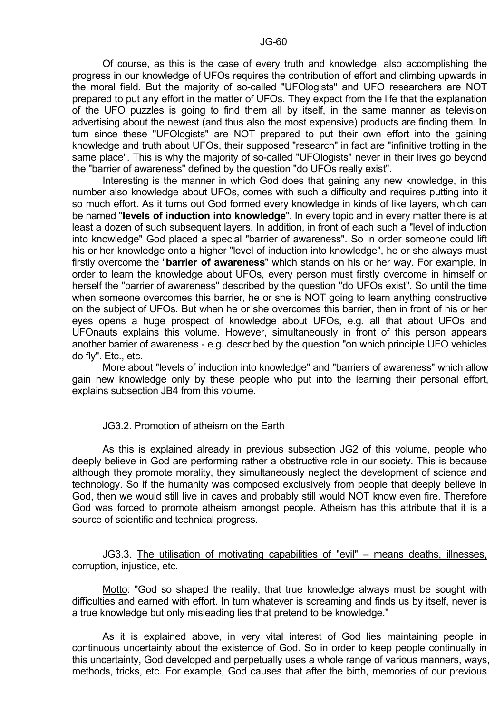Of course, as this is the case of every truth and knowledge, also accomplishing the progress in our knowledge of UFOs requires the contribution of effort and climbing upwards in the moral field. But the majority of so-called "UFOlogists" and UFO researchers are NOT prepared to put any effort in the matter of UFOs. They expect from the life that the explanation of the UFO puzzles is going to find them all by itself, in the same manner as television advertising about the newest (and thus also the most expensive) products are finding them. In turn since these "UFOlogists" are NOT prepared to put their own effort into the gaining knowledge and truth about UFOs, their supposed "research" in fact are "infinitive trotting in the same place". This is why the majority of so-called "UFOlogists" never in their lives go beyond the "barrier of awareness" defined by the question "do UFOs really exist".

 Interesting is the manner in which God does that gaining any new knowledge, in this number also knowledge about UFOs, comes with such a difficulty and requires putting into it so much effort. As it turns out God formed every knowledge in kinds of like layers, which can be named "**levels of induction into knowledge**". In every topic and in every matter there is at least a dozen of such subsequent layers. In addition, in front of each such a "level of induction into knowledge" God placed a special "barrier of awareness". So in order someone could lift his or her knowledge onto a higher "level of induction into knowledge", he or she always must firstly overcome the "**barrier of awareness**" which stands on his or her way. For example, in order to learn the knowledge about UFOs, every person must firstly overcome in himself or herself the "barrier of awareness" described by the question "do UFOs exist". So until the time when someone overcomes this barrier, he or she is NOT going to learn anything constructive on the subject of UFOs. But when he or she overcomes this barrier, then in front of his or her eyes opens a huge prospect of knowledge about UFOs, e.g. all that about UFOs and UFOnauts explains this volume. However, simultaneously in front of this person appears another barrier of awareness - e.g. described by the question "on which principle UFO vehicles do fly". Etc., etc.

 More about "levels of induction into knowledge" and "barriers of awareness" which allow gain new knowledge only by these people who put into the learning their personal effort, explains subsection JB4 from this volume.

# JG3.2. Promotion of atheism on the Earth

 As this is explained already in previous subsection JG2 of this volume, people who deeply believe in God are performing rather a obstructive role in our society. This is because although they promote morality, they simultaneously neglect the development of science and technology. So if the humanity was composed exclusively from people that deeply believe in God, then we would still live in caves and probably still would NOT know even fire. Therefore God was forced to promote atheism amongst people. Atheism has this attribute that it is a source of scientific and technical progress.

# JG3.3. The utilisation of motivating capabilities of "evil" – means deaths, illnesses, corruption, injustice, etc.

 Motto: "God so shaped the reality, that true knowledge always must be sought with difficulties and earned with effort. In turn whatever is screaming and finds us by itself, never is a true knowledge but only misleading lies that pretend to be knowledge."

 As it is explained above, in very vital interest of God lies maintaining people in continuous uncertainty about the existence of God. So in order to keep people continually in this uncertainty, God developed and perpetually uses a whole range of various manners, ways, methods, tricks, etc. For example, God causes that after the birth, memories of our previous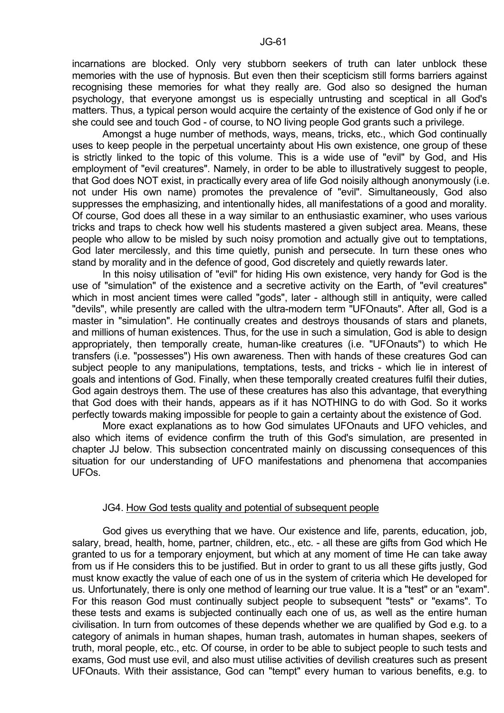incarnations are blocked. Only very stubborn seekers of truth can later unblock these memories with the use of hypnosis. But even then their scepticism still forms barriers against recognising these memories for what they really are. God also so designed the human psychology, that everyone amongst us is especially untrusting and sceptical in all God's matters. Thus, a typical person would acquire the certainty of the existence of God only if he or she could see and touch God - of course, to NO living people God grants such a privilege.

 Amongst a huge number of methods, ways, means, tricks, etc., which God continually uses to keep people in the perpetual uncertainty about His own existence, one group of these is strictly linked to the topic of this volume. This is a wide use of "evil" by God, and His employment of "evil creatures". Namely, in order to be able to illustratively suggest to people, that God does NOT exist, in practically every area of life God noisily although anonymously (i.e. not under His own name) promotes the prevalence of "evil". Simultaneously, God also suppresses the emphasizing, and intentionally hides, all manifestations of a good and morality. Of course, God does all these in a way similar to an enthusiastic examiner, who uses various tricks and traps to check how well his students mastered a given subject area. Means, these people who allow to be misled by such noisy promotion and actually give out to temptations, God later mercilessly, and this time quietly, punish and persecute. In turn these ones who stand by morality and in the defence of good, God discretely and quietly rewards later.

 In this noisy utilisation of "evil" for hiding His own existence, very handy for God is the use of "simulation" of the existence and a secretive activity on the Earth, of "evil creatures" which in most ancient times were called "gods", later - although still in antiquity, were called "devils", while presently are called with the ultra-modern term "UFOnauts". After all, God is a master in "simulation". He continually creates and destroys thousands of stars and planets, and millions of human existences. Thus, for the use in such a simulation, God is able to design appropriately, then temporally create, human-like creatures (i.e. "UFOnauts") to which He transfers (i.e. "possesses") His own awareness. Then with hands of these creatures God can subject people to any manipulations, temptations, tests, and tricks - which lie in interest of goals and intentions of God. Finally, when these temporally created creatures fulfil their duties, God again destroys them. The use of these creatures has also this advantage, that everything that God does with their hands, appears as if it has NOTHING to do with God. So it works perfectly towards making impossible for people to gain a certainty about the existence of God.

 More exact explanations as to how God simulates UFOnauts and UFO vehicles, and also which items of evidence confirm the truth of this God's simulation, are presented in chapter JJ below. This subsection concentrated mainly on discussing consequences of this situation for our understanding of UFO manifestations and phenomena that accompanies UFOs.

#### JG4. How God tests quality and potential of subsequent people

 God gives us everything that we have. Our existence and life, parents, education, job, salary, bread, health, home, partner, children, etc., etc. - all these are gifts from God which He granted to us for a temporary enjoyment, but which at any moment of time He can take away from us if He considers this to be justified. But in order to grant to us all these gifts justly, God must know exactly the value of each one of us in the system of criteria which He developed for us. Unfortunately, there is only one method of learning our true value. It is a "test" or an "exam". For this reason God must continually subject people to subsequent "tests" or "exams". To these tests and exams is subjected continually each one of us, as well as the entire human civilisation. In turn from outcomes of these depends whether we are qualified by God e.g. to a category of animals in human shapes, human trash, automates in human shapes, seekers of truth, moral people, etc., etc. Of course, in order to be able to subject people to such tests and exams, God must use evil, and also must utilise activities of devilish creatures such as present UFOnauts. With their assistance, God can "tempt" every human to various benefits, e.g. to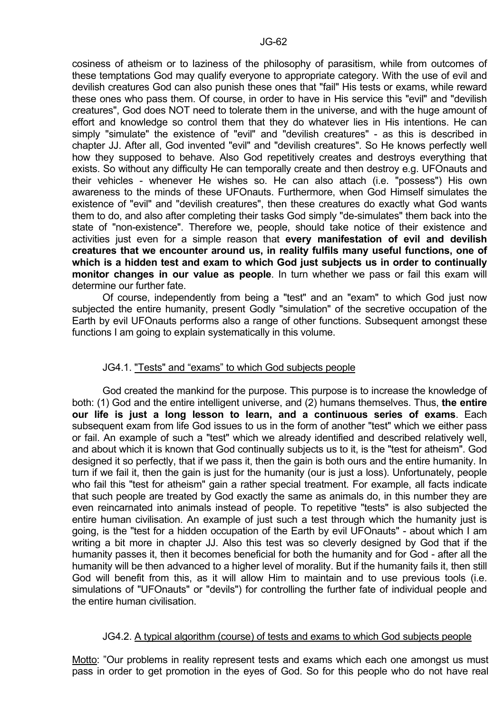cosiness of atheism or to laziness of the philosophy of parasitism, while from outcomes of these temptations God may qualify everyone to appropriate category. With the use of evil and devilish creatures God can also punish these ones that "fail" His tests or exams, while reward these ones who pass them. Of course, in order to have in His service this "evil" and "devilish creatures", God does NOT need to tolerate them in the universe, and with the huge amount of effort and knowledge so control them that they do whatever lies in His intentions. He can simply "simulate" the existence of "evil" and "devilish creatures" - as this is described in chapter JJ. After all, God invented "evil" and "devilish creatures". So He knows perfectly well how they supposed to behave. Also God repetitively creates and destroys everything that exists. So without any difficulty He can temporally create and then destroy e.g. UFOnauts and their vehicles - whenever He wishes so. He can also attach (i.e. "possess") His own awareness to the minds of these UFOnauts. Furthermore, when God Himself simulates the existence of "evil" and "devilish creatures", then these creatures do exactly what God wants them to do, and also after completing their tasks God simply "de-simulates" them back into the state of "non-existence". Therefore we, people, should take notice of their existence and activities just even for a simple reason that **every manifestation of evil and devilish creatures that we encounter around us, in reality fulfils many useful functions, one of which is a hidden test and exam to which God just subjects us in order to continually monitor changes in our value as people**. In turn whether we pass or fail this exam will determine our further fate.

 Of course, independently from being a "test" and an "exam" to which God just now subjected the entire humanity, present Godly "simulation" of the secretive occupation of the Earth by evil UFOnauts performs also a range of other functions. Subsequent amongst these functions I am going to explain systematically in this volume.

# JG4.1. "Tests" and "exams" to which God subjects people

 God created the mankind for the purpose. This purpose is to increase the knowledge of both: (1) God and the entire intelligent universe, and (2) humans themselves. Thus, **the entire our life is just a long lesson to learn, and a continuous series of exams**. Each subsequent exam from life God issues to us in the form of another "test" which we either pass or fail. An example of such a "test" which we already identified and described relatively well, and about which it is known that God continually subjects us to it, is the "test for atheism". God designed it so perfectly, that if we pass it, then the gain is both ours and the entire humanity. In turn if we fail it, then the gain is just for the humanity (our is just a loss). Unfortunately, people who fail this "test for atheism" gain a rather special treatment. For example, all facts indicate that such people are treated by God exactly the same as animals do, in this number they are even reincarnated into animals instead of people. To repetitive "tests" is also subjected the entire human civilisation. An example of just such a test through which the humanity just is going, is the "test for a hidden occupation of the Earth by evil UFOnauts" - about which I am writing a bit more in chapter JJ. Also this test was so cleverly designed by God that if the humanity passes it, then it becomes beneficial for both the humanity and for God - after all the humanity will be then advanced to a higher level of morality. But if the humanity fails it, then still God will benefit from this, as it will allow Him to maintain and to use previous tools (i.e. simulations of "UFOnauts" or "devils") for controlling the further fate of individual people and the entire human civilisation.

# JG4.2. A typical algorithm (course) of tests and exams to which God subjects people

Motto: "Our problems in reality represent tests and exams which each one amongst us must pass in order to get promotion in the eyes of God. So for this people who do not have real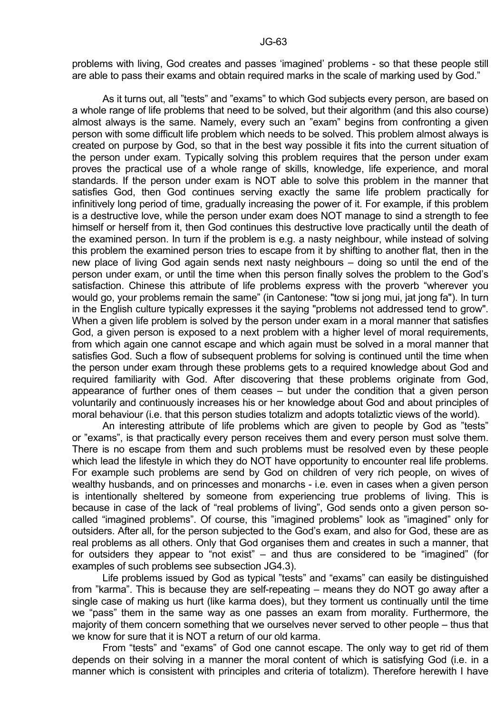problems with living, God creates and passes 'imagined' problems - so that these people still are able to pass their exams and obtain required marks in the scale of marking used by God."

 As it turns out, all "tests" and "exams" to which God subjects every person, are based on a whole range of life problems that need to be solved, but their algorithm (and this also course) almost always is the same. Namely, every such an "exam" begins from confronting a given person with some difficult life problem which needs to be solved. This problem almost always is created on purpose by God, so that in the best way possible it fits into the current situation of the person under exam. Typically solving this problem requires that the person under exam proves the practical use of a whole range of skills, knowledge, life experience, and moral standards. If the person under exam is NOT able to solve this problem in the manner that satisfies God, then God continues serving exactly the same life problem practically for infinitively long period of time, gradually increasing the power of it. For example, if this problem is a destructive love, while the person under exam does NOT manage to sind a strength to fee himself or herself from it, then God continues this destructive love practically until the death of the examined person. In turn if the problem is e.g. a nasty neighbour, while instead of solving this problem the examined person tries to escape from it by shifting to another flat, then in the new place of living God again sends next nasty neighbours – doing so until the end of the person under exam, or until the time when this person finally solves the problem to the God's satisfaction. Chinese this attribute of life problems express with the proverb "wherever you would go, your problems remain the same" (in Cantonese: "tow si jong mui, jat jong fa"). In turn in the English culture typically expresses it the saying "problems not addressed tend to grow". When a given life problem is solved by the person under exam in a moral manner that satisfies God, a given person is exposed to a next problem with a higher level of moral requirements, from which again one cannot escape and which again must be solved in a moral manner that satisfies God. Such a flow of subsequent problems for solving is continued until the time when the person under exam through these problems gets to a required knowledge about God and required familiarity with God. After discovering that these problems originate from God, appearance of further ones of them ceases – but under the condition that a given person voluntarily and continuously increases his or her knowledge about God and about principles of moral behaviour (i.e. that this person studies totalizm and adopts totaliztic views of the world).

 An interesting attribute of life problems which are given to people by God as "tests" or "exams", is that practically every person receives them and every person must solve them. There is no escape from them and such problems must be resolved even by these people which lead the lifestyle in which they do NOT have opportunity to encounter real life problems. For example such problems are send by God on children of very rich people, on wives of wealthy husbands, and on princesses and monarchs - i.e. even in cases when a given person is intentionally sheltered by someone from experiencing true problems of living. This is because in case of the lack of "real problems of living", God sends onto a given person socalled "imagined problems". Of course, this "imagined problems" look as "imagined" only for outsiders. After all, for the person subjected to the God's exam, and also for God, these are as real problems as all others. Only that God organises them and creates in such a manner, that for outsiders they appear to "not exist" – and thus are considered to be "imagined" (for examples of such problems see subsection JG4.3).

 Life problems issued by God as typical "tests" and "exams" can easily be distinguished from "karma". This is because they are self-repeating – means they do NOT go away after a single case of making us hurt (like karma does), but they torment us continually until the time we "pass" them in the same way as one passes an exam from morality. Furthermore, the majority of them concern something that we ourselves never served to other people – thus that we know for sure that it is NOT a return of our old karma.

 From "tests" and "exams" of God one cannot escape. The only way to get rid of them depends on their solving in a manner the moral content of which is satisfying God (i.e. in a manner which is consistent with principles and criteria of totalizm). Therefore herewith I have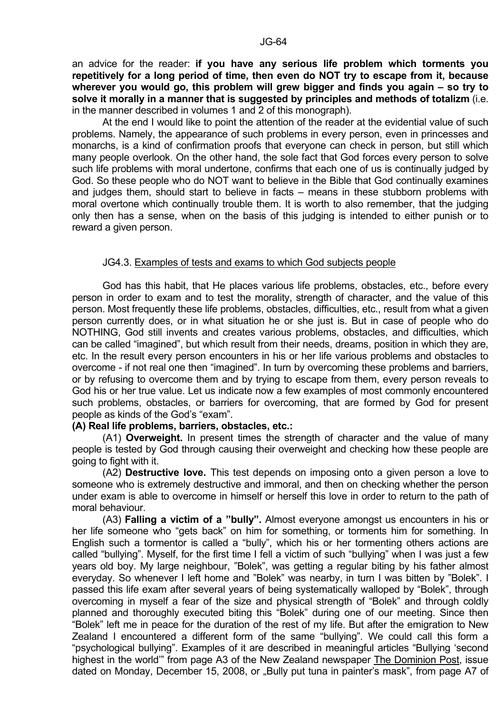an advice for the reader: **if you have any serious life problem which torments you repetitively for a long period of time, then even do NOT try to escape from it, because wherever you would go, this problem will grew bigger and finds you again – so try to solve it morally in a manner that is suggested by principles and methods of totalizm** (i.e. in the manner described in volumes 1 and 2 of this monograph).

 At the end I would like to point the attention of the reader at the evidential value of such problems. Namely, the appearance of such problems in every person, even in princesses and monarchs, is a kind of confirmation proofs that everyone can check in person, but still which many people overlook. On the other hand, the sole fact that God forces every person to solve such life problems with moral undertone, confirms that each one of us is continually judged by God. So these people who do NOT want to believe in the Bible that God continually examines and judges them, should start to believe in facts – means in these stubborn problems with moral overtone which continually trouble them. It is worth to also remember, that the judging only then has a sense, when on the basis of this judging is intended to either punish or to reward a given person.

#### JG4.3. Examples of tests and exams to which God subjects people

 God has this habit, that He places various life problems, obstacles, etc., before every person in order to exam and to test the morality, strength of character, and the value of this person. Most frequently these life problems, obstacles, difficulties, etc., result from what a given person currently does, or in what situation he or she just is. But in case of people who do NOTHING, God still invents and creates various problems, obstacles, and difficulties, which can be called "imagined", but which result from their needs, dreams, position in which they are, etc. In the result every person encounters in his or her life various problems and obstacles to overcome - if not real one then "imagined". In turn by overcoming these problems and barriers, or by refusing to overcome them and by trying to escape from them, every person reveals to God his or her true value. Let us indicate now a few examples of most commonly encountered such problems, obstacles, or barriers for overcoming, that are formed by God for present people as kinds of the God's "exam".

#### **(A) Real life problems, barriers, obstacles, etc.:**

 (A1) **Overweight.** In present times the strength of character and the value of many people is tested by God through causing their overweight and checking how these people are going to fight with it.

 (A2) **Destructive love.** This test depends on imposing onto a given person a love to someone who is extremely destructive and immoral, and then on checking whether the person under exam is able to overcome in himself or herself this love in order to return to the path of moral behaviour.

 (A3) **Falling a victim of a "bully".** Almost everyone amongst us encounters in his or her life someone who "gets back" on him for something, or torments him for something. In English such a tormentor is called a "bully", which his or her tormenting others actions are called "bullying". Myself, for the first time I fell a victim of such "bullying" when I was just a few years old boy. My large neighbour, "Bolek", was getting a regular biting by his father almost everyday. So whenever I left home and "Bolek" was nearby, in turn I was bitten by "Bolek". I passed this life exam after several years of being systematically walloped by "Bolek", through overcoming in myself a fear of the size and physical strength of "Bolek" and through coldly planned and thoroughly executed biting this "Bolek" during one of our meeting. Since then "Bolek" left me in peace for the duration of the rest of my life. But after the emigration to New Zealand I encountered a different form of the same "bullying". We could call this form a "psychological bullying". Examples of it are described in meaningful articles "Bullying 'second highest in the world'" from page A3 of the New Zealand newspaper The Dominion Post, issue dated on Monday, December 15, 2008, or "Bully put tuna in painter's mask", from page A7 of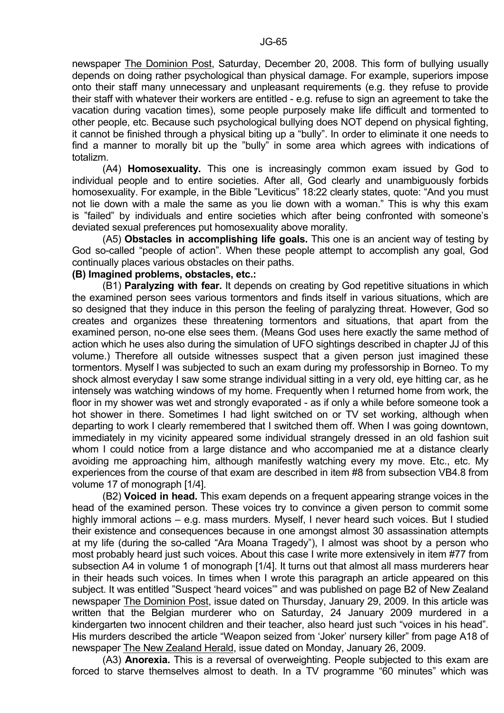newspaper The Dominion Post, Saturday, December 20, 2008. This form of bullying usually depends on doing rather psychological than physical damage. For example, superiors impose onto their staff many unnecessary and unpleasant requirements (e.g. they refuse to provide their staff with whatever their workers are entitled - e.g. refuse to sign an agreement to take the vacation during vacation times), some people purposely make life difficult and tormented to other people, etc. Because such psychological bullying does NOT depend on physical fighting, it cannot be finished through a physical biting up a "bully". In order to eliminate it one needs to find a manner to morally bit up the "bully" in some area which agrees with indications of totalizm.

 (A4) **Homosexuality.** This one is increasingly common exam issued by God to individual people and to entire societies. After all, God clearly and unambiguously forbids homosexuality. For example, in the Bible "Leviticus" 18:22 clearly states, quote: "And you must not lie down with a male the same as you lie down with a woman." This is why this exam is "failed" by individuals and entire societies which after being confronted with someone's deviated sexual preferences put homosexuality above morality.

 (A5) **Obstacles in accomplishing life goals.** This one is an ancient way of testing by God so-called "people of action". When these people attempt to accomplish any goal, God continually places various obstacles on their paths.

# **(B) Imagined problems, obstacles, etc.:**

 (B1) **Paralyzing with fear.** It depends on creating by God repetitive situations in which the examined person sees various tormentors and finds itself in various situations, which are so designed that they induce in this person the feeling of paralyzing threat. However, God so creates and organizes these threatening tormentors and situations, that apart from the examined person, no-one else sees them. (Means God uses here exactly the same method of action which he uses also during the simulation of UFO sightings described in chapter JJ of this volume.) Therefore all outside witnesses suspect that a given person just imagined these tormentors. Myself I was subjected to such an exam during my professorship in Borneo. To my shock almost everyday I saw some strange individual sitting in a very old, eye hitting car, as he intensely was watching windows of my home. Frequently when I returned home from work, the floor in my shower was wet and strongly evaporated - as if only a while before someone took a hot shower in there. Sometimes I had light switched on or TV set working, although when departing to work I clearly remembered that I switched them off. When I was going downtown, immediately in my vicinity appeared some individual strangely dressed in an old fashion suit whom I could notice from a large distance and who accompanied me at a distance clearly avoiding me approaching him, although manifestly watching every my move. Etc., etc. My experiences from the course of that exam are described in item #8 from subsection VB4.8 from volume 17 of monograph [1/4].

 (B2) **Voiced in head.** This exam depends on a frequent appearing strange voices in the head of the examined person. These voices try to convince a given person to commit some highly immoral actions – e.g. mass murders. Myself, I never heard such voices. But I studied their existence and consequences because in one amongst almost 30 assassination attempts at my life (during the so-called "Ara Moana Tragedy"), I almost was shoot by a person who most probably heard just such voices. About this case I write more extensively in item #77 from subsection A4 in volume 1 of monograph [1/4]. It turns out that almost all mass murderers hear in their heads such voices. In times when I wrote this paragraph an article appeared on this subject. It was entitled "Suspect 'heard voices'" and was published on page B2 of New Zealand newspaper The Dominion Post, issue dated on Thursday, January 29, 2009. In this article was written that the Belgian murderer who on Saturday, 24 January 2009 murdered in a kindergarten two innocent children and their teacher, also heard just such "voices in his head". His murders described the article "Weapon seized from 'Joker' nursery killer" from page A18 of newspaper The New Zealand Herald, issue dated on Monday, January 26, 2009.

 (A3) **Anorexia.** This is a reversal of overweighting. People subjected to this exam are forced to starve themselves almost to death. In a TV programme "60 minutes" which was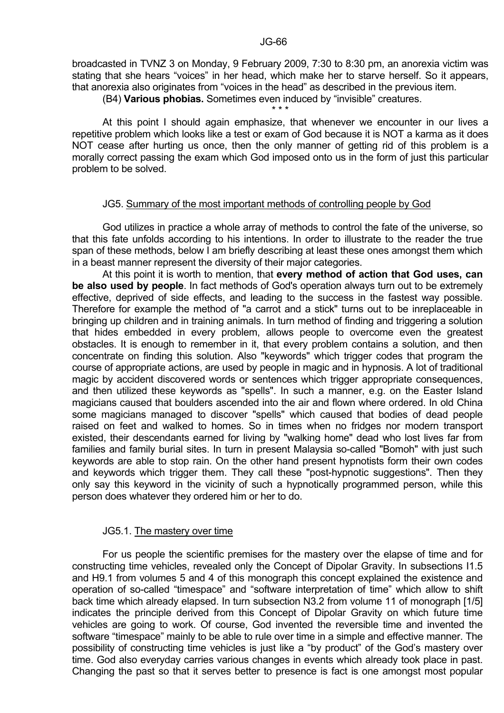broadcasted in TVNZ 3 on Monday, 9 February 2009, 7:30 to 8:30 pm, an anorexia victim was stating that she hears "voices" in her head, which make her to starve herself. So it appears, that anorexia also originates from "voices in the head" as described in the previous item.

\* \* \*

(B4) **Various phobias.** Sometimes even induced by "invisible" creatures.

 At this point I should again emphasize, that whenever we encounter in our lives a repetitive problem which looks like a test or exam of God because it is NOT a karma as it does NOT cease after hurting us once, then the only manner of getting rid of this problem is a morally correct passing the exam which God imposed onto us in the form of just this particular problem to be solved.

#### JG5. Summary of the most important methods of controlling people by God

 God utilizes in practice a whole array of methods to control the fate of the universe, so that this fate unfolds according to his intentions. In order to illustrate to the reader the true span of these methods, below I am briefly describing at least these ones amongst them which in a beast manner represent the diversity of their major categories.

 At this point it is worth to mention, that **every method of action that God uses, can be also used by people**. In fact methods of God's operation always turn out to be extremely effective, deprived of side effects, and leading to the success in the fastest way possible. Therefore for example the method of "a carrot and a stick" turns out to be inreplaceable in bringing up children and in training animals. In turn method of finding and triggering a solution that hides embedded in every problem, allows people to overcome even the greatest obstacles. It is enough to remember in it, that every problem contains a solution, and then concentrate on finding this solution. Also "keywords" which trigger codes that program the course of appropriate actions, are used by people in magic and in hypnosis. A lot of traditional magic by accident discovered words or sentences which trigger appropriate consequences, and then utilized these keywords as "spells". In such a manner, e.g. on the Easter Island magicians caused that boulders ascended into the air and flown where ordered. In old China some magicians managed to discover "spells" which caused that bodies of dead people raised on feet and walked to homes. So in times when no fridges nor modern transport existed, their descendants earned for living by "walking home" dead who lost lives far from families and family burial sites. In turn in present Malaysia so-called "Bomoh" with just such keywords are able to stop rain. On the other hand present hypnotists form their own codes and keywords which trigger them. They call these "post-hypnotic suggestions". Then they only say this keyword in the vicinity of such a hypnotically programmed person, while this person does whatever they ordered him or her to do.

#### JG5.1. The mastery over time

 For us people the scientific premises for the mastery over the elapse of time and for constructing time vehicles, revealed only the Concept of Dipolar Gravity. In subsections I1.5 and H9.1 from volumes 5 and 4 of this monograph this concept explained the existence and operation of so-called "timespace" and "software interpretation of time" which allow to shift back time which already elapsed. In turn subsection N3.2 from volume 11 of monograph [1/5] indicates the principle derived from this Concept of Dipolar Gravity on which future time vehicles are going to work. Of course, God invented the reversible time and invented the software "timespace" mainly to be able to rule over time in a simple and effective manner. The possibility of constructing time vehicles is just like a "by product" of the God's mastery over time. God also everyday carries various changes in events which already took place in past. Changing the past so that it serves better to presence is fact is one amongst most popular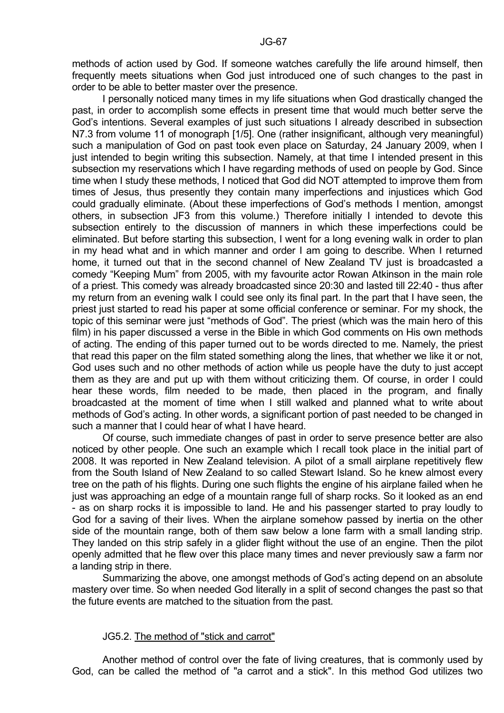methods of action used by God. If someone watches carefully the life around himself, then frequently meets situations when God just introduced one of such changes to the past in order to be able to better master over the presence.

 I personally noticed many times in my life situations when God drastically changed the past, in order to accomplish some effects in present time that would much better serve the God's intentions. Several examples of just such situations I already described in subsection N7.3 from volume 11 of monograph [1/5]. One (rather insignificant, although very meaningful) such a manipulation of God on past took even place on Saturday, 24 January 2009, when I just intended to begin writing this subsection. Namely, at that time I intended present in this subsection my reservations which I have regarding methods of used on people by God. Since time when I study these methods, I noticed that God did NOT attempted to improve them from times of Jesus, thus presently they contain many imperfections and injustices which God could gradually eliminate. (About these imperfections of God's methods I mention, amongst others, in subsection JF3 from this volume.) Therefore initially I intended to devote this subsection entirely to the discussion of manners in which these imperfections could be eliminated. But before starting this subsection, I went for a long evening walk in order to plan in my head what and in which manner and order I am going to describe. When I returned home, it turned out that in the second channel of New Zealand TV just is broadcasted a comedy "Keeping Mum" from 2005, with my favourite actor Rowan Atkinson in the main role of a priest. This comedy was already broadcasted since 20:30 and lasted till 22:40 - thus after my return from an evening walk I could see only its final part. In the part that I have seen, the priest just started to read his paper at some official conference or seminar. For my shock, the topic of this seminar were just "methods of God". The priest (which was the main hero of this film) in his paper discussed a verse in the Bible in which God comments on His own methods of acting. The ending of this paper turned out to be words directed to me. Namely, the priest that read this paper on the film stated something along the lines, that whether we like it or not, God uses such and no other methods of action while us people have the duty to just accept them as they are and put up with them without criticizing them. Of course, in order I could hear these words, film needed to be made, then placed in the program, and finally broadcasted at the moment of time when I still walked and planned what to write about methods of God's acting. In other words, a significant portion of past needed to be changed in such a manner that I could hear of what I have heard.

 Of course, such immediate changes of past in order to serve presence better are also noticed by other people. One such an example which I recall took place in the initial part of 2008. It was reported in New Zealand television. A pilot of a small airplane repetitively flew from the South Island of New Zealand to so called Stewart Island. So he knew almost every tree on the path of his flights. During one such flights the engine of his airplane failed when he just was approaching an edge of a mountain range full of sharp rocks. So it looked as an end - as on sharp rocks it is impossible to land. He and his passenger started to pray loudly to God for a saving of their lives. When the airplane somehow passed by inertia on the other side of the mountain range, both of them saw below a lone farm with a small landing strip. They landed on this strip safely in a glider flight without the use of an engine. Then the pilot openly admitted that he flew over this place many times and never previously saw a farm nor a landing strip in there.

 Summarizing the above, one amongst methods of God's acting depend on an absolute mastery over time. So when needed God literally in a split of second changes the past so that the future events are matched to the situation from the past.

# JG5.2. The method of "stick and carrot"

 Another method of control over the fate of living creatures, that is commonly used by God, can be called the method of "a carrot and a stick". In this method God utilizes two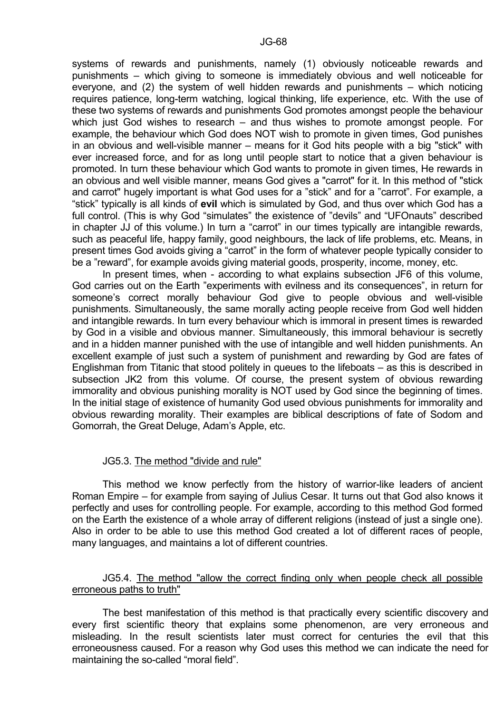systems of rewards and punishments, namely (1) obviously noticeable rewards and punishments – which giving to someone is immediately obvious and well noticeable for everyone, and (2) the system of well hidden rewards and punishments – which noticing requires patience, long-term watching, logical thinking, life experience, etc. With the use of these two systems of rewards and punishments God promotes amongst people the behaviour which just God wishes to research – and thus wishes to promote amongst people. For example, the behaviour which God does NOT wish to promote in given times, God punishes in an obvious and well-visible manner – means for it God hits people with a big "stick" with ever increased force, and for as long until people start to notice that a given behaviour is promoted. In turn these behaviour which God wants to promote in given times, He rewards in an obvious and well visible manner, means God gives a "carrot" for it. In this method of "stick and carrot" hugely important is what God uses for a "stick" and for a "carrot". For example, a "stick" typically is all kinds of **evil** which is simulated by God, and thus over which God has a full control. (This is why God "simulates" the existence of "devils" and "UFOnauts" described in chapter JJ of this volume.) In turn a "carrot" in our times typically are intangible rewards, such as peaceful life, happy family, good neighbours, the lack of life problems, etc. Means, in present times God avoids giving a "carrot" in the form of whatever people typically consider to be a "reward", for example avoids giving material goods, prosperity, income, money, etc.

 In present times, when - according to what explains subsection JF6 of this volume, God carries out on the Earth "experiments with evilness and its consequences", in return for someone's correct morally behaviour God give to people obvious and well-visible punishments. Simultaneously, the same morally acting people receive from God well hidden and intangible rewards. In turn every behaviour which is immoral in present times is rewarded by God in a visible and obvious manner. Simultaneously, this immoral behaviour is secretly and in a hidden manner punished with the use of intangible and well hidden punishments. An excellent example of just such a system of punishment and rewarding by God are fates of Englishman from Titanic that stood politely in queues to the lifeboats – as this is described in subsection JK2 from this volume. Of course, the present system of obvious rewarding immorality and obvious punishing morality is NOT used by God since the beginning of times. In the initial stage of existence of humanity God used obvious punishments for immorality and obvious rewarding morality. Their examples are biblical descriptions of fate of Sodom and Gomorrah, the Great Deluge, Adam's Apple, etc.

#### JG5.3. The method "divide and rule"

 This method we know perfectly from the history of warrior-like leaders of ancient Roman Empire – for example from saying of Julius Cesar. It turns out that God also knows it perfectly and uses for controlling people. For example, according to this method God formed on the Earth the existence of a whole array of different religions (instead of just a single one). Also in order to be able to use this method God created a lot of different races of people, many languages, and maintains a lot of different countries.

## JG5.4. The method "allow the correct finding only when people check all possible erroneous paths to truth"

 The best manifestation of this method is that practically every scientific discovery and every first scientific theory that explains some phenomenon, are very erroneous and misleading. In the result scientists later must correct for centuries the evil that this erroneousness caused. For a reason why God uses this method we can indicate the need for maintaining the so-called "moral field".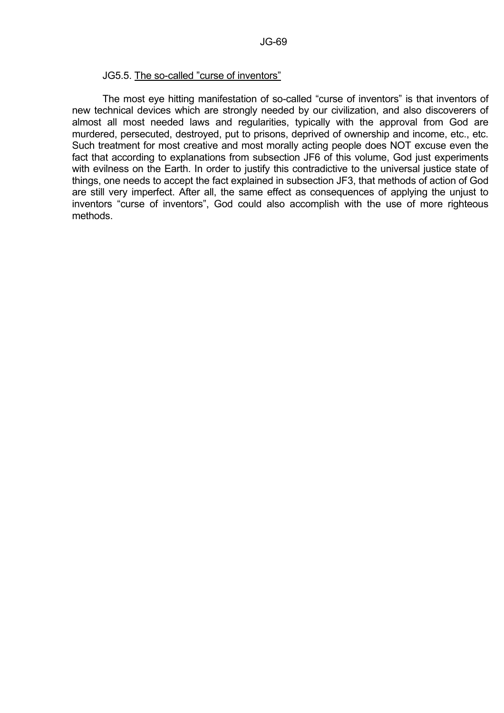#### JG5.5. The so-called "curse of inventors"

 The most eye hitting manifestation of so-called "curse of inventors" is that inventors of new technical devices which are strongly needed by our civilization, and also discoverers of almost all most needed laws and regularities, typically with the approval from God are murdered, persecuted, destroyed, put to prisons, deprived of ownership and income, etc., etc. Such treatment for most creative and most morally acting people does NOT excuse even the fact that according to explanations from subsection JF6 of this volume, God just experiments with evilness on the Earth. In order to justify this contradictive to the universal justice state of things, one needs to accept the fact explained in subsection JF3, that methods of action of God are still very imperfect. After all, the same effect as consequences of applying the unjust to inventors "curse of inventors", God could also accomplish with the use of more righteous methods.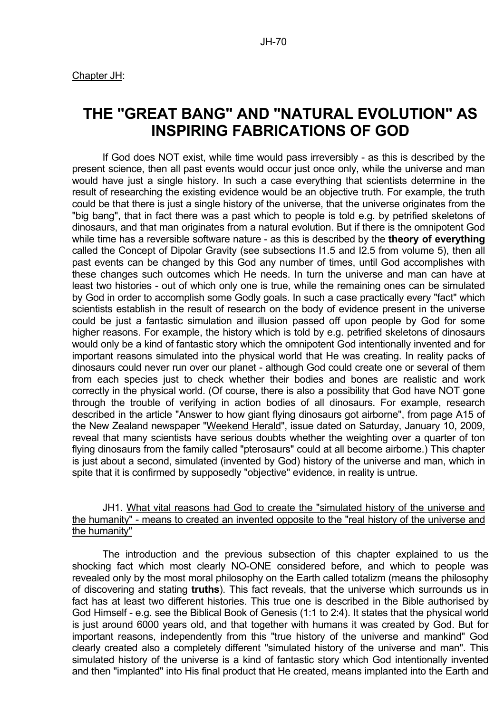# **THE "GREAT BANG" AND "NATURAL EVOLUTION" AS INSPIRING FABRICATIONS OF GOD**

 If God does NOT exist, while time would pass irreversibly - as this is described by the present science, then all past events would occur just once only, while the universe and man would have just a single history. In such a case everything that scientists determine in the result of researching the existing evidence would be an objective truth. For example, the truth could be that there is just a single history of the universe, that the universe originates from the "big bang", that in fact there was a past which to people is told e.g. by petrified skeletons of dinosaurs, and that man originates from a natural evolution. But if there is the omnipotent God while time has a reversible software nature - as this is described by the **theory of everything** called the Concept of Dipolar Gravity (see subsections I1.5 and I2.5 from volume 5), then all past events can be changed by this God any number of times, until God accomplishes with these changes such outcomes which He needs. In turn the universe and man can have at least two histories - out of which only one is true, while the remaining ones can be simulated by God in order to accomplish some Godly goals. In such a case practically every "fact" which scientists establish in the result of research on the body of evidence present in the universe could be just a fantastic simulation and illusion passed off upon people by God for some higher reasons. For example, the history which is told by e.g. petrified skeletons of dinosaurs would only be a kind of fantastic story which the omnipotent God intentionally invented and for important reasons simulated into the physical world that He was creating. In reality packs of dinosaurs could never run over our planet - although God could create one or several of them from each species just to check whether their bodies and bones are realistic and work correctly in the physical world. (Of course, there is also a possibility that God have NOT gone through the trouble of verifying in action bodies of all dinosaurs. For example, research described in the article "Answer to how giant flying dinosaurs got airborne", from page A15 of the New Zealand newspaper "Weekend Herald", issue dated on Saturday, January 10, 2009, reveal that many scientists have serious doubts whether the weighting over a quarter of ton flying dinosaurs from the family called "pterosaurs" could at all become airborne.) This chapter is just about a second, simulated (invented by God) history of the universe and man, which in spite that it is confirmed by supposedly "objective" evidence, in reality is untrue.

# JH1. What vital reasons had God to create the "simulated history of the universe and the humanity" - means to created an invented opposite to the "real history of the universe and the humanity"

 The introduction and the previous subsection of this chapter explained to us the shocking fact which most clearly NO-ONE considered before, and which to people was revealed only by the most moral philosophy on the Earth called totalizm (means the philosophy of discovering and stating **truths**). This fact reveals, that the universe which surrounds us in fact has at least two different histories. This true one is described in the Bible authorised by God Himself - e.g. see the Biblical Book of Genesis (1:1 to 2:4). It states that the physical world is just around 6000 years old, and that together with humans it was created by God. But for important reasons, independently from this "true history of the universe and mankind" God clearly created also a completely different "simulated history of the universe and man". This simulated history of the universe is a kind of fantastic story which God intentionally invented and then "implanted" into His final product that He created, means implanted into the Earth and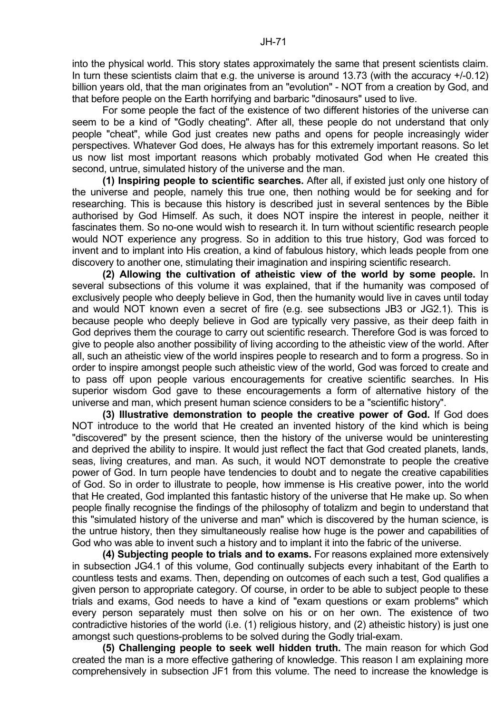into the physical world. This story states approximately the same that present scientists claim. In turn these scientists claim that e.g. the universe is around 13.73 (with the accuracy +/-0.12) billion years old, that the man originates from an "evolution" - NOT from a creation by God, and that before people on the Earth horrifying and barbaric "dinosaurs" used to live.

 For some people the fact of the existence of two different histories of the universe can seem to be a kind of "Godly cheating". After all, these people do not understand that only people "cheat", while God just creates new paths and opens for people increasingly wider perspectives. Whatever God does, He always has for this extremely important reasons. So let us now list most important reasons which probably motivated God when He created this second, untrue, simulated history of the universe and the man.

**(1) Inspiring people to scientific searches.** After all, if existed just only one history of the universe and people, namely this true one, then nothing would be for seeking and for researching. This is because this history is described just in several sentences by the Bible authorised by God Himself. As such, it does NOT inspire the interest in people, neither it fascinates them. So no-one would wish to research it. In turn without scientific research people would NOT experience any progress. So in addition to this true history, God was forced to invent and to implant into His creation, a kind of fabulous history, which leads people from one discovery to another one, stimulating their imagination and inspiring scientific research.

**(2) Allowing the cultivation of atheistic view of the world by some people.** In several subsections of this volume it was explained, that if the humanity was composed of exclusively people who deeply believe in God, then the humanity would live in caves until today and would NOT known even a secret of fire (e.g. see subsections JB3 or JG2.1). This is because people who deeply believe in God are typically very passive, as their deep faith in God deprives them the courage to carry out scientific research. Therefore God is was forced to give to people also another possibility of living according to the atheistic view of the world. After all, such an atheistic view of the world inspires people to research and to form a progress. So in order to inspire amongst people such atheistic view of the world, God was forced to create and to pass off upon people various encouragements for creative scientific searches. In His superior wisdom God gave to these encouragements a form of alternative history of the universe and man, which present human science considers to be a "scientific history".

**(3) Illustrative demonstration to people the creative power of God.** If God does NOT introduce to the world that He created an invented history of the kind which is being "discovered" by the present science, then the history of the universe would be uninteresting and deprived the ability to inspire. It would just reflect the fact that God created planets, lands, seas, living creatures, and man. As such, it would NOT demonstrate to people the creative power of God. In turn people have tendencies to doubt and to negate the creative capabilities of God. So in order to illustrate to people, how immense is His creative power, into the world that He created, God implanted this fantastic history of the universe that He make up. So when people finally recognise the findings of the philosophy of totalizm and begin to understand that this "simulated history of the universe and man" which is discovered by the human science, is the untrue history, then they simultaneously realise how huge is the power and capabilities of God who was able to invent such a history and to implant it into the fabric of the universe.

**(4) Subjecting people to trials and to exams.** For reasons explained more extensively in subsection JG4.1 of this volume, God continually subjects every inhabitant of the Earth to countless tests and exams. Then, depending on outcomes of each such a test, God qualifies a given person to appropriate category. Of course, in order to be able to subject people to these trials and exams, God needs to have a kind of "exam questions or exam problems" which every person separately must then solve on his or on her own. The existence of two contradictive histories of the world (i.e. (1) religious history, and (2) atheistic history) is just one amongst such questions-problems to be solved during the Godly trial-exam.

**(5) Challenging people to seek well hidden truth.** The main reason for which God created the man is a more effective gathering of knowledge. This reason I am explaining more comprehensively in subsection JF1 from this volume. The need to increase the knowledge is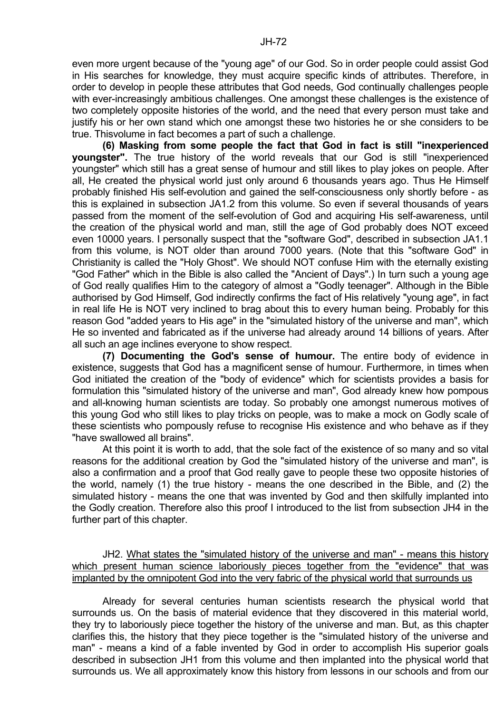even more urgent because of the "young age" of our God. So in order people could assist God in His searches for knowledge, they must acquire specific kinds of attributes. Therefore, in order to develop in people these attributes that God needs, God continually challenges people with ever-increasingly ambitious challenges. One amongst these challenges is the existence of two completely opposite histories of the world, and the need that every person must take and justify his or her own stand which one amongst these two histories he or she considers to be true. Thisvolume in fact becomes a part of such a challenge.

**(6) Masking from some people the fact that God in fact is still "inexperienced youngster".** The true history of the world reveals that our God is still "inexperienced youngster" which still has a great sense of humour and still likes to play jokes on people. After all, He created the physical world just only around 6 thousands years ago. Thus He Himself probably finished His self-evolution and gained the self-consciousness only shortly before - as this is explained in subsection JA1.2 from this volume. So even if several thousands of years passed from the moment of the self-evolution of God and acquiring His self-awareness, until the creation of the physical world and man, still the age of God probably does NOT exceed even 10000 years. I personally suspect that the "software God", described in subsection JA1.1 from this volume, is NOT older than around 7000 years. (Note that this "software God" in Christianity is called the "Holy Ghost". We should NOT confuse Him with the eternally existing "God Father" which in the Bible is also called the "Ancient of Days".) In turn such a young age of God really qualifies Him to the category of almost a "Godly teenager". Although in the Bible authorised by God Himself, God indirectly confirms the fact of His relatively "young age", in fact in real life He is NOT very inclined to brag about this to every human being. Probably for this reason God "added years to His age" in the "simulated history of the universe and man", which He so invented and fabricated as if the universe had already around 14 billions of years. After all such an age inclines everyone to show respect.

**(7) Documenting the God's sense of humour.** The entire body of evidence in existence, suggests that God has a magnificent sense of humour. Furthermore, in times when God initiated the creation of the "body of evidence" which for scientists provides a basis for formulation this "simulated history of the universe and man", God already knew how pompous and all-knowing human scientists are today. So probably one amongst numerous motives of this young God who still likes to play tricks on people, was to make a mock on Godly scale of these scientists who pompously refuse to recognise His existence and who behave as if they "have swallowed all brains".

 At this point it is worth to add, that the sole fact of the existence of so many and so vital reasons for the additional creation by God the "simulated history of the universe and man", is also a confirmation and a proof that God really gave to people these two opposite histories of the world, namely (1) the true history - means the one described in the Bible, and (2) the simulated history - means the one that was invented by God and then skilfully implanted into the Godly creation. Therefore also this proof I introduced to the list from subsection JH4 in the further part of this chapter.

 JH2. What states the "simulated history of the universe and man" - means this history which present human science laboriously pieces together from the "evidence" that was implanted by the omnipotent God into the very fabric of the physical world that surrounds us

 Already for several centuries human scientists research the physical world that surrounds us. On the basis of material evidence that they discovered in this material world, they try to laboriously piece together the history of the universe and man. But, as this chapter clarifies this, the history that they piece together is the "simulated history of the universe and man" - means a kind of a fable invented by God in order to accomplish His superior goals described in subsection JH1 from this volume and then implanted into the physical world that surrounds us. We all approximately know this history from lessons in our schools and from our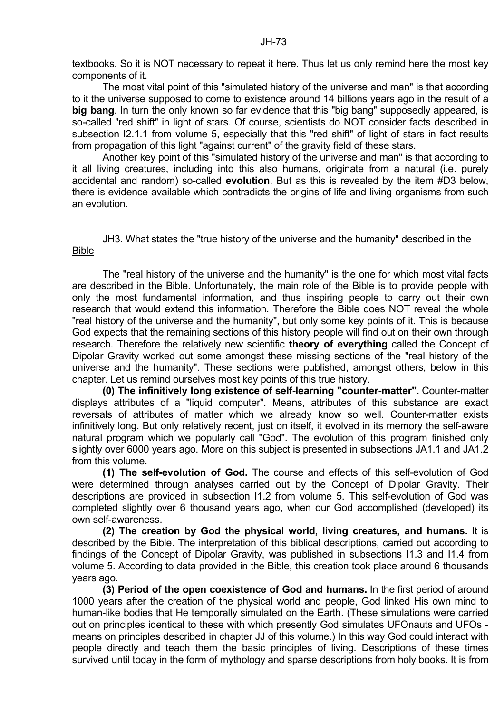textbooks. So it is NOT necessary to repeat it here. Thus let us only remind here the most key components of it.

 The most vital point of this "simulated history of the universe and man" is that according to it the universe supposed to come to existence around 14 billions years ago in the result of a **big bang**. In turn the only known so far evidence that this "big bang" supposedly appeared, is so-called "red shift" in light of stars. Of course, scientists do NOT consider facts described in subsection I2.1.1 from volume 5, especially that this "red shift" of light of stars in fact results from propagation of this light "against current" of the gravity field of these stars.

 Another key point of this "simulated history of the universe and man" is that according to it all living creatures, including into this also humans, originate from a natural (i.e. purely accidental and random) so-called **evolution**. But as this is revealed by the item #D3 below, there is evidence available which contradicts the origins of life and living organisms from such an evolution.

#### JH3. What states the "true history of the universe and the humanity" described in the Bible

 The "real history of the universe and the humanity" is the one for which most vital facts are described in the Bible. Unfortunately, the main role of the Bible is to provide people with only the most fundamental information, and thus inspiring people to carry out their own research that would extend this information. Therefore the Bible does NOT reveal the whole "real history of the universe and the humanity", but only some key points of it. This is because God expects that the remaining sections of this history people will find out on their own through research. Therefore the relatively new scientific **theory of everything** called the Concept of Dipolar Gravity worked out some amongst these missing sections of the "real history of the universe and the humanity". These sections were published, amongst others, below in this chapter. Let us remind ourselves most key points of this true history.

**(0) The infinitively long existence of self-learning "counter-matter".** Counter-matter displays attributes of a "liquid computer". Means, attributes of this substance are exact reversals of attributes of matter which we already know so well. Counter-matter exists infinitively long. But only relatively recent, just on itself, it evolved in its memory the self-aware natural program which we popularly call "God". The evolution of this program finished only slightly over 6000 years ago. More on this subject is presented in subsections JA1.1 and JA1.2 from this volume.

**(1) The self-evolution of God.** The course and effects of this self-evolution of God were determined through analyses carried out by the Concept of Dipolar Gravity. Their descriptions are provided in subsection I1.2 from volume 5. This self-evolution of God was completed slightly over 6 thousand years ago, when our God accomplished (developed) its own self-awareness.

**(2) The creation by God the physical world, living creatures, and humans.** It is described by the Bible. The interpretation of this biblical descriptions, carried out according to findings of the Concept of Dipolar Gravity, was published in subsections I1.3 and I1.4 from volume 5. According to data provided in the Bible, this creation took place around 6 thousands years ago.

**(3) Period of the open coexistence of God and humans.** In the first period of around 1000 years after the creation of the physical world and people, God linked His own mind to human-like bodies that He temporally simulated on the Earth. (These simulations were carried out on principles identical to these with which presently God simulates UFOnauts and UFOs means on principles described in chapter JJ of this volume.) In this way God could interact with people directly and teach them the basic principles of living. Descriptions of these times survived until today in the form of mythology and sparse descriptions from holy books. It is from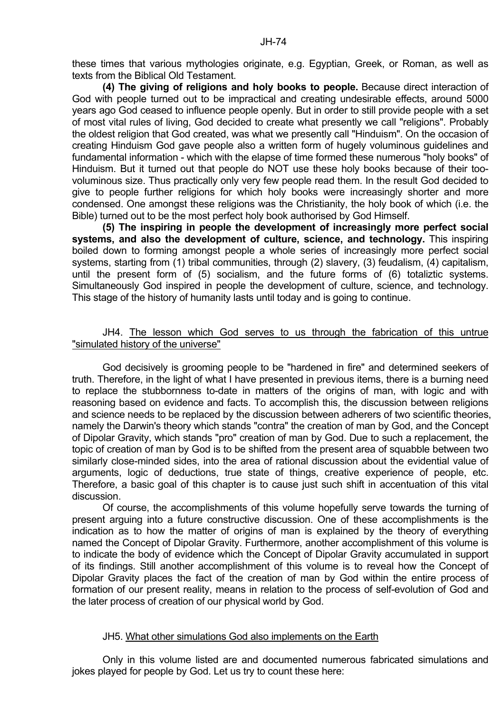these times that various mythologies originate, e.g. Egyptian, Greek, or Roman, as well as texts from the Biblical Old Testament.

**(4) The giving of religions and holy books to people.** Because direct interaction of God with people turned out to be impractical and creating undesirable effects, around 5000 years ago God ceased to influence people openly. But in order to still provide people with a set of most vital rules of living, God decided to create what presently we call "religions". Probably the oldest religion that God created, was what we presently call "Hinduism". On the occasion of creating Hinduism God gave people also a written form of hugely voluminous guidelines and fundamental information - which with the elapse of time formed these numerous "holy books" of Hinduism. But it turned out that people do NOT use these holy books because of their toovoluminous size. Thus practically only very few people read them. In the result God decided to give to people further religions for which holy books were increasingly shorter and more condensed. One amongst these religions was the Christianity, the holy book of which (i.e. the Bible) turned out to be the most perfect holy book authorised by God Himself.

**(5) The inspiring in people the development of increasingly more perfect social systems, and also the development of culture, science, and technology.** This inspiring boiled down to forming amongst people a whole series of increasingly more perfect social systems, starting from (1) tribal communities, through (2) slavery, (3) feudalism, (4) capitalism, until the present form of (5) socialism, and the future forms of (6) totaliztic systems. Simultaneously God inspired in people the development of culture, science, and technology. This stage of the history of humanity lasts until today and is going to continue.

## JH4. The lesson which God serves to us through the fabrication of this untrue "simulated history of the universe"

 God decisively is grooming people to be "hardened in fire" and determined seekers of truth. Therefore, in the light of what I have presented in previous items, there is a burning need to replace the stubbornness to-date in matters of the origins of man, with logic and with reasoning based on evidence and facts. To accomplish this, the discussion between religions and science needs to be replaced by the discussion between adherers of two scientific theories, namely the Darwin's theory which stands "contra" the creation of man by God, and the Concept of Dipolar Gravity, which stands "pro" creation of man by God. Due to such a replacement, the topic of creation of man by God is to be shifted from the present area of squabble between two similarly close-minded sides, into the area of rational discussion about the evidential value of arguments, logic of deductions, true state of things, creative experience of people, etc. Therefore, a basic goal of this chapter is to cause just such shift in accentuation of this vital discussion.

 Of course, the accomplishments of this volume hopefully serve towards the turning of present arguing into a future constructive discussion. One of these accomplishments is the indication as to how the matter of origins of man is explained by the theory of everything named the Concept of Dipolar Gravity. Furthermore, another accomplishment of this volume is to indicate the body of evidence which the Concept of Dipolar Gravity accumulated in support of its findings. Still another accomplishment of this volume is to reveal how the Concept of Dipolar Gravity places the fact of the creation of man by God within the entire process of formation of our present reality, means in relation to the process of self-evolution of God and the later process of creation of our physical world by God.

#### JH5. What other simulations God also implements on the Earth

 Only in this volume listed are and documented numerous fabricated simulations and jokes played for people by God. Let us try to count these here: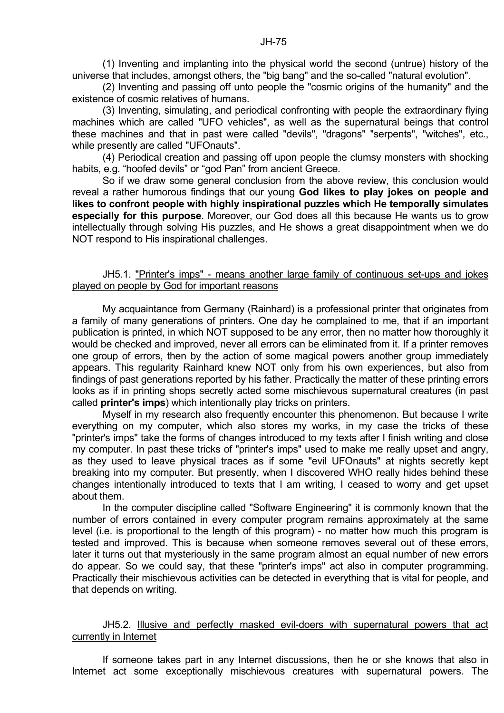(1) Inventing and implanting into the physical world the second (untrue) history of the universe that includes, amongst others, the "big bang" and the so-called "natural evolution".

 (2) Inventing and passing off unto people the "cosmic origins of the humanity" and the existence of cosmic relatives of humans.

 (3) Inventing, simulating, and periodical confronting with people the extraordinary flying machines which are called "UFO vehicles", as well as the supernatural beings that control these machines and that in past were called "devils", "dragons" "serpents", "witches", etc., while presently are called "UFOnauts".

 (4) Periodical creation and passing off upon people the clumsy monsters with shocking habits, e.g. "hoofed devils" or "god Pan" from ancient Greece.

 So if we draw some general conclusion from the above review, this conclusion would reveal a rather humorous findings that our young **God likes to play jokes on people and likes to confront people with highly inspirational puzzles which He temporally simulates especially for this purpose**. Moreover, our God does all this because He wants us to grow intellectually through solving His puzzles, and He shows a great disappointment when we do NOT respond to His inspirational challenges.

# JH5.1. "Printer's imps" - means another large family of continuous set-ups and jokes played on people by God for important reasons

 My acquaintance from Germany (Rainhard) is a professional printer that originates from a family of many generations of printers. One day he complained to me, that if an important publication is printed, in which NOT supposed to be any error, then no matter how thoroughly it would be checked and improved, never all errors can be eliminated from it. If a printer removes one group of errors, then by the action of some magical powers another group immediately appears. This regularity Rainhard knew NOT only from his own experiences, but also from findings of past generations reported by his father. Practically the matter of these printing errors looks as if in printing shops secretly acted some mischievous supernatural creatures (in past called **printer's imps**) which intentionally play tricks on printers.

 Myself in my research also frequently encounter this phenomenon. But because I write everything on my computer, which also stores my works, in my case the tricks of these "printer's imps" take the forms of changes introduced to my texts after I finish writing and close my computer. In past these tricks of "printer's imps" used to make me really upset and angry, as they used to leave physical traces as if some "evil UFOnauts" at nights secretly kept breaking into my computer. But presently, when I discovered WHO really hides behind these changes intentionally introduced to texts that I am writing, I ceased to worry and get upset about them.

 In the computer discipline called "Software Engineering" it is commonly known that the number of errors contained in every computer program remains approximately at the same level (i.e. is proportional to the length of this program) - no matter how much this program is tested and improved. This is because when someone removes several out of these errors, later it turns out that mysteriously in the same program almost an equal number of new errors do appear. So we could say, that these "printer's imps" act also in computer programming. Practically their mischievous activities can be detected in everything that is vital for people, and that depends on writing.

## JH5.2. Illusive and perfectly masked evil-doers with supernatural powers that act currently in Internet

 If someone takes part in any Internet discussions, then he or she knows that also in Internet act some exceptionally mischievous creatures with supernatural powers. The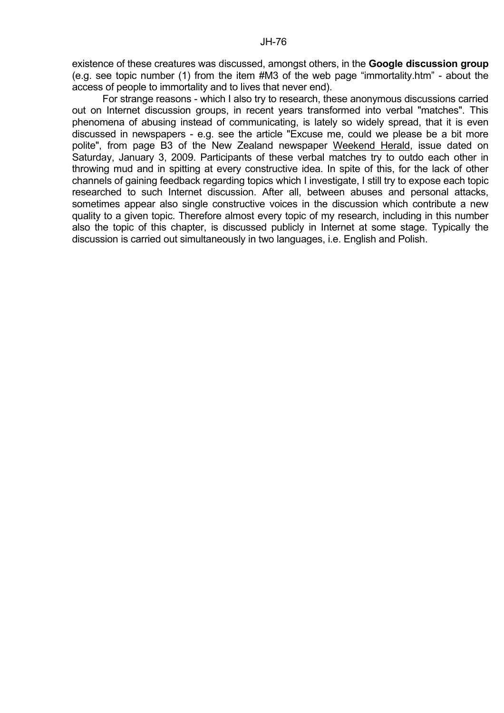existence of these creatures was discussed, amongst others, in the **Google discussion group** (e.g. see topic number (1) from the item #M3 of the web page "immortality.htm" - about the access of people to immortality and to lives that never end).

 For strange reasons - which I also try to research, these anonymous discussions carried out on Internet discussion groups, in recent years transformed into verbal "matches". This phenomena of abusing instead of communicating, is lately so widely spread, that it is even discussed in newspapers - e.g. see the article "Excuse me, could we please be a bit more polite", from page B3 of the New Zealand newspaper Weekend Herald, issue dated on Saturday, January 3, 2009. Participants of these verbal matches try to outdo each other in throwing mud and in spitting at every constructive idea. In spite of this, for the lack of other channels of gaining feedback regarding topics which I investigate, I still try to expose each topic researched to such Internet discussion. After all, between abuses and personal attacks, sometimes appear also single constructive voices in the discussion which contribute a new quality to a given topic. Therefore almost every topic of my research, including in this number also the topic of this chapter, is discussed publicly in Internet at some stage. Typically the discussion is carried out simultaneously in two languages, i.e. English and Polish.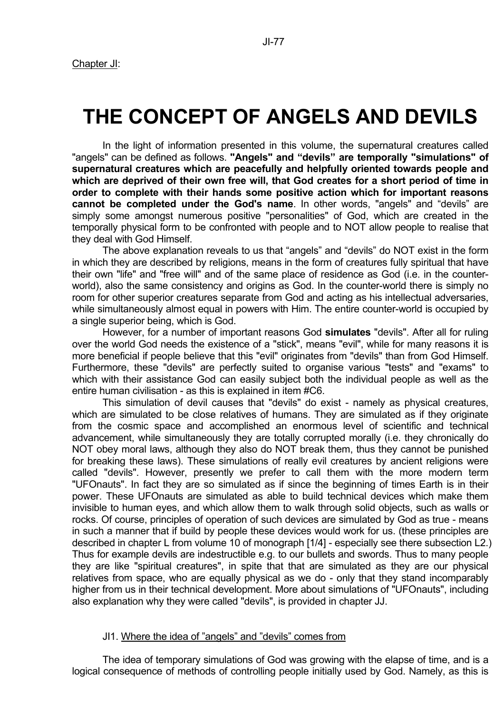# **THE CONCEPT OF ANGELS AND DEVILS**

 In the light of information presented in this volume, the supernatural creatures called "angels" can be defined as follows. **"Angels" and "devils" are temporally "simulations" of supernatural creatures which are peacefully and helpfully oriented towards people and which are deprived of their own free will, that God creates for a short period of time in order to complete with their hands some positive action which for important reasons cannot be completed under the God's name**. In other words, "angels" and "devils" are simply some amongst numerous positive "personalities" of God, which are created in the temporally physical form to be confronted with people and to NOT allow people to realise that they deal with God Himself.

 The above explanation reveals to us that "angels" and "devils" do NOT exist in the form in which they are described by religions, means in the form of creatures fully spiritual that have their own "life" and "free will" and of the same place of residence as God (i.e. in the counterworld), also the same consistency and origins as God. In the counter-world there is simply no room for other superior creatures separate from God and acting as his intellectual adversaries, while simultaneously almost equal in powers with Him. The entire counter-world is occupied by a single superior being, which is God.

 However, for a number of important reasons God **simulates** "devils". After all for ruling over the world God needs the existence of a "stick", means "evil", while for many reasons it is more beneficial if people believe that this "evil" originates from "devils" than from God Himself. Furthermore, these "devils" are perfectly suited to organise various "tests" and "exams" to which with their assistance God can easily subject both the individual people as well as the entire human civilisation - as this is explained in item #C6.

 This simulation of devil causes that "devils" do exist - namely as physical creatures, which are simulated to be close relatives of humans. They are simulated as if they originate from the cosmic space and accomplished an enormous level of scientific and technical advancement, while simultaneously they are totally corrupted morally (i.e. they chronically do NOT obey moral laws, although they also do NOT break them, thus they cannot be punished for breaking these laws). These simulations of really evil creatures by ancient religions were called "devils". However, presently we prefer to call them with the more modern term "UFOnauts". In fact they are so simulated as if since the beginning of times Earth is in their power. These UFOnauts are simulated as able to build technical devices which make them invisible to human eyes, and which allow them to walk through solid objects, such as walls or rocks. Of course, principles of operation of such devices are simulated by God as true - means in such a manner that if build by people these devices would work for us. (these principles are described in chapter L from volume 10 of monograph [1/4] - especially see there subsection L2.) Thus for example devils are indestructible e.g. to our bullets and swords. Thus to many people they are like "spiritual creatures", in spite that that are simulated as they are our physical relatives from space, who are equally physical as we do - only that they stand incomparably higher from us in their technical development. More about simulations of "UFOnauts", including also explanation why they were called "devils", is provided in chapter JJ.

## JI1. Where the idea of "angels" and "devils" comes from

 The idea of temporary simulations of God was growing with the elapse of time, and is a logical consequence of methods of controlling people initially used by God. Namely, as this is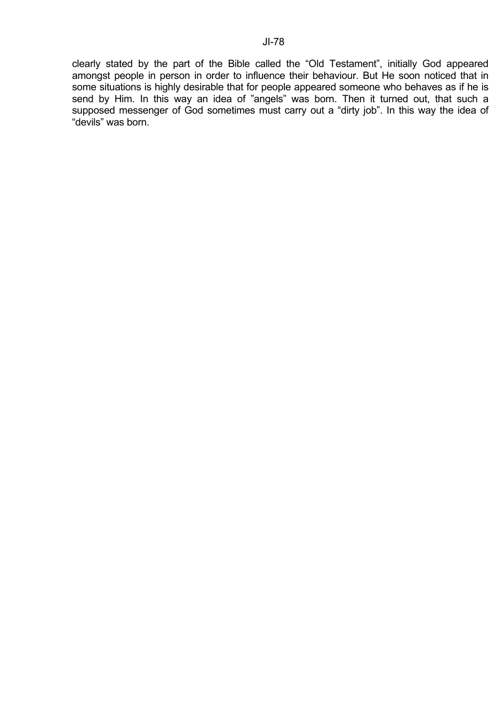clearly stated by the part of the Bible called the "Old Testament", initially God appeared amongst people in person in order to influence their behaviour. But He soon noticed that in some situations is highly desirable that for people appeared someone who behaves as if he is send by Him. In this way an idea of "angels" was born. Then it turned out, that such a supposed messenger of God sometimes must carry out a "dirty job". In this way the idea of "devils" was born.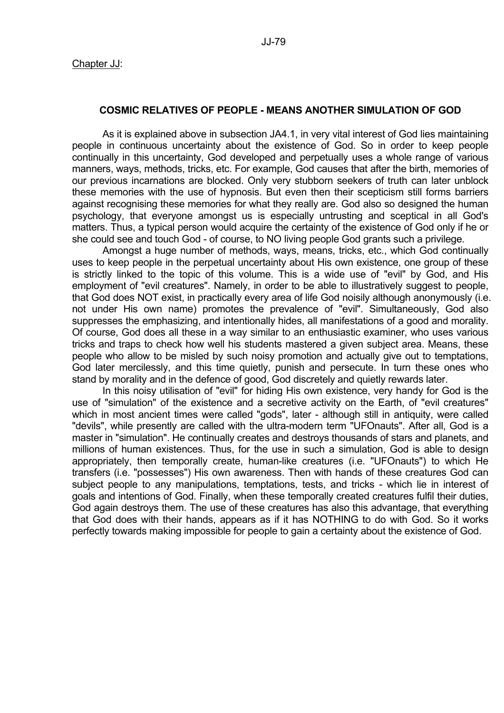#### **COSMIC RELATIVES OF PEOPLE - MEANS ANOTHER SIMULATION OF GOD**

 As it is explained above in subsection JA4.1, in very vital interest of God lies maintaining people in continuous uncertainty about the existence of God. So in order to keep people continually in this uncertainty, God developed and perpetually uses a whole range of various manners, ways, methods, tricks, etc. For example, God causes that after the birth, memories of our previous incarnations are blocked. Only very stubborn seekers of truth can later unblock these memories with the use of hypnosis. But even then their scepticism still forms barriers against recognising these memories for what they really are. God also so designed the human psychology, that everyone amongst us is especially untrusting and sceptical in all God's matters. Thus, a typical person would acquire the certainty of the existence of God only if he or she could see and touch God - of course, to NO living people God grants such a privilege.

 Amongst a huge number of methods, ways, means, tricks, etc., which God continually uses to keep people in the perpetual uncertainty about His own existence, one group of these is strictly linked to the topic of this volume. This is a wide use of "evil" by God, and His employment of "evil creatures". Namely, in order to be able to illustratively suggest to people, that God does NOT exist, in practically every area of life God noisily although anonymously (i.e. not under His own name) promotes the prevalence of "evil". Simultaneously, God also suppresses the emphasizing, and intentionally hides, all manifestations of a good and morality. Of course, God does all these in a way similar to an enthusiastic examiner, who uses various tricks and traps to check how well his students mastered a given subject area. Means, these people who allow to be misled by such noisy promotion and actually give out to temptations, God later mercilessly, and this time quietly, punish and persecute. In turn these ones who stand by morality and in the defence of good, God discretely and quietly rewards later.

 In this noisy utilisation of "evil" for hiding His own existence, very handy for God is the use of "simulation" of the existence and a secretive activity on the Earth, of "evil creatures" which in most ancient times were called "gods", later - although still in antiquity, were called "devils", while presently are called with the ultra-modern term "UFOnauts". After all, God is a master in "simulation". He continually creates and destroys thousands of stars and planets, and millions of human existences. Thus, for the use in such a simulation, God is able to design appropriately, then temporally create, human-like creatures (i.e. "UFOnauts") to which He transfers (i.e. "possesses") His own awareness. Then with hands of these creatures God can subject people to any manipulations, temptations, tests, and tricks - which lie in interest of goals and intentions of God. Finally, when these temporally created creatures fulfil their duties, God again destroys them. The use of these creatures has also this advantage, that everything that God does with their hands, appears as if it has NOTHING to do with God. So it works perfectly towards making impossible for people to gain a certainty about the existence of God.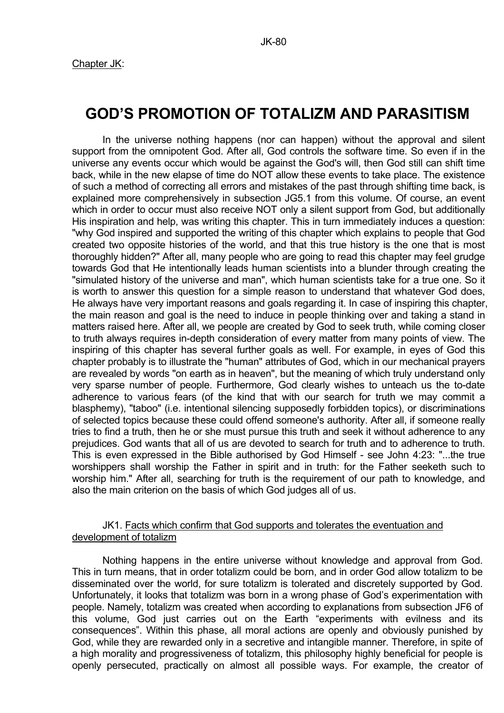# **GOD'S PROMOTION OF TOTALIZM AND PARASITISM**

 In the universe nothing happens (nor can happen) without the approval and silent support from the omnipotent God. After all, God controls the software time. So even if in the universe any events occur which would be against the God's will, then God still can shift time back, while in the new elapse of time do NOT allow these events to take place. The existence of such a method of correcting all errors and mistakes of the past through shifting time back, is explained more comprehensively in subsection JG5.1 from this volume. Of course, an event which in order to occur must also receive NOT only a silent support from God, but additionally His inspiration and help, was writing this chapter. This in turn immediately induces a question: "why God inspired and supported the writing of this chapter which explains to people that God created two opposite histories of the world, and that this true history is the one that is most thoroughly hidden?" After all, many people who are going to read this chapter may feel grudge towards God that He intentionally leads human scientists into a blunder through creating the "simulated history of the universe and man", which human scientists take for a true one. So it is worth to answer this question for a simple reason to understand that whatever God does, He always have very important reasons and goals regarding it. In case of inspiring this chapter, the main reason and goal is the need to induce in people thinking over and taking a stand in matters raised here. After all, we people are created by God to seek truth, while coming closer to truth always requires in-depth consideration of every matter from many points of view. The inspiring of this chapter has several further goals as well. For example, in eyes of God this chapter probably is to illustrate the "human" attributes of God, which in our mechanical prayers are revealed by words "on earth as in heaven", but the meaning of which truly understand only very sparse number of people. Furthermore, God clearly wishes to unteach us the to-date adherence to various fears (of the kind that with our search for truth we may commit a blasphemy), "taboo" (i.e. intentional silencing supposedly forbidden topics), or discriminations of selected topics because these could offend someone's authority. After all, if someone really tries to find a truth, then he or she must pursue this truth and seek it without adherence to any prejudices. God wants that all of us are devoted to search for truth and to adherence to truth. This is even expressed in the Bible authorised by God Himself - see John 4:23: "...the true worshippers shall worship the Father in spirit and in truth: for the Father seeketh such to worship him." After all, searching for truth is the requirement of our path to knowledge, and also the main criterion on the basis of which God judges all of us.

# JK1. Facts which confirm that God supports and tolerates the eventuation and development of totalizm

 Nothing happens in the entire universe without knowledge and approval from God. This in turn means, that in order totalizm could be born, and in order God allow totalizm to be disseminated over the world, for sure totalizm is tolerated and discretely supported by God. Unfortunately, it looks that totalizm was born in a wrong phase of God's experimentation with people. Namely, totalizm was created when according to explanations from subsection JF6 of this volume, God just carries out on the Earth "experiments with evilness and its consequences". Within this phase, all moral actions are openly and obviously punished by God, while they are rewarded only in a secretive and intangible manner. Therefore, in spite of a high morality and progressiveness of totalizm, this philosophy highly beneficial for people is openly persecuted, practically on almost all possible ways. For example, the creator of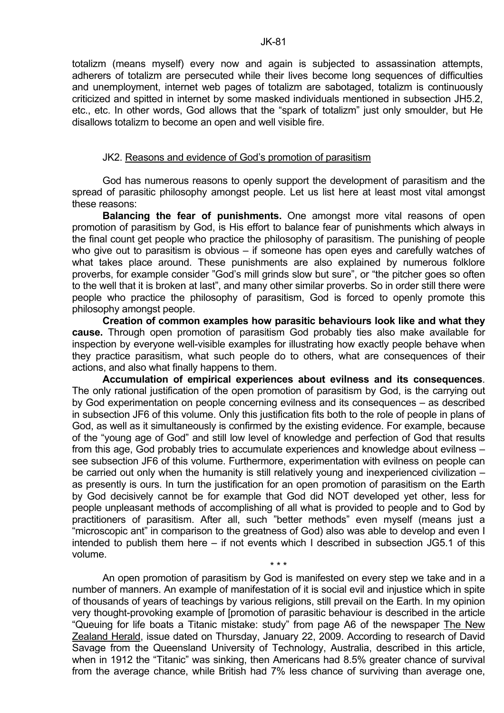totalizm (means myself) every now and again is subjected to assassination attempts, adherers of totalizm are persecuted while their lives become long sequences of difficulties and unemployment, internet web pages of totalizm are sabotaged, totalizm is continuously criticized and spitted in internet by some masked individuals mentioned in subsection JH5.2, etc., etc. In other words, God allows that the "spark of totalizm" just only smoulder, but He disallows totalizm to become an open and well visible fire.

#### JK2. Reasons and evidence of God's promotion of parasitism

 God has numerous reasons to openly support the development of parasitism and the spread of parasitic philosophy amongst people. Let us list here at least most vital amongst these reasons:

**Balancing the fear of punishments.** One amongst more vital reasons of open promotion of parasitism by God, is His effort to balance fear of punishments which always in the final count get people who practice the philosophy of parasitism. The punishing of people who give out to parasitism is obvious – if someone has open eyes and carefully watches of what takes place around. These punishments are also explained by numerous folklore proverbs, for example consider "God's mill grinds slow but sure", or "the pitcher goes so often to the well that it is broken at last", and many other similar proverbs. So in order still there were people who practice the philosophy of parasitism, God is forced to openly promote this philosophy amongst people.

**Creation of common examples how parasitic behaviours look like and what they cause.** Through open promotion of parasitism God probably ties also make available for inspection by everyone well-visible examples for illustrating how exactly people behave when they practice parasitism, what such people do to others, what are consequences of their actions, and also what finally happens to them.

**Accumulation of empirical experiences about evilness and its consequences**. The only rational justification of the open promotion of parasitism by God, is the carrying out by God experimentation on people concerning evilness and its consequences – as described in subsection JF6 of this volume. Only this justification fits both to the role of people in plans of God, as well as it simultaneously is confirmed by the existing evidence. For example, because of the "young age of God" and still low level of knowledge and perfection of God that results from this age, God probably tries to accumulate experiences and knowledge about evilness – see subsection JF6 of this volume. Furthermore, experimentation with evilness on people can be carried out only when the humanity is still relatively young and inexperienced civilization – as presently is ours. In turn the justification for an open promotion of parasitism on the Earth by God decisively cannot be for example that God did NOT developed yet other, less for people unpleasant methods of accomplishing of all what is provided to people and to God by practitioners of parasitism. After all, such "better methods" even myself (means just a "microscopic ant" in comparison to the greatness of God) also was able to develop and even I intended to publish them here – if not events which I described in subsection JG5.1 of this volume.

 An open promotion of parasitism by God is manifested on every step we take and in a number of manners. An example of manifestation of it is social evil and injustice which in spite of thousands of years of teachings by various religions, still prevail on the Earth. In my opinion very thought-provoking example of [promotion of parasitic behaviour is described in the article "Queuing for life boats a Titanic mistake: study" from page A6 of the newspaper The New Zealand Herald, issue dated on Thursday, January 22, 2009. According to research of David Savage from the Queensland University of Technology, Australia, described in this article, when in 1912 the "Titanic" was sinking, then Americans had 8.5% greater chance of survival from the average chance, while British had 7% less chance of surviving than average one,

\* \* \*